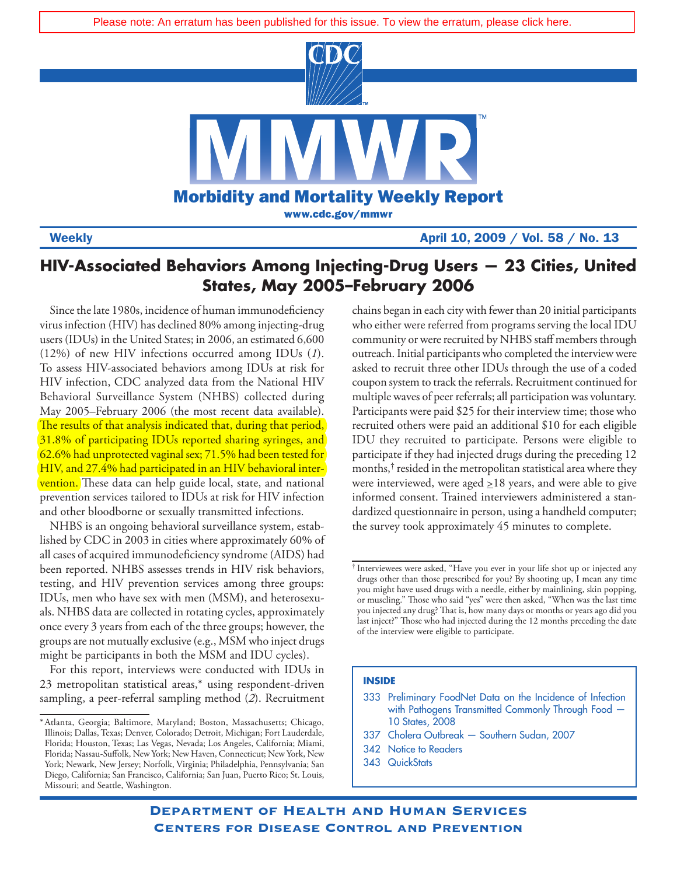

Weekly April 10, 2009 / Vol. 58 / No. 13

# **HIV-Associated Behaviors Among Injecting-Drug Users — 23 Cities, United States, May 2005–February 2006**

Since the late 1980s, incidence of human immunodeficiency virus infection (HIV) has declined 80% among injecting-drug users (IDUs) in the United States; in 2006, an estimated 6,600 (12%) of new HIV infections occurred among IDUs (*1*). To assess HIV-associated behaviors among IDUs at risk for HIV infection, CDC analyzed data from the National HIV Behavioral Surveillance System (NHBS) collected during May 2005–February 2006 (the most recent data available). The results of that analysis indicated that, during that period, [31.8% of participating IDUs reported sharing syringes, and](http://www.cdc.gov/mmwr/PDF/wk/mm5850.pdf)  62.6% had unprotected vaginal sex; 71.5% had been tested for HIV, and 27.4% had participated in an HIV behavioral intervention. These data can help guide local, state, and national prevention services tailored to IDUs at risk for HIV infection and other bloodborne or sexually transmitted infections.

NHBS is an ongoing behavioral surveillance system, established by CDC in 2003 in cities where approximately 60% of all cases of acquired immunodeficiency syndrome (AIDS) had been reported. NHBS assesses trends in HIV risk behaviors, testing, and HIV prevention services among three groups: IDUs, men who have sex with men (MSM), and heterosexuals. NHBS data are collected in rotating cycles, approximately once every 3 years from each of the three groups; however, the groups are not mutually exclusive (e.g., MSM who inject drugs might be participants in both the MSM and IDU cycles).

For this report, interviews were conducted with IDUs in 23 metropolitan statistical areas,\* using respondent-driven sampling, a peer-referral sampling method (*2*). Recruitment chains began in each city with fewer than 20 initial participants who either were referred from programs serving the local IDU community or were recruited by NHBS staff members through outreach. Initial participants who completed the interview were asked to recruit three other IDUs through the use of a coded coupon system to track the referrals. Recruitment continued for multiple waves of peer referrals; all participation was voluntary. Participants were paid \$25 for their interview time; those who recruited others were paid an additional \$10 for each eligible IDU they recruited to participate. Persons were eligible to participate if they had injected drugs during the preceding 12 months, † resided in the metropolitan statistical area where they were interviewed, were aged  $\geq$ 18 years, and were able to give informed consent. Trained interviewers administered a standardized questionnaire in person, using a handheld computer; the survey took approximately 45 minutes to complete.

## **INSIDE**

- 337 [Cholera Outbreak Southern Sudan, 2007](#page-8-0)
- 342 [Notice to Readers](#page-13-0)
- 343 [QuickStats](#page-14-0)

<sup>\*</sup>Atlanta, Georgia; Baltimore, Maryland; Boston, Massachusetts; Chicago, Illinois; Dallas, Texas; Denver, Colorado; Detroit, Michigan; Fort Lauderdale, Florida; Houston, Texas; Las Vegas, Nevada; Los Angeles, California; Miami, Florida; Nassau-Suffolk, New York; New Haven, Connecticut; New York, New York; Newark, New Jersey; Norfolk, Virginia; Philadelphia, Pennsylvania; San Diego, California; San Francisco, California; San Juan, Puerto Rico; St. Louis, Missouri; and Seattle, Washington.

<sup>†</sup> Interviewees were asked, "Have you ever in your life shot up or injected any drugs other than those prescribed for you? By shooting up, I mean any time you might have used drugs with a needle, either by mainlining, skin popping, or muscling." Those who said "yes" were then asked, "When was the last time you injected any drug? That is, how many days or months or years ago did you last inject?" Those who had injected during the 12 months preceding the date of the interview were eligible to participate.

<sup>333</sup> [Preliminary FoodNet Data on the Incidence of Infection](#page-4-0) [with Pathogens Transmitted Commonly Through Food —](#page-4-0)  [10 States, 2008](#page-4-0)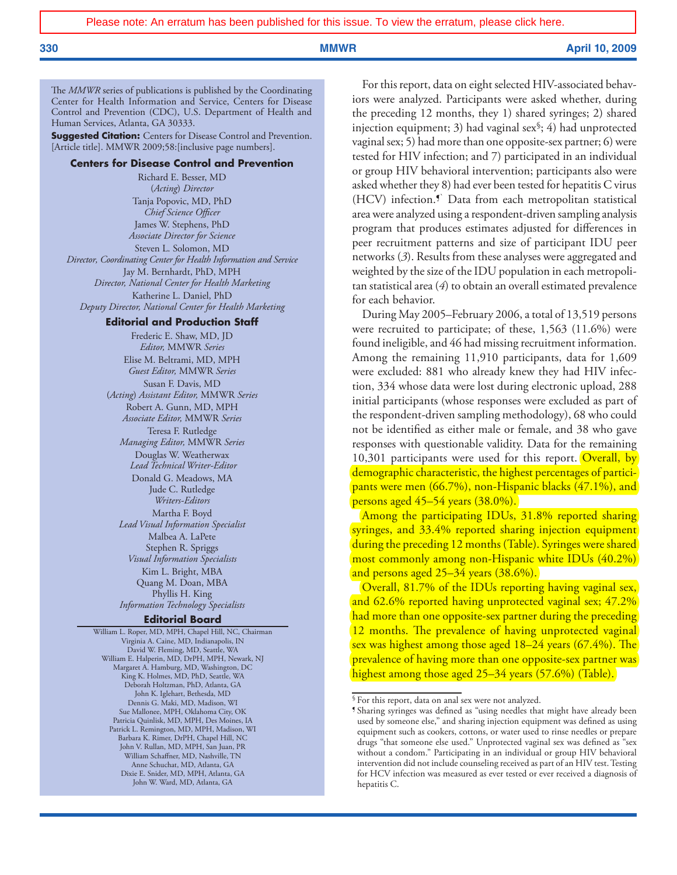The *MMWR* series of publications is published by the Coordinating Center for Health Information and Service, Centers for Disease Control and Prevention (CDC), U.S. Department of Health and Human Services, Atlanta, GA 30333.

**Suggested Citation:** Centers for Disease Control and Prevention. [Article title]. MMWR 2009;58:[inclusive page numbers].

### **Centers for Disease Control and Prevention**

Richard E. Besser, MD (*Acting*) *Director* Tanja Popovic, MD, PhD *Chief Science Officer* James W. Stephens, PhD *Associate Director for Science* Steven L. Solomon, MD *Director, Coordinating Center for Health Information and Service* Jay M. Bernhardt, PhD, MPH *Director, National Center for Health Marketing* Katherine L. Daniel, PhD *Deputy Director, National Center for Health Marketing*

#### **Editorial and Production Staff**

Frederic E. Shaw, MD, JD *Editor,* MMWR *Series* Elise M. Beltrami, MD, MPH *Guest Editor,* MMWR *Series* Susan F. Davis, MD (*Acting*) *Assistant Editor,* MMWR *Series* Robert A. Gunn, MD, MPH *Associate Editor,* MMWR *Series* Teresa F. Rutledge *Managing Editor,* MMWR *Series* Douglas W. Weatherwax  *Lead Technical Writer-Editor* Donald G. Meadows, MA Jude C. Rutledge *Writers-Editors* Martha F. Boyd *Lead Visual Information Specialist* Malbea A. LaPete Stephen R. Spriggs *Visual Information Specialists* Kim L. Bright, MBA Quang M. Doan, MBA Phyllis H. King *Information Technology Specialists*

### **Editorial Board**

William L. Roper, MD, MPH, Chapel Hill, NC, Chairman Virginia A. Caine, MD, Indianapolis, IN David W. Fleming, MD, Seattle, WA William E. Halperin, MD, DrPH, MPH, Newark, NJ Margaret A. Hamburg, MD, Washington, DC King K. Holmes, MD, PhD, Seattle, WA Deborah Holtzman, PhD, Atlanta, GA John K. Iglehart, Bethesda, MD Dennis G. Maki, MD, Madison, WI Sue Mallonee, MPH, Oklahoma City, OK Patricia Quinlisk, MD, MPH, Des Moines, IA Patrick L. Remington, MD, MPH, Madison, WI Barbara K. Rimer, DrPH, Chapel Hill, NC John V. Rullan, MD, MPH, San Juan, PR William Schaffner, MD, Nashville, TN Anne Schuchat, MD, Atlanta, GA Dixie E. Snider, MD, MPH, Atlanta, GA John W. Ward, MD, Atlanta, GA

For this report, data on eight selected HIV-associated behaviors were analyzed. Participants were asked whether, during the preceding 12 months, they 1) shared syringes; 2) shared injection equipment; 3) had vaginal sex§; 4) had unprotected vaginal sex; 5) had more than one opposite-sex partner; 6) were tested for HIV infection; and 7) participated in an individual or group HIV behavioral intervention; participants also were asked whether they 8) had ever been tested for hepatitis C virus (HCV) infection.<sup>5</sup> Data from each metropolitan statistical area were analyzed using a respondent-driven sampling analysis program that produces estimates adjusted for differences in peer recruitment patterns and size of participant IDU peer networks (*3*). Results from these analyses were aggregated and weighted by the size of the IDU population in each metropolitan statistical area (*4*) to obtain an overall estimated prevalence for each behavior.

During May 2005–February 2006, a total of 13,519 persons were recruited to participate; of these, 1,563 (11.6%) were found ineligible, and 46 had missing recruitment information. Among the remaining 11,910 participants, data for 1,609 were excluded: 881 who already knew they had HIV infection, 334 whose data were lost during electronic upload, 288 initial participants (whose responses were excluded as part of the respondent-driven sampling methodology), 68 who could not be identified as either male or female, and 38 who gave responses with questionable validity. Data for the remaining  $10,301$  participants were used for this report. Overall, by demographic characteristic, the highest percentages of participants were men (66.7%), non-Hispanic blacks (47.1%), and persons aged 45–54 years (38.0%).

Among the participating IDUs, 31.8% reported sharing syringes, and 33.4% reported sharing injection equipment during the preceding 12 months (Table). Syringes were shared [most commonly among non-Hispanic white IDUs \(40.2%\)](http://www.cdc.gov/mmwr/PDF/wk/mm5850.pdf)  and persons aged 25–34 years (38.6%).

Overall, 81.7% of the IDUs reporting having vaginal sex, and 62.6% reported having unprotected vaginal sex; 47.2% had more than one opposite-sex partner during the preceding [12 months. The prevalence of having unprotected vaginal](http://www.cdc.gov/mmwr/PDF/wk/mm5850.pdf)  sex was highest among those aged 18–24 years (67.4%). The prevalence of having more than one opposite-sex partner was highest among those aged 25–34 years (57.6%) (Table).

<sup>§</sup> For this report, data on anal sex were not analyzed.

<sup>¶</sup> Sharing syringes was defined as "using needles that might have already been used by someone else," and sharing injection equipment was defined as using equipment such as cookers, cottons, or water used to rinse needles or prepare drugs "that someone else used." Unprotected vaginal sex was defined as "sex without a condom." Participating in an individual or group HIV behavioral intervention did not include counseling received as part of an HIV test. Testing for HCV infection was measured as ever tested or ever received a diagnosis of hepatitis C.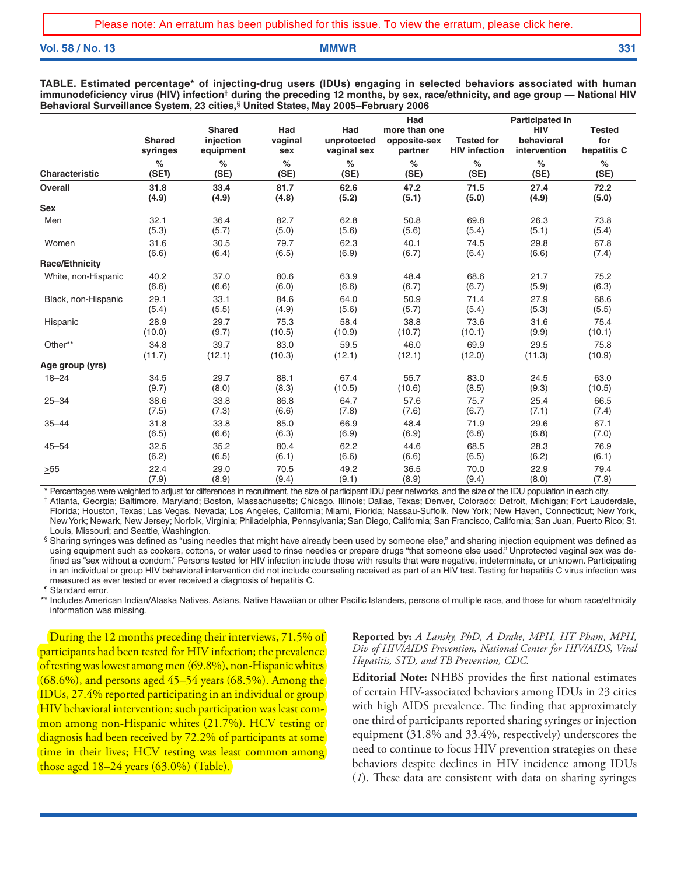**Vol. 58 / No. 13 MMWR 331**

**TABLE. Estimated percentage\* of injecting-drug users (IDUs) engaging in selected behaviors associated with human immunodeficiency virus (HIV) infection† during the preceding 12 months, by sex, race/ethnicity, and age group — National HIV Behavioral Surveillance System, 23 cities,**§ **United States, May 2005–February 2006**

|                       | <b>Shared</b><br>syringes | <b>Shared</b><br>injection<br>equipment | Had<br>vaginal<br>sex | Had<br>unprotected<br>vaginal sex | Had<br>more than one<br>opposite-sex<br>partner | <b>Tested for</b><br><b>HIV infection</b> | Participated in<br><b>HIV</b><br>behavioral<br>intervention | <b>Tested</b><br>for<br>hepatitis C |
|-----------------------|---------------------------|-----------------------------------------|-----------------------|-----------------------------------|-------------------------------------------------|-------------------------------------------|-------------------------------------------------------------|-------------------------------------|
| <b>Characteristic</b> | $\%$                      | %                                       | $\%$                  | $\%$                              | $\%$                                            | $\%$                                      | $\%$                                                        | $\%$                                |
|                       | (SE <sup>1</sup> )        | (SE)                                    | (SE)                  | (SE)                              | (SE)                                            | (SE)                                      | (SE)                                                        | (SE)                                |
| <b>Overall</b>        | 31.8                      | 33.4                                    | 81.7                  | 62.6                              | 47.2                                            | 71.5                                      | 27.4                                                        | 72.2                                |
|                       | (4.9)                     | (4.9)                                   | (4.8)                 | (5.2)                             | (5.1)                                           | (5.0)                                     | (4.9)                                                       | (5.0)                               |
| <b>Sex</b>            |                           |                                         |                       |                                   |                                                 |                                           |                                                             |                                     |
| Men                   | 32.1                      | 36.4                                    | 82.7                  | 62.8                              | 50.8                                            | 69.8                                      | 26.3                                                        | 73.8                                |
|                       | (5.3)                     | (5.7)                                   | (5.0)                 | (5.6)                             | (5.6)                                           | (5.4)                                     | (5.1)                                                       | (5.4)                               |
| Women                 | 31.6                      | 30.5                                    | 79.7                  | 62.3                              | 40.1                                            | 74.5                                      | 29.8                                                        | 67.8                                |
|                       | (6.6)                     | (6.4)                                   | (6.5)                 | (6.9)                             | (6.7)                                           | (6.4)                                     | (6.6)                                                       | (7.4)                               |
| <b>Race/Ethnicity</b> |                           |                                         |                       |                                   |                                                 |                                           |                                                             |                                     |
| White, non-Hispanic   | 40.2                      | 37.0                                    | 80.6                  | 63.9                              | 48.4                                            | 68.6                                      | 21.7                                                        | 75.2                                |
|                       | (6.6)                     | (6.6)                                   | (6.0)                 | (6.6)                             | (6.7)                                           | (6.7)                                     | (5.9)                                                       | (6.3)                               |
| Black, non-Hispanic   | 29.1                      | 33.1                                    | 84.6                  | 64.0                              | 50.9                                            | 71.4                                      | 27.9                                                        | 68.6                                |
|                       | (5.4)                     | (5.5)                                   | (4.9)                 | (5.6)                             | (5.7)                                           | (5.4)                                     | (5.3)                                                       | (5.5)                               |
| Hispanic              | 28.9                      | 29.7                                    | 75.3                  | 58.4                              | 38.8                                            | 73.6                                      | 31.6                                                        | 75.4                                |
|                       | (10.0)                    | (9.7)                                   | (10.5)                | (10.9)                            | (10.7)                                          | (10.1)                                    | (9.9)                                                       | (10.1)                              |
| Other**               | 34.8                      | 39.7                                    | 83.0                  | 59.5                              | 46.0                                            | 69.9                                      | 29.5                                                        | 75.8                                |
|                       | (11.7)                    | (12.1)                                  | (10.3)                | (12.1)                            | (12.1)                                          | (12.0)                                    | (11.3)                                                      | (10.9)                              |
| Age group (yrs)       |                           |                                         |                       |                                   |                                                 |                                           |                                                             |                                     |
| $18 - 24$             | 34.5                      | 29.7                                    | 88.1                  | 67.4                              | 55.7                                            | 83.0                                      | 24.5                                                        | 63.0                                |
|                       | (9.7)                     | (8.0)                                   | (8.3)                 | (10.5)                            | (10.6)                                          | (8.5)                                     | (9.3)                                                       | (10.5)                              |
| $25 - 34$             | 38.6                      | 33.8                                    | 86.8                  | 64.7                              | 57.6                                            | 75.7                                      | 25.4                                                        | 66.5                                |
|                       | (7.5)                     | (7.3)                                   | (6.6)                 | (7.8)                             | (7.6)                                           | (6.7)                                     | (7.1)                                                       | (7.4)                               |
| $35 - 44$             | 31.8                      | 33.8                                    | 85.0                  | 66.9                              | 48.4                                            | 71.9                                      | 29.6                                                        | 67.1                                |
|                       | (6.5)                     | (6.6)                                   | (6.3)                 | (6.9)                             | (6.9)                                           | (6.8)                                     | (6.8)                                                       | (7.0)                               |
| $45 - 54$             | 32.5                      | 35.2                                    | 80.4                  | 62.2                              | 44.6                                            | 68.5                                      | 28.3                                                        | 76.9                                |
|                       | (6.2)                     | (6.5)                                   | (6.1)                 | (6.6)                             | (6.6)                                           | (6.5)                                     | (6.2)                                                       | (6.1)                               |
| >55                   | 22.4                      | 29.0                                    | 70.5                  | 49.2                              | 36.5                                            | 70.0                                      | 22.9                                                        | 79.4                                |
|                       | (7.9)                     | (8.9)                                   | (9.4)                 | (9.1)                             | (8.9)                                           | (9.4)                                     | (8.0)                                                       | (7.9)                               |

Percentages were weighted to adjust for differences in recruitment, the size of participant IDU peer networks, and the size of the IDU population in each city.

† Atlanta, Georgia; Baltimore, Maryland; Boston, Massachusetts; Chicago, Illinois; Dallas, Texas; Denver, Colorado; Detroit, Michigan; Fort Lauderdale, Florida; Houston, Texas; Las Vegas, Nevada; Los Angeles, California; Miami, Florida; Nassau-Suffolk, New York; New Haven, Connecticut; New York, New York; Newark, New Jersey; Norfolk, Virginia; Philadelphia, Pennsylvania; San Diego, California; San Francisco, California; San Juan, Puerto Rico; St. Louis, Missouri; and Seattle, Washington.

§ Sharing syringes was defined as "using needles that might have already been used by someone else," and sharing injection equipment was defined as using equipment such as cookers, cottons, or water used to rinse needles or prepare drugs "that someone else used." Unprotected vaginal sex was defined as "sex without a condom." Persons tested for HIV infection include those with results that were negative, indeterminate, or unknown. Participating in an individual or group HIV behavioral intervention did not include counseling received as part of an HIV test. Testing for hepatitis C virus infection was measured as ever tested or ever received a diagnosis of hepatitis C.

¶ Standard error.

\*\* Includes American Indian/Alaska Natives, Asians, Native Hawaiian or other Pacific Islanders, persons of multiple race, and those for whom race/ethnicity information was missing.

During the 12 months preceding their interviews, 71.5% of participants had been tested for HIV infection; the prevalence of testing was lowest among men (69.8%), non-Hispanic whites (68.6%), and persons aged 45–54 years (68.5%). Among the [IDUs, 27.4% reported participating in an individual or group](http://www.cdc.gov/mmwr/PDF/wk/mm5850.pdf)  HIV behavioral intervention; such participation was least common among non-Hispanic whites (21.7%). HCV testing or diagnosis had been received by 72.2% of participants at some time in their lives; HCV testing was least common among those aged  $18-24$  years  $(63.0\%)$  (Table).

**Reported by:** *A Lansky, PhD, A Drake, MPH, HT Pham, MPH, Div of HIV/AIDS Prevention, National Center for HIV/AIDS, Viral Hepatitis, STD, and TB Prevention, CDC.*

**Editorial Note:** NHBS provides the first national estimates of certain HIV-associated behaviors among IDUs in 23 cities with high AIDS prevalence. The finding that approximately one third of participants reported sharing syringes or injection equipment (31.8% and 33.4%, respectively) underscores the need to continue to focus HIV prevention strategies on these behaviors despite declines in HIV incidence among IDUs (*1*). These data are consistent with data on sharing syringes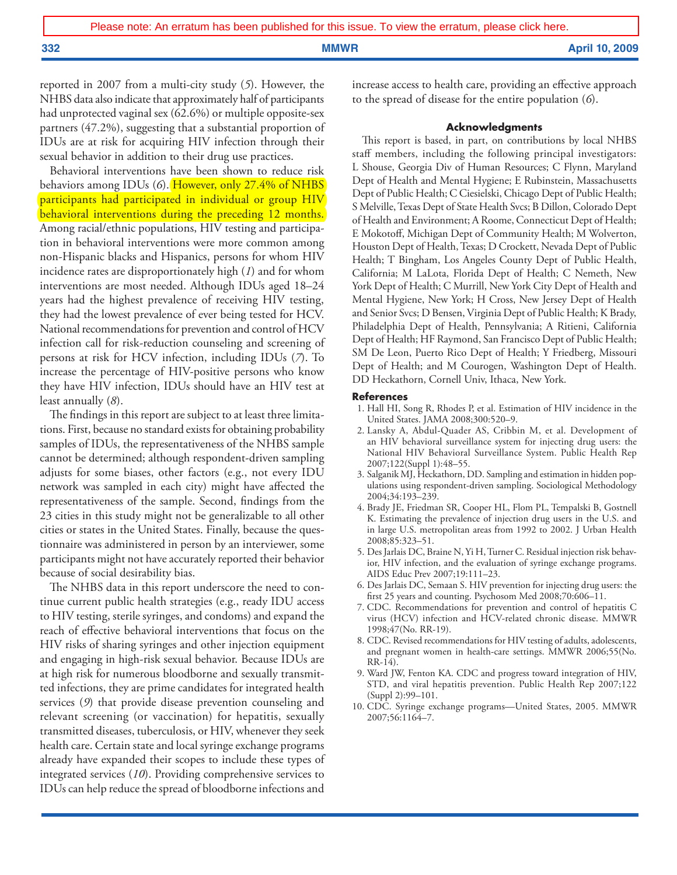reported in 2007 from a multi-city study (*5*). However, the NHBS data also indicate that approximately half of participants had unprotected vaginal sex (62.6%) or multiple opposite-sex partners (47.2%), suggesting that a substantial proportion of IDUs are at risk for acquiring HIV infection through their sexual behavior in addition to their drug use practices.

Behavioral interventions have been shown to reduce risk behaviors among IDUs (*6*). However, only 27.4% of NHBS [participants had participated in individual or group HIV](http://www.cdc.gov/mmwr/PDF/wk/mm5850.pdf)  behavioral interventions during the preceding 12 months. Among racial/ethnic populations, HIV testing and participation in behavioral interventions were more common among non-Hispanic blacks and Hispanics, persons for whom HIV incidence rates are disproportionately high (*1*) and for whom interventions are most needed. Although IDUs aged 18–24 years had the highest prevalence of receiving HIV testing, they had the lowest prevalence of ever being tested for HCV. National recommendations for prevention and control of HCV infection call for risk-reduction counseling and screening of persons at risk for HCV infection, including IDUs (*7*). To increase the percentage of HIV-positive persons who know they have HIV infection, IDUs should have an HIV test at least annually (*8*).

The findings in this report are subject to at least three limitations. First, because no standard exists for obtaining probability samples of IDUs, the representativeness of the NHBS sample cannot be determined; although respondent-driven sampling adjusts for some biases, other factors (e.g., not every IDU network was sampled in each city) might have affected the representativeness of the sample. Second, findings from the 23 cities in this study might not be generalizable to all other cities or states in the United States. Finally, because the questionnaire was administered in person by an interviewer, some participants might not have accurately reported their behavior because of social desirability bias.

The NHBS data in this report underscore the need to continue current public health strategies (e.g., ready IDU access to HIV testing, sterile syringes, and condoms) and expand the reach of effective behavioral interventions that focus on the HIV risks of sharing syringes and other injection equipment and engaging in high-risk sexual behavior. Because IDUs are at high risk for numerous bloodborne and sexually transmitted infections, they are prime candidates for integrated health services (*9*) that provide disease prevention counseling and relevant screening (or vaccination) for hepatitis, sexually transmitted diseases, tuberculosis, or HIV, whenever they seek health care. Certain state and local syringe exchange programs already have expanded their scopes to include these types of integrated services (*10*). Providing comprehensive services to IDUs can help reduce the spread of bloodborne infections and

increase access to health care, providing an effective approach to the spread of disease for the entire population (*6*).

### **Acknowledgments**

This report is based, in part, on contributions by local NHBS staff members, including the following principal investigators: L Shouse, Georgia Div of Human Resources; C Flynn, Maryland Dept of Health and Mental Hygiene; E Rubinstein, Massachusetts Dept of Public Health; C Ciesielski, Chicago Dept of Public Health; S Melville, Texas Dept of State Health Svcs; B Dillon, Colorado Dept of Health and Environment; A Roome, Connecticut Dept of Health; E Mokotoff, Michigan Dept of Community Health; M Wolverton, Houston Dept of Health, Texas; D Crockett, Nevada Dept of Public Health; T Bingham, Los Angeles County Dept of Public Health, California; M LaLota, Florida Dept of Health; C Nemeth, New York Dept of Health; C Murrill, New York City Dept of Health and Mental Hygiene, New York; H Cross, New Jersey Dept of Health and Senior Svcs; D Bensen, Virginia Dept of Public Health; K Brady, Philadelphia Dept of Health, Pennsylvania; A Ritieni, California Dept of Health; HF Raymond, San Francisco Dept of Public Health; SM De Leon, Puerto Rico Dept of Health; Y Friedberg, Missouri Dept of Health; and M Courogen, Washington Dept of Health. DD Heckathorn, Cornell Univ, Ithaca, New York.

### **References**

- 1. Hall HI, Song R, Rhodes P, et al. Estimation of HIV incidence in the United States. JAMA 2008;300:520–9.
- 2. Lansky A, Abdul-Quader AS, Cribbin M, et al. Development of an HIV behavioral surveillance system for injecting drug users: the National HIV Behavioral Surveillance System. Public Health Rep 2007;122(Suppl 1):48–55.
- 3. Salganik MJ, Heckathorn, DD. Sampling and estimation in hidden populations using respondent-driven sampling. Sociological Methodology 2004;34:193–239.
- 4. Brady JE, Friedman SR, Cooper HL, Flom PL, Tempalski B, Gostnell K. Estimating the prevalence of injection drug users in the U.S. and in large U.S. metropolitan areas from 1992 to 2002. J Urban Health 2008;85:323–51.
- 5. Des Jarlais DC, Braine N, Yi H, Turner C. Residual injection risk behavior, HIV infection, and the evaluation of syringe exchange programs. AIDS Educ Prev 2007;19:111–23.
- 6. Des Jarlais DC, Semaan S. HIV prevention for injecting drug users: the first 25 years and counting. Psychosom Med 2008;70:606–11.
- 7. CDC. Recommendations for prevention and control of hepatitis C virus (HCV) infection and HCV-related chronic disease. MMWR 1998;47(No. RR-19).
- 8. CDC. Revised recommendations for HIV testing of adults, adolescents, and pregnant women in health-care settings. MMWR 2006;55(No. RR-14).
- 9. Ward JW, Fenton KA. CDC and progress toward integration of HIV, STD, and viral hepatitis prevention. Public Health Rep 2007;122 (Suppl 2):99–101.
- 10. CDC. Syringe exchange programs—United States, 2005. MMWR 2007;56:1164–7.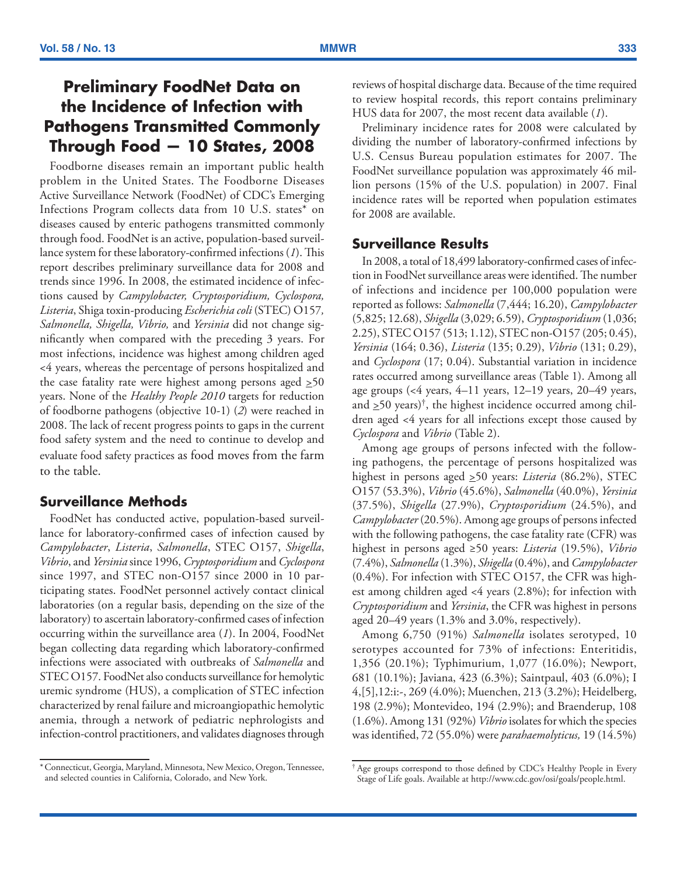# <span id="page-4-0"></span>**Preliminary FoodNet Data on the Incidence of Infection with Pathogens Transmitted Commonly Through Food — 10 States, 2008**

Foodborne diseases remain an important public health problem in the United States. The Foodborne Diseases Active Surveillance Network (FoodNet) of CDC's Emerging Infections Program collects data from 10 U.S. states\* on diseases caused by enteric pathogens transmitted commonly through food. FoodNet is an active, population-based surveillance system for these laboratory-confirmed infections (*1*). This report describes preliminary surveillance data for 2008 and trends since 1996. In 2008, the estimated incidence of infections caused by *Campylobacter, Cryptosporidium, Cyclospora, Listeria*, Shiga toxin-producing *Escherichia coli* (STEC) O157*, Salmonella, Shigella, Vibrio,* and *Yersinia* did not change significantly when compared with the preceding 3 years. For most infections, incidence was highest among children aged <4 years, whereas the percentage of persons hospitalized and the case fatality rate were highest among persons aged  $\geq 50$ years. None of the *Healthy People 2010* targets for reduction of foodborne pathogens (objective 10-1) (*2*) were reached in 2008. The lack of recent progress points to gaps in the current food safety system and the need to continue to develop and evaluate food safety practices as food moves from the farm to the table.

## **Surveillance Methods**

FoodNet has conducted active, population-based surveillance for laboratory-confirmed cases of infection caused by *Campylobacter*, *Listeria*, *Salmonella*, STEC O157, *Shigella*, *Vibrio*, and *Yersinia* since 1996, *Cryptosporidium* and *Cyclospora*  since 1997, and STEC non-O157 since 2000 in 10 participating states. FoodNet personnel actively contact clinical laboratories (on a regular basis, depending on the size of the laboratory) to ascertain laboratory-confirmed cases of infection occurring within the surveillance area (*1*). In 2004, FoodNet began collecting data regarding which laboratory-confirmed infections were associated with outbreaks of *Salmonella* and STEC O157. FoodNet also conducts surveillance for hemolytic uremic syndrome (HUS), a complication of STEC infection characterized by renal failure and microangiopathic hemolytic anemia, through a network of pediatric nephrologists and infection-control practitioners, and validates diagnoses through reviews of hospital discharge data. Because of the time required to review hospital records, this report contains preliminary HUS data for 2007, the most recent data available (*1*).

Preliminary incidence rates for 2008 were calculated by dividing the number of laboratory-confirmed infections by U.S. Census Bureau population estimates for 2007. The FoodNet surveillance population was approximately 46 million persons (15% of the U.S. population) in 2007. Final incidence rates will be reported when population estimates for 2008 are available.

## **Surveillance Results**

In 2008, a total of 18,499 laboratory-confirmed cases of infection in FoodNet surveillance areas were identified. The number of infections and incidence per 100,000 population were reported as follows: *Salmonella* (7,444; 16.20), *Campylobacter* (5,825; 12.68), *Shigella* (3,029; 6.59), *Cryptosporidium* (1,036; 2.25), STEC O157 (513; 1.12), STEC non-O157 (205; 0.45), *Yersinia* (164; 0.36), *Listeria* (135; 0.29), *Vibrio* (131; 0.29), and *Cyclospora* (17; 0.04). Substantial variation in incidence rates occurred among surveillance areas (Table 1). Among all age groups (<4 years, 4–11 years, 12–19 years, 20–49 years, and  $\geq 50$  years)<sup>†</sup>, the highest incidence occurred among children aged <4 years for all infections except those caused by *Cyclospora* and *Vibrio* (Table 2).

Among age groups of persons infected with the following pathogens, the percentage of persons hospitalized was highest in persons aged >50 years: *Listeria* (86.2%), STEC O157 (53.3%), *Vibrio* (45.6%), *Salmonella* (40.0%), *Yersinia*  (37.5%), *Shigella* (27.9%), *Cryptosporidium* (24.5%), and *Campylobacter* (20.5%). Among age groups of persons infected with the following pathogens, the case fatality rate (CFR) was highest in persons aged ≥50 years: *Listeria* (19.5%), *Vibrio* (7.4%), *Salmonella* (1.3%), *Shigella* (0.4%), and *Campylobacter* (0.4%). For infection with STEC O157, the CFR was highest among children aged <4 years (2.8%); for infection with *Cryptosporidium* and *Yersinia*, the CFR was highest in persons aged 20–49 years (1.3% and 3.0%, respectively).

Among 6,750 (91%) *Salmonella* isolates serotyped, 10 serotypes accounted for 73% of infections: Enteritidis, 1,356 (20.1%); Typhimurium, 1,077 (16.0%); Newport, 681 (10.1%); Javiana, 423 (6.3%); Saintpaul, 403 (6.0%); I 4,[5],12:i:-, 269 (4.0%); Muenchen, 213 (3.2%); Heidelberg, 198 (2.9%); Montevideo, 194 (2.9%); and Braenderup, 108 (1.6%). Among 131 (92%) *Vibrio* isolates for which the species was identified, 72 (55.0%) were *parahaemolyticus,* 19 (14.5%)

<sup>\*</sup>Connecticut, Georgia, Maryland, Minnesota, New Mexico, Oregon, Tennessee, and selected counties in California, Colorado, and New York.

<sup>†</sup> Age groups correspond to those defined by CDC's Healthy People in Every Stage of Life goals. Available at [http://www.cdc.gov/osi/goals/people.html.](http://www.cdc.gov/osi/goals/people.html)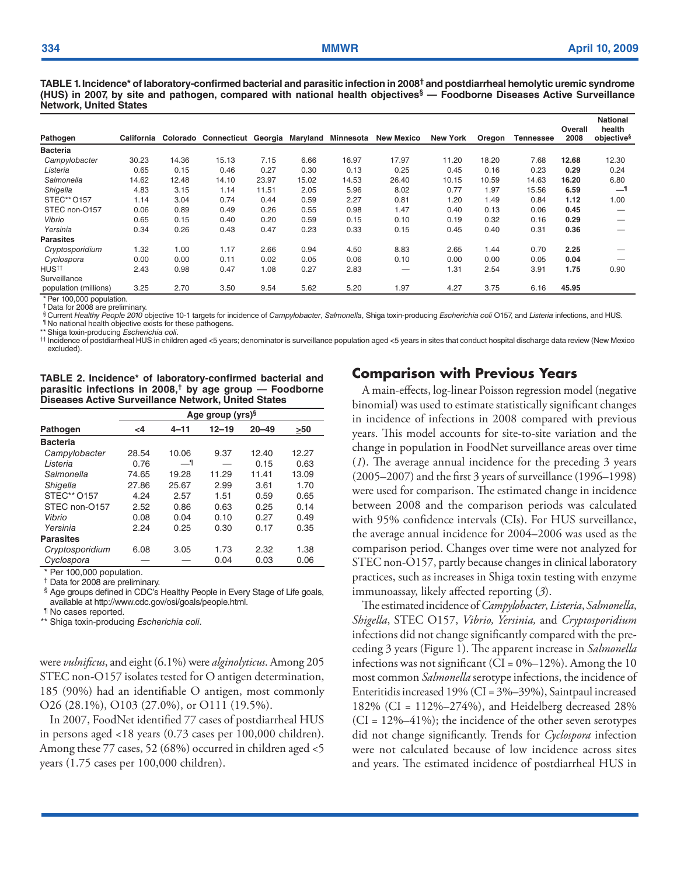**TABLE 1. Incidence\* of laboratory-confirmed bacterial and parasitic infection in 2008† and postdiarrheal hemolytic uremic syndrome (HUS) in 2007, by site and pathogen, compared with national health objectives§ — Foodborne Diseases Active Surveillance Network, United States**

| Pathogen              | California |       | Colorado Connecticut Georgia Maryland |       |       | <b>Minnesota</b> | <b>New Mexico</b> | <b>New York</b> | Oregon | Tennessee | Overall<br>2008 | <b>National</b><br>health<br>objective <sup>§</sup> |
|-----------------------|------------|-------|---------------------------------------|-------|-------|------------------|-------------------|-----------------|--------|-----------|-----------------|-----------------------------------------------------|
| <b>Bacteria</b>       |            |       |                                       |       |       |                  |                   |                 |        |           |                 |                                                     |
| Campylobacter         | 30.23      | 14.36 | 15.13                                 | 7.15  | 6.66  | 16.97            | 17.97             | 11.20           | 18.20  | 7.68      | 12.68           | 12.30                                               |
| Listeria              | 0.65       | 0.15  | 0.46                                  | 0.27  | 0.30  | 0.13             | 0.25              | 0.45            | 0.16   | 0.23      | 0.29            | 0.24                                                |
| Salmonella            | 14.62      | 12.48 | 14.10                                 | 23.97 | 15.02 | 14.53            | 26.40             | 10.15           | 10.59  | 14.63     | 16.20           | 6.80                                                |
| Shigella              | 4.83       | 3.15  | 1.14                                  | 11.51 | 2.05  | 5.96             | 8.02              | 0.77            | 1.97   | 15.56     | 6.59            | 1_                                                  |
| STEC** 0157           | 1.14       | 3.04  | 0.74                                  | 0.44  | 0.59  | 2.27             | 0.81              | 1.20            | 1.49   | 0.84      | 1.12            | 1.00                                                |
| STEC non-O157         | 0.06       | 0.89  | 0.49                                  | 0.26  | 0.55  | 0.98             | 1.47              | 0.40            | 0.13   | 0.06      | 0.45            |                                                     |
| Vibrio                | 0.65       | 0.15  | 0.40                                  | 0.20  | 0.59  | 0.15             | 0.10              | 0.19            | 0.32   | 0.16      | 0.29            |                                                     |
| Yersinia              | 0.34       | 0.26  | 0.43                                  | 0.47  | 0.23  | 0.33             | 0.15              | 0.45            | 0.40   | 0.31      | 0.36            |                                                     |
| <b>Parasites</b>      |            |       |                                       |       |       |                  |                   |                 |        |           |                 |                                                     |
| Cryptosporidium       | 1.32       | 1.00  | 1.17                                  | 2.66  | 0.94  | 4.50             | 8.83              | 2.65            | 1.44   | 0.70      | 2.25            |                                                     |
| Cyclospora            | 0.00       | 0.00  | 0.11                                  | 0.02  | 0.05  | 0.06             | 0.10              | 0.00            | 0.00   | 0.05      | 0.04            |                                                     |
| HUS <sup>††</sup>     | 2.43       | 0.98  | 0.47                                  | 1.08  | 0.27  | 2.83             | –                 | 1.31            | 2.54   | 3.91      | 1.75            | 0.90                                                |
| Surveillance          |            |       |                                       |       |       |                  |                   |                 |        |           |                 |                                                     |
| population (millions) | 3.25       | 2.70  | 3.50                                  | 9.54  | 5.62  | 5.20             | 1.97              | 4.27            | 3.75   | 6.16      | 45.95           |                                                     |

\* Per 100,000 population. † Data for 2008 are preliminary.

§ Current *Healthy People 2010* objective 10-1 targets for incidence of *Campylobacter*, *Salmonella*, Shiga toxin-producing *Escherichia coli* O157, and *Listeria* infections, and HUS. ¶ No national health objective exists for these pathogens.

\*\* Shiga toxin-producing *Escherichia coli*.

†† Incidence of postdiarrheal HUS in children aged <5 years; denominator is surveillance population aged <5 years in sites that conduct hospital discharge data review (New Mexico excluded).

**TABLE 2. Incidence\* of laboratory-confirmed bacterial and parasitic infections in 2008,† by age group — Foodborne Diseases Active Surveillance Network, United States**

|                  |          |       | Age group (yrs) <sup>§</sup> |           |       |
|------------------|----------|-------|------------------------------|-----------|-------|
| Pathogen         | $\leq$ 4 | 4-11  | $12 - 19$                    | $20 - 49$ | >50   |
| <b>Bacteria</b>  |          |       |                              |           |       |
| Campylobacter    | 28.54    | 10.06 | 9.37                         | 12.40     | 12.27 |
| I isteria        | 0.76     | —¶    |                              | 0.15      | 0.63  |
| Salmonella       | 74.65    | 19.28 | 11.29                        | 11.41     | 13.09 |
| Shigella         | 27.86    | 25.67 | 2.99                         | 3.61      | 1.70  |
| STEC** 0157      | 4.24     | 2.57  | 1.51                         | 0.59      | 0.65  |
| STEC non-O157    | 2.52     | 0.86  | 0.63                         | 0.25      | 0.14  |
| Vibrio           | 0.08     | 0.04  | 0.10                         | 0.27      | 0.49  |
| Yersinia         | 2.24     | 0.25  | 0.30                         | 0.17      | 0.35  |
| <b>Parasites</b> |          |       |                              |           |       |
| Cryptosporidium  | 6.08     | 3.05  | 1.73                         | 2.32      | 1.38  |
| Cyclospora       |          |       | 0.04                         | 0.03      | 0.06  |

\* Per 100,000 population.

† Data for 2008 are preliminary.

§ Age groups defined in CDC's Healthy People in Every Stage of Life goals, available at<http://www.cdc.gov/osi/goals/people.html>.

¶ No cases reported.

\*\* Shiga toxin-producing *Escherichia coli*.

were *vulnificus*, and eight (6.1%) were *alginolyticus*. Among 205 STEC non-O157 isolates tested for O antigen determination, 185 (90%) had an identifiable O antigen, most commonly O26 (28.1%), O103 (27.0%), or O111 (19.5%).

In 2007, FoodNet identified 77 cases of postdiarrheal HUS in persons aged <18 years (0.73 cases per 100,000 children). Among these 77 cases, 52 (68%) occurred in children aged <5 years (1.75 cases per 100,000 children).

## **Comparison with Previous Years**

A main-effects, log-linear Poisson regression model (negative binomial) was used to estimate statistically significant changes in incidence of infections in 2008 compared with previous years. This model accounts for site-to-site variation and the change in population in FoodNet surveillance areas over time (*1*). The average annual incidence for the preceding 3 years (2005–2007) and the first 3 years of surveillance (1996–1998) were used for comparison. The estimated change in incidence between 2008 and the comparison periods was calculated with 95% confidence intervals (CIs). For HUS surveillance, the average annual incidence for 2004–2006 was used as the comparison period. Changes over time were not analyzed for STEC non-O157, partly because changes in clinical laboratory practices, such as increases in Shiga toxin testing with enzyme immunoassay, likely affected reporting (*3*).

The estimatedincidence of *Campylobacter*, *Listeria*, *Salmonella*, *Shigella*, STEC O157, *Vibrio, Yersinia,* and *Cryptosporidium*  infections did not change significantly compared with the preceding 3 years (Figure 1). The apparent increase in *Salmonella* infections was not significant (CI =  $0\%$ -12%). Among the 10 most common *Salmonella* serotype infections, the incidence of Enteritidis increased 19% (CI = 3%–39%), Saintpaul increased 182% (CI = 112%–274%), and Heidelberg decreased 28%  $(CI = 12\% - 41\%)$ ; the incidence of the other seven serotypes did not change significantly. Trends for *Cyclospora* infection were not calculated because of low incidence across sites and years. The estimated incidence of postdiarrheal HUS in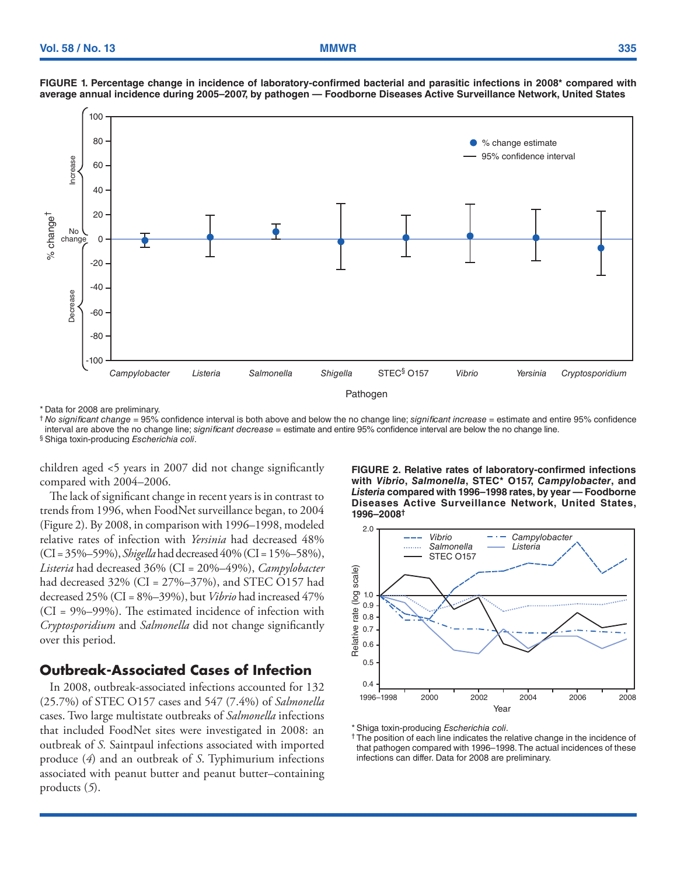



\* Data for 2008 are preliminary.

† *No significant change* = 95% confidence interval is both above and below the no change line; *significant increase* = estimate and entire 95% confidence interval are above the no change line; *significant decrease* = estimate and entire 95% confidence interval are below the no change line. § Shiga toxin-producing *Escherichia coli*.

children aged <5 years in 2007 did not change significantly compared with 2004–2006.

The lack of significant change in recent years is in contrast to trends from 1996, when FoodNet surveillance began, to 2004 (Figure 2). By 2008, in comparison with 1996–1998, modeled relative rates of infection with *Yersinia* had decreased 48% (CI = 35%–59%), *Shigella* had decreased 40% (CI = 15%–58%), *Listeria* had decreased 36% (CI = 20%–49%), *Campylobacter* had decreased 32% (CI = 27%–37%), and STEC O157 had decreased 25% (CI = 8%–39%), but *Vibrio* had increased 47% (CI = 9%–99%). The estimated incidence of infection with *Cryptosporidium* and *Salmonella* did not change significantly over this period.

## **Outbreak-Associated Cases of Infection**

In 2008, outbreak-associated infections accounted for 132 (25.7%) of STEC O157 cases and 547 (7.4%) of *Salmonella* cases. Two large multistate outbreaks of *Salmonella* infections that included FoodNet sites were investigated in 2008: an outbreak of *S.* Saintpaul infections associated with imported produce (*4*) and an outbreak of *S*. Typhimurium infections associated with peanut butter and peanut butter–containing products (*5*).

**FIGURE 2. Relative rates of laboratory-confirmed infections with** *Vibrio***,** *Salmonella***, STEC\* O157,** *Campylobacter***, and**  *Listeria* **compared with 1996–1998 rates, by year — Foodborne Diseases Active Surveillance Network, United States, 1996–2008†**



\* Shiga toxin-producing *Escherichia coli*.

† The position of each line indicates the relative change in the incidence of that pathogen compared with 1996–1998. The actual incidences of these infections can differ. Data for 2008 are preliminary.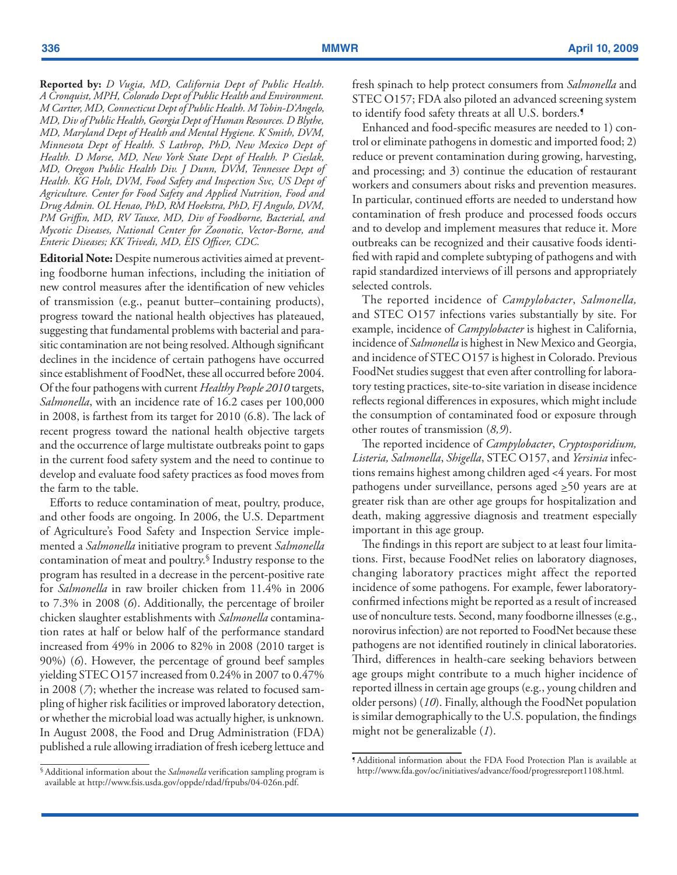**Reported by:** *D Vugia, MD, California Dept of Public Health. A Cronquist, MPH, Colorado Dept of Public Health and Environment. M Cartter, MD, Connecticut Dept of Public Health. M Tobin-D'Angelo, MD, Div of Public Health, Georgia Dept of Human Resources. D Blythe, MD, Maryland Dept of Health and Mental Hygiene. K Smith, DVM, Minnesota Dept of Health. S Lathrop, PhD, New Mexico Dept of Health. D Morse, MD, New York State Dept of Health. P Cieslak, MD, Oregon Public Health Div. J Dunn, DVM, Tennessee Dept of Health. KG Holt, DVM, Food Safety and Inspection Svc, US Dept of Agriculture. Center for Food Safety and Applied Nutrition, Food and Drug Admin. OL Henao, PhD, RM Hoekstra, PhD, FJ Angulo, DVM, PM Griffin, MD, RV Tauxe, MD, Div of Foodborne, Bacterial, and Mycotic Diseases, National Center for Zoonotic, Vector-Borne, and Enteric Diseases; KK Trivedi, MD, EIS Officer, CDC.* 

**Editorial Note:** Despite numerous activities aimed at preventing foodborne human infections, including the initiation of new control measures after the identification of new vehicles of transmission (e.g., peanut butter–containing products), progress toward the national health objectives has plateaued, suggesting that fundamental problems with bacterial and parasitic contamination are not being resolved. Although significant declines in the incidence of certain pathogens have occurred since establishment of FoodNet, these all occurred before 2004. Of the four pathogens with current *Healthy People 2010* targets, *Salmonella*, with an incidence rate of 16.2 cases per 100,000 in 2008, is farthest from its target for 2010 (6.8). The lack of recent progress toward the national health objective targets and the occurrence of large multistate outbreaks point to gaps in the current food safety system and the need to continue to develop and evaluate food safety practices as food moves from the farm to the table.

Efforts to reduce contamination of meat, poultry, produce, and other foods are ongoing. In 2006, the U.S. Department of Agriculture's Food Safety and Inspection Service implemented a *Salmonella* initiative program to prevent *Salmonella* contamination of meat and poultry. § Industry response to the program has resulted in a decrease in the percent-positive rate for *Salmonella* in raw broiler chicken from 11.4% in 2006 to 7.3% in 2008 (*6*). Additionally, the percentage of broiler chicken slaughter establishments with *Salmonella* contamination rates at half or below half of the performance standard increased from 49% in 2006 to 82% in 2008 (2010 target is 90%) (*6*). However, the percentage of ground beef samples yielding STEC O157 increased from 0.24% in 2007 to 0.47% in 2008 (*7*); whether the increase was related to focused sampling of higher risk facilities or improved laboratory detection, or whether the microbial load was actually higher, is unknown. In August 2008, the Food and Drug Administration (FDA) published a rule allowing irradiation of fresh iceberg lettuce and

fresh spinach to help protect consumers from *Salmonella* and STEC O157; FDA also piloted an advanced screening system to identify food safety threats at all U.S. borders. ¶

Enhanced and food-specific measures are needed to 1) control or eliminate pathogens in domestic and imported food; 2) reduce or prevent contamination during growing, harvesting, and processing; and 3) continue the education of restaurant workers and consumers about risks and prevention measures. In particular, continued efforts are needed to understand how contamination of fresh produce and processed foods occurs and to develop and implement measures that reduce it. More outbreaks can be recognized and their causative foods identified with rapid and complete subtyping of pathogens and with rapid standardized interviews of ill persons and appropriately selected controls.

The reported incidence of *Campylobacter*, *Salmonella,* and STEC O157 infections varies substantially by site. For example, incidence of *Campylobacter* is highest in California, incidence of *Salmonella* is highest in New Mexico and Georgia, and incidence of STEC O157 is highest in Colorado. Previous FoodNet studies suggest that even after controlling for laboratory testing practices, site-to-site variation in disease incidence reflects regional differences in exposures, which might include the consumption of contaminated food or exposure through other routes of transmission (*8,9*).

The reported incidence of *Campylobacter*, *Cryptosporidium, Listeria, Salmonella*, *Shigella*, STEC O157, and *Yersinia* infections remains highest among children aged <4 years. For most pathogens under surveillance, persons aged  $\geq 50$  years are at greater risk than are other age groups for hospitalization and death, making aggressive diagnosis and treatment especially important in this age group.

The findings in this report are subject to at least four limitations. First, because FoodNet relies on laboratory diagnoses, changing laboratory practices might affect the reported incidence of some pathogens. For example, fewer laboratoryconfirmed infections might be reported as a result of increased use of nonculture tests. Second, many foodborne illnesses (e.g., norovirus infection) are not reported to FoodNet because these pathogens are not identified routinely in clinical laboratories. Third, differences in health-care seeking behaviors between age groups might contribute to a much higher incidence of reported illness in certain age groups (e.g., young children and older persons) (*10*). Finally, although the FoodNet population is similar demographically to the U.S. population, the findings might not be generalizable (*1*).

<sup>§</sup> Additional information about the *Salmonella* verification sampling program is available at <http://www.fsis.usda.gov/oppde/rdad/frpubs/04-026n.pdf>.

<sup>¶</sup> Additional information about the FDA Food Protection Plan is available at <http://www.fda.gov/oc/initiatives/advance/food/progressreport1108.html>.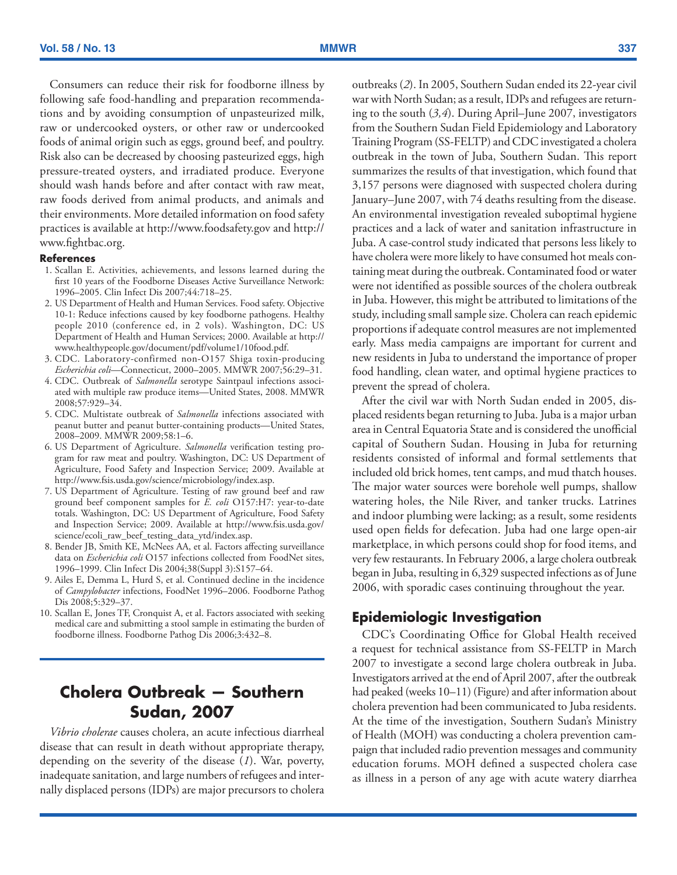<span id="page-8-0"></span>Consumers can reduce their risk for foodborne illness by following safe food-handling and preparation recommendations and by avoiding consumption of unpasteurized milk, raw or undercooked oysters, or other raw or undercooked foods of animal origin such as eggs, ground beef, and poultry. Risk also can be decreased by choosing pasteurized eggs, high pressure-treated oysters, and irradiated produce. Everyone should wash hands before and after contact with raw meat, raw foods derived from animal products, and animals and their environments. More detailed information on food safety practices is available at http://[www.foodsafety.gov](file://cdc/project/NCHM_OD_MMWR/MM/MM%2058%20series%20(2009)/MM5813/Docs%20%26%20figs/www.foodsafety.gov/) and http:// [www.fightbac.org](file://cdc/project/NCHM_OD_MMWR/MM/MM%2058%20series%20(2009)/MM5813/Docs%20%26%20figs/www.fightbac.org ).

#### **References**

- 1. Scallan E. Activities, achievements, and lessons learned during the first 10 years of the Foodborne Diseases Active Surveillance Network: 1996–2005. Clin Infect Dis 2007;44:718–25.
- 2. US Department of Health and Human Services. Food safety. Objective 10-1: Reduce infections caused by key foodborne pathogens. Healthy people 2010 (conference ed, in 2 vols). Washington, DC: US Department of Health and Human Services; 2000. Available at [http://](http://www.healthypeople.gov/Document/pdf/Volume1/10Food.pdf) [www.healthypeople.gov/document/pdf/volume1/10food.pdf](http://www.healthypeople.gov/Document/pdf/Volume1/10Food.pdf).
- 3. CDC. Laboratory-confirmed non-O157 Shiga toxin-producing *Escherichia coli*—Connecticut, 2000–2005. MMWR 2007;56:29–31.
- 4. CDC. Outbreak of *Salmonella* serotype Saintpaul infections associated with multiple raw produce items—United States, 2008. MMWR 2008;57:929–34.
- 5. CDC. Multistate outbreak of *Salmonella* infections associated with peanut butter and peanut butter-containing products—United States, 2008–2009. MMWR 2009;58:1–6.
- 6. US Department of Agriculture. *Salmonella* verification testing program for raw meat and poultry. Washington, DC: US Department of Agriculture, Food Safety and Inspection Service; 2009. Available at <http://www.fsis.usda.gov/science/microbiology/index.asp>.
- 7. US Department of Agriculture. Testing of raw ground beef and raw ground beef component samples for *E. coli* O157:H7: year-to-date totals. Washington, DC: US Department of Agriculture, Food Safety and Inspection Service; 2009. Available at [http://www.fsis.usda.gov/](http://www.fsis.usda.gov/Science/Ecoli_Raw_Beef_Testing_Data_YTD/index.asp ) [science/ecoli\\_raw\\_beef\\_testing\\_data\\_ytd/index.asp](http://www.fsis.usda.gov/Science/Ecoli_Raw_Beef_Testing_Data_YTD/index.asp ).
- 8. Bender JB, Smith KE, McNees AA, et al. Factors affecting surveillance data on *Escherichia coli* O157 infections collected from FoodNet sites, 1996–1999. Clin Infect Dis 2004;38(Suppl 3):S157–64.
- 9. Ailes E, Demma L, Hurd S, et al. Continued decline in the incidence of *Campylobacter* infections, FoodNet 1996–2006. Foodborne Pathog Dis 2008;5:329–37.
- 10. Scallan E, Jones TF, Cronquist A, et al. Factors associated with seeking medical care and submitting a stool sample in estimating the burden of foodborne illness. Foodborne Pathog Dis 2006;3:432–8.

# **Cholera Outbreak — Southern Sudan, 2007**

*Vibrio cholerae* causes cholera, an acute infectious diarrheal disease that can result in death without appropriate therapy, depending on the severity of the disease (*1*). War, poverty, inadequate sanitation, and large numbers of refugees and internally displaced persons (IDPs) are major precursors to cholera outbreaks (*2*). In 2005, Southern Sudan ended its 22-year civil war with North Sudan; as a result, IDPs and refugees are returning to the south (*3,4*). During April–June 2007, investigators from the Southern Sudan Field Epidemiology and Laboratory Training Program (SS-FELTP) and CDC investigated a cholera outbreak in the town of Juba, Southern Sudan. This report summarizes the results of that investigation, which found that 3,157 persons were diagnosed with suspected cholera during January–June 2007, with 74 deaths resulting from the disease. An environmental investigation revealed suboptimal hygiene practices and a lack of water and sanitation infrastructure in Juba. A case-control study indicated that persons less likely to have cholera were more likely to have consumed hot meals containing meat during the outbreak. Contaminated food or water were not identified as possible sources of the cholera outbreak in Juba. However, this might be attributed to limitations of the study, including small sample size. Cholera can reach epidemic proportions if adequate control measures are not implemented early. Mass media campaigns are important for current and new residents in Juba to understand the importance of proper food handling, clean water, and optimal hygiene practices to prevent the spread of cholera.

After the civil war with North Sudan ended in 2005, displaced residents began returning to Juba. Juba is a major urban area in Central Equatoria State and is considered the unofficial capital of Southern Sudan. Housing in Juba for returning residents consisted of informal and formal settlements that included old brick homes, tent camps, and mud thatch houses. The major water sources were borehole well pumps, shallow watering holes, the Nile River, and tanker trucks. Latrines and indoor plumbing were lacking; as a result, some residents used open fields for defecation. Juba had one large open-air marketplace, in which persons could shop for food items, and very few restaurants. In February 2006, a large cholera outbreak began in Juba, resulting in 6,329 suspected infections as of June 2006, with sporadic cases continuing throughout the year.

## **Epidemiologic Investigation**

CDC's Coordinating Office for Global Health received a request for technical assistance from SS-FELTP in March 2007 to investigate a second large cholera outbreak in Juba. Investigators arrived at the end of April 2007, after the outbreak had peaked (weeks 10–11) (Figure) and after information about cholera prevention had been communicated to Juba residents. At the time of the investigation, Southern Sudan's Ministry of Health (MOH) was conducting a cholera prevention campaign that included radio prevention messages and community education forums. MOH defined a suspected cholera case as illness in a person of any age with acute watery diarrhea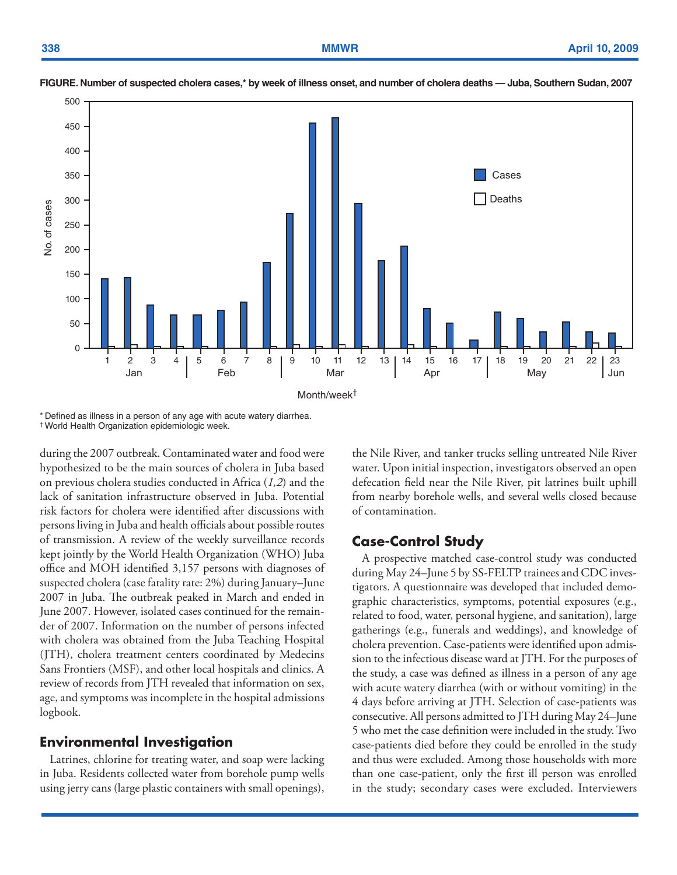

**FIGURE. Number of suspected cholera cases,\* by week of illness onset, and number of cholera deaths — Juba, Southern Sudan, 2007**

\* Defined as illness in a person of any age with acute watery diarrhea. † World Health Organization epidemiologic week.

during the 2007 outbreak. Contaminated water and food were hypothesized to be the main sources of cholera in Juba based on previous cholera studies conducted in Africa (*1,2*) and the lack of sanitation infrastructure observed in Juba. Potential risk factors for cholera were identified after discussions with persons living in Juba and health officials about possible routes of transmission. A review of the weekly surveillance records kept jointly by the World Health Organization (WHO) Juba office and MOH identified 3,157 persons with diagnoses of suspected cholera (case fatality rate: 2%) during January–June 2007 in Juba. The outbreak peaked in March and ended in June 2007. However, isolated cases continued for the remainder of 2007. Information on the number of persons infected with cholera was obtained from the Juba Teaching Hospital (JTH), cholera treatment centers coordinated by Medecins Sans Frontiers (MSF), and other local hospitals and clinics. A review of records from JTH revealed that information on sex, age, and symptoms was incomplete in the hospital admissions logbook.

## **Environmental Investigation**

Latrines, chlorine for treating water, and soap were lacking in Juba. Residents collected water from borehole pump wells using jerry cans (large plastic containers with small openings), the Nile River, and tanker trucks selling untreated Nile River water. Upon initial inspection, investigators observed an open defecation field near the Nile River, pit latrines built uphill from nearby borehole wells, and several wells closed because of contamination.

## **Case-Control Study**

A prospective matched case-control study was conducted during May 24–June 5 by SS-FELTP trainees and CDC investigators. A questionnaire was developed that included demographic characteristics, symptoms, potential exposures (e.g., related to food, water, personal hygiene, and sanitation), large gatherings (e.g., funerals and weddings), and knowledge of cholera prevention. Case-patients were identified upon admission to the infectious disease ward at JTH. For the purposes of the study, a case was defined as illness in a person of any age with acute watery diarrhea (with or without vomiting) in the 4 days before arriving at JTH. Selection of case-patients was consecutive. All persons admitted to JTH during May 24–June 5 who met the case definition were included in the study. Two case-patients died before they could be enrolled in the study and thus were excluded. Among those households with more than one case-patient, only the first ill person was enrolled in the study; secondary cases were excluded. Interviewers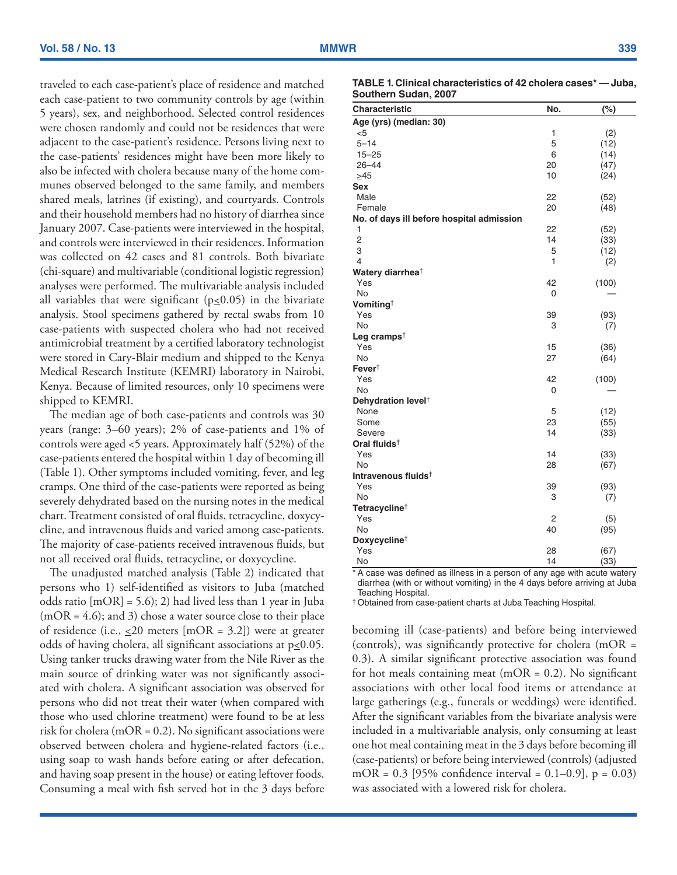traveled to each case-patient's place of residence and matched each case-patient to two community controls by age (within 5 years), sex, and neighborhood. Selected control residences were chosen randomly and could not be residences that were adjacent to the case-patient's residence. Persons living next to the case-patients' residences might have been more likely to also be infected with cholera because many of the home communes observed belonged to the same family, and members shared meals, latrines (if existing), and courtyards. Controls and their household members had no history of diarrhea since January 2007. Case-patients were interviewed in the hospital, and controls were interviewed in their residences. Information was collected on 42 cases and 81 controls. Both bivariate (chi-square) and multivariable (conditional logistic regression) analyses were performed. The multivariable analysis included all variables that were significant ( $p \le 0.05$ ) in the bivariate analysis. Stool specimens gathered by rectal swabs from 10 case-patients with suspected cholera who had not received antimicrobial treatment by a certified laboratory technologist were stored in Cary-Blair medium and shipped to the Kenya Medical Research Institute (KEMRI) laboratory in Nairobi, Kenya. Because of limited resources, only 10 specimens were shipped to KEMRI.

The median age of both case-patients and controls was 30 years (range: 3–60 years); 2% of case-patients and 1% of controls were aged <5 years. Approximately half (52%) of the case-patients entered the hospital within 1 day of becoming ill (Table 1). Other symptoms included vomiting, fever, and leg cramps. One third of the case-patients were reported as being severely dehydrated based on the nursing notes in the medical chart. Treatment consisted of oral fluids, tetracycline, doxycycline, and intravenous fluids and varied among case-patients. The majority of case-patients received intravenous fluids, but not all received oral fluids, tetracycline, or doxycycline.

The unadjusted matched analysis (Table 2) indicated that persons who 1) self-identified as visitors to Juba (matched odds ratio  $[mOR] = 5.6$ ; 2) had lived less than 1 year in Juba  $(mOR = 4.6)$ ; and 3) chose a water source close to their place of residence (i.e.,  $\leq 20$  meters [mOR = 3.2]) were at greater odds of having cholera, all significant associations at  $p \le 0.05$ . Using tanker trucks drawing water from the Nile River as the main source of drinking water was not significantly associated with cholera. A significant association was observed for persons who did not treat their water (when compared with those who used chlorine treatment) were found to be at less risk for cholera (mOR =  $0.2$ ). No significant associations were observed between cholera and hygiene-related factors (i.e., using soap to wash hands before eating or after defecation, and having soap present in the house) or eating leftover foods. Consuming a meal with fish served hot in the 3 days before

| TABLE 1. Clinical characteristics of 42 cholera cases* — Juba. |  |
|----------------------------------------------------------------|--|
| Southern Sudan, 2007                                           |  |

| - 7                                        |     |        |
|--------------------------------------------|-----|--------|
| Characteristic                             | No. | $(\%)$ |
| Age (yrs) (median: 30)                     |     |        |
| $<$ 5                                      | 1   | (2)    |
| $5 - 14$                                   | 5   | (12)   |
| $15 - 25$                                  | 6   | (14)   |
| $26 - 44$                                  | 20  | (47)   |
| $>45$                                      | 10  | (24)   |
| <b>Sex</b>                                 |     |        |
| Male                                       | 22  | (52)   |
| Female                                     | 20  | (48)   |
| No. of days ill before hospital admission  |     |        |
| 1                                          | 22  | (52)   |
| $\overline{c}$                             | 14  | (33)   |
| 3                                          | 5   | (12)   |
| $\overline{4}$                             | 1   | (2)    |
| Watery diarrhea <sup>†</sup>               |     |        |
| Yes                                        | 42  | (100)  |
| No                                         | 0   |        |
| Vomiting <sup><math>\dagger</math></sup>   |     |        |
| Yes                                        | 39  | (93)   |
| <b>No</b>                                  | 3   | (7)    |
| Leg cramps <sup><math>\dagger</math></sup> |     |        |
| Yes                                        | 15  | (36)   |
| No<br>$Fever^{\dagger}$                    | 27  | (64)   |
| Yes                                        | 42  | (100)  |
| No                                         | 0   |        |
| Dehydration level <sup>†</sup>             |     |        |
| None                                       | 5   | (12)   |
| Some                                       | 23  | (55)   |
| Severe                                     | 14  | (33)   |
| Oral fluids <sup>†</sup>                   |     |        |
| Yes                                        | 14  | (33)   |
| No                                         | 28  | (67)   |
| Intravenous fluids <sup>†</sup>            |     |        |
| Yes                                        | 39  | (93)   |
| <b>No</b>                                  | 3   | (7)    |
| Tetracycline <sup>†</sup>                  |     |        |
| Yes                                        | 2   | (5)    |
| <b>No</b>                                  | 40  | (95)   |
| Doxycycline <sup>†</sup>                   |     |        |
| Yes                                        | 28  | (67)   |
| No                                         | 14  | (33)   |

\* A case was defined as illness in a person of any age with acute watery diarrhea (with or without vomiting) in the 4 days before arriving at Juba Teaching Hospital.

† Obtained from case-patient charts at Juba Teaching Hospital.

becoming ill (case-patients) and before being interviewed (controls), was significantly protective for cholera (mOR = 0.3). A similar significant protective association was found for hot meals containing meat (mOR =  $0.2$ ). No significant associations with other local food items or attendance at large gatherings (e.g., funerals or weddings) were identified. After the significant variables from the bivariate analysis were included in a multivariable analysis, only consuming at least one hot meal containing meat in the 3 days before becoming ill (case-patients) or before being interviewed (controls) (adjusted mOR =  $0.3$  [95% confidence interval =  $0.1-0.9$ ], p =  $0.03$ ) was associated with a lowered risk for cholera.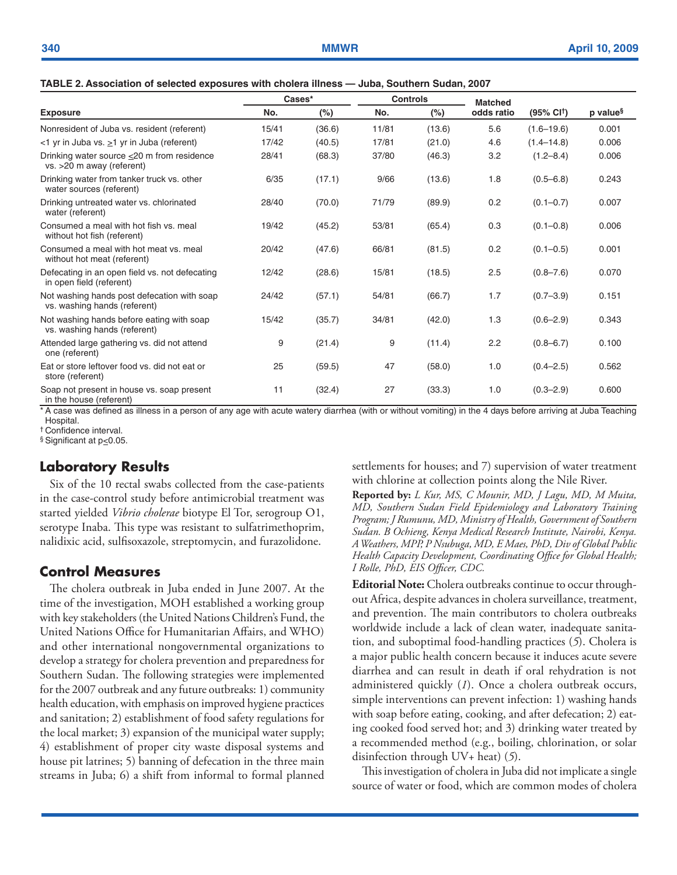|  | TABLE 2. Association of selected exposures with cholera illness - Juba, Southern Sudan, 2007 |  |  |
|--|----------------------------------------------------------------------------------------------|--|--|
|--|----------------------------------------------------------------------------------------------|--|--|

|                                                                             | Cases* |        |       | <b>Controls</b> | <b>Matched</b> |                       |                      |
|-----------------------------------------------------------------------------|--------|--------|-------|-----------------|----------------|-----------------------|----------------------|
| <b>Exposure</b>                                                             | No.    | $(\%)$ | No.   | $(\%)$          | odds ratio     | $(95\% \text{ Cl}^+)$ | p value <sup>§</sup> |
| Nonresident of Juba vs. resident (referent)                                 | 15/41  | (36.6) | 11/81 | (13.6)          | 5.6            | $(1.6 - 19.6)$        | 0.001                |
| <1 yr in Juba vs. $\geq$ 1 yr in Juba (referent)                            | 17/42  | (40.5) | 17/81 | (21.0)          | 4.6            | $(1.4 - 14.8)$        | 0.006                |
| Drinking water source <20 m from residence<br>vs. >20 m away (referent)     | 28/41  | (68.3) | 37/80 | (46.3)          | 3.2            | $(1.2 - 8.4)$         | 0.006                |
| Drinking water from tanker truck vs. other<br>water sources (referent)      | 6/35   | (17.1) | 9/66  | (13.6)          | 1.8            | $(0.5 - 6.8)$         | 0.243                |
| Drinking untreated water vs. chlorinated<br>water (referent)                | 28/40  | (70.0) | 71/79 | (89.9)          | 0.2            | $(0.1 - 0.7)$         | 0.007                |
| Consumed a meal with hot fish vs. meal<br>without hot fish (referent)       | 19/42  | (45.2) | 53/81 | (65.4)          | 0.3            | $(0.1 - 0.8)$         | 0.006                |
| Consumed a meal with hot meat vs. meal<br>without hot meat (referent)       | 20/42  | (47.6) | 66/81 | (81.5)          | 0.2            | $(0.1 - 0.5)$         | 0.001                |
| Defecating in an open field vs. not defecating<br>in open field (referent)  | 12/42  | (28.6) | 15/81 | (18.5)          | 2.5            | $(0.8 - 7.6)$         | 0.070                |
| Not washing hands post defecation with soap<br>vs. washing hands (referent) | 24/42  | (57.1) | 54/81 | (66.7)          | 1.7            | $(0.7 - 3.9)$         | 0.151                |
| Not washing hands before eating with soap<br>vs. washing hands (referent)   | 15/42  | (35.7) | 34/81 | (42.0)          | 1.3            | $(0.6 - 2.9)$         | 0.343                |
| Attended large gathering vs. did not attend<br>one (referent)               | 9      | (21.4) | 9     | (11.4)          | 2.2            | $(0.8 - 6.7)$         | 0.100                |
| Eat or store leftover food vs. did not eat or<br>store (referent)           | 25     | (59.5) | 47    | (58.0)          | 1.0            | $(0.4 - 2.5)$         | 0.562                |
| Soap not present in house vs. soap present<br>in the house (referent)       | 11     | (32.4) | 27    | (33.3)          | 1.0            | $(0.3 - 2.9)$         | 0.600                |

\* A case was defined as illness in a person of any age with acute watery diarrhea (with or without vomiting) in the 4 days before arriving at Juba Teaching Hospital.

† Confidence interval.

§ Significant at p≤0.05.

## **Laboratory Results**

Six of the 10 rectal swabs collected from the case-patients in the case-control study before antimicrobial treatment was started yielded *Vibrio cholerae* biotype El Tor, serogroup O1, serotype Inaba. This type was resistant to sulfatrimethoprim, nalidixic acid, sulfisoxazole, streptomycin, and furazolidone.

## **Control Measures**

The cholera outbreak in Juba ended in June 2007. At the time of the investigation, MOH established a working group with key stakeholders (the United Nations Children's Fund, the United Nations Office for Humanitarian Affairs, and WHO) and other international nongovernmental organizations to develop a strategy for cholera prevention and preparedness for Southern Sudan. The following strategies were implemented for the 2007 outbreak and any future outbreaks: 1) community health education, with emphasis on improved hygiene practices and sanitation; 2) establishment of food safety regulations for the local market; 3) expansion of the municipal water supply; 4) establishment of proper city waste disposal systems and house pit latrines; 5) banning of defecation in the three main streams in Juba; 6) a shift from informal to formal planned settlements for houses; and 7) supervision of water treatment with chlorine at collection points along the Nile River.

**Reported by:** *L Kur, MS, C Mounir, MD, J Lagu, MD, M Muita, MD, Southern Sudan Field Epidemiology and Laboratory Training Program; J Rumunu, MD, Ministry of Health, Government of Southern Sudan. B Ochieng, Kenya Medical Research Institute, Nairobi, Kenya. A Weathers, MPP, P Nsubuga, MD, E Maes, PhD, Div of Global Public Health Capacity Development, Coordinating Office for Global Health; I Rolle, PhD, EIS Officer, CDC.* 

**Editorial Note:** Cholera outbreaks continue to occur throughout Africa, despite advances in cholera surveillance, treatment, and prevention. The main contributors to cholera outbreaks worldwide include a lack of clean water, inadequate sanitation, and suboptimal food-handling practices (*5*). Cholera is a major public health concern because it induces acute severe diarrhea and can result in death if oral rehydration is not administered quickly (*1*). Once a cholera outbreak occurs, simple interventions can prevent infection: 1) washing hands with soap before eating, cooking, and after defecation; 2) eating cooked food served hot; and 3) drinking water treated by a recommended method (e.g., boiling, chlorination, or solar disinfection through UV+ heat) (*5*).

This investigation of cholera in Juba did not implicate a single source of water or food, which are common modes of cholera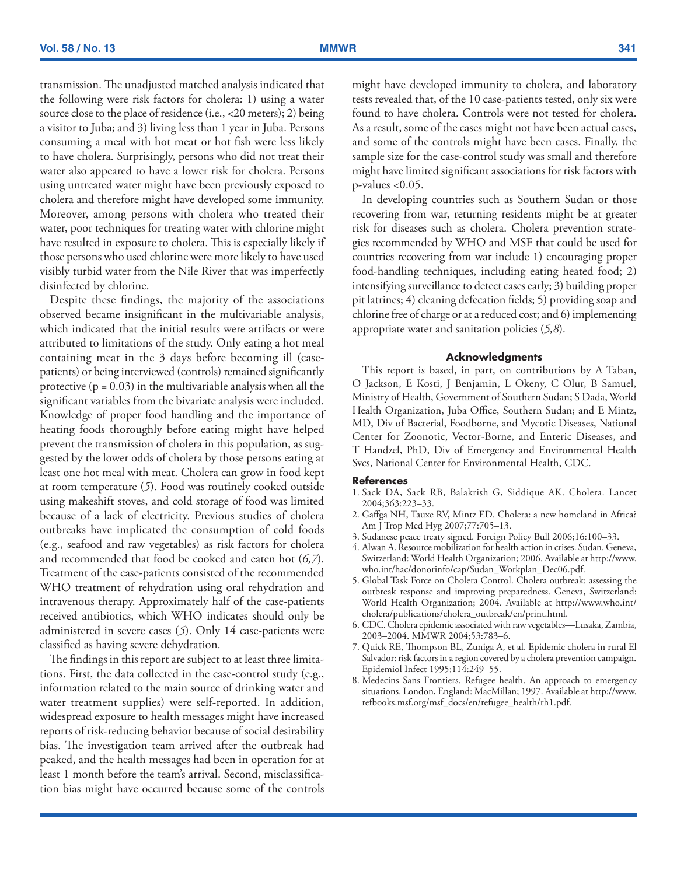transmission. The unadjusted matched analysis indicated that the following were risk factors for cholera: 1) using a water source close to the place of residence (i.e.,  $\leq$  20 meters); 2) being a visitor to Juba; and 3) living less than 1 year in Juba. Persons consuming a meal with hot meat or hot fish were less likely to have cholera. Surprisingly, persons who did not treat their water also appeared to have a lower risk for cholera. Persons using untreated water might have been previously exposed to cholera and therefore might have developed some immunity. Moreover, among persons with cholera who treated their water, poor techniques for treating water with chlorine might have resulted in exposure to cholera. This is especially likely if those persons who used chlorine were more likely to have used visibly turbid water from the Nile River that was imperfectly disinfected by chlorine.

Despite these findings, the majority of the associations observed became insignificant in the multivariable analysis, which indicated that the initial results were artifacts or were attributed to limitations of the study. Only eating a hot meal containing meat in the 3 days before becoming ill (casepatients) or being interviewed (controls) remained significantly protective  $(p = 0.03)$  in the multivariable analysis when all the significant variables from the bivariate analysis were included. Knowledge of proper food handling and the importance of heating foods thoroughly before eating might have helped prevent the transmission of cholera in this population, as suggested by the lower odds of cholera by those persons eating at least one hot meal with meat. Cholera can grow in food kept at room temperature (*5*). Food was routinely cooked outside using makeshift stoves, and cold storage of food was limited because of a lack of electricity. Previous studies of cholera outbreaks have implicated the consumption of cold foods (e.g., seafood and raw vegetables) as risk factors for cholera and recommended that food be cooked and eaten hot (*6,7*). Treatment of the case-patients consisted of the recommended WHO treatment of rehydration using oral rehydration and intravenous therapy. Approximately half of the case-patients received antibiotics, which WHO indicates should only be administered in severe cases (*5*). Only 14 case-patients were classified as having severe dehydration.

The findings in this report are subject to at least three limitations. First, the data collected in the case-control study (e.g., information related to the main source of drinking water and water treatment supplies) were self-reported. In addition, widespread exposure to health messages might have increased reports of risk-reducing behavior because of social desirability bias. The investigation team arrived after the outbreak had peaked, and the health messages had been in operation for at least 1 month before the team's arrival. Second, misclassification bias might have occurred because some of the controls might have developed immunity to cholera, and laboratory tests revealed that, of the 10 case-patients tested, only six were found to have cholera. Controls were not tested for cholera. As a result, some of the cases might not have been actual cases, and some of the controls might have been cases. Finally, the sample size for the case-control study was small and therefore might have limited significant associations for risk factors with  $p$ -values < 0.05.

In developing countries such as Southern Sudan or those recovering from war, returning residents might be at greater risk for diseases such as cholera. Cholera prevention strategies recommended by WHO and MSF that could be used for countries recovering from war include 1) encouraging proper food-handling techniques, including eating heated food; 2) intensifying surveillance to detect cases early; 3) building proper pit latrines; 4) cleaning defecation fields; 5) providing soap and chlorine free of charge or at a reduced cost; and 6) implementing appropriate water and sanitation policies (*5,8*).

#### **Acknowledgments**

This report is based, in part, on contributions by A Taban, O Jackson, E Kosti, J Benjamin, L Okeny, C Olur, B Samuel, Ministry of Health, Government of Southern Sudan; S Dada, World Health Organization, Juba Office, Southern Sudan; and E Mintz, MD, Div of Bacterial, Foodborne, and Mycotic Diseases, National Center for Zoonotic, Vector-Borne, and Enteric Diseases, and T Handzel, PhD, Div of Emergency and Environmental Health Svcs, National Center for Environmental Health, CDC.

#### **References**

- 1. Sack DA, Sack RB, Balakrish G, Siddique AK. Cholera. Lancet 2004;363:223–33.
- 2. Gaffga NH, Tauxe RV, Mintz ED. Cholera: a new homeland in Africa? Am J Trop Med Hyg 2007;77:705–13.
- 3. Sudanese peace treaty signed. Foreign Policy Bull 2006;16:100–33.
- 4. Alwan A. Resource mobilization for health action in crises. Sudan. Geneva, Switzerland: World Health Organization; 2006. Available at [http://www.](http://www.who.int/hac/donorinfo/cap/Sudan_Workplan_Dec06.pdf) [who.int/hac/donorinfo/cap/Sudan\\_Workplan\\_Dec06.pdf](http://www.who.int/hac/donorinfo/cap/Sudan_Workplan_Dec06.pdf).
- 5. Global Task Force on Cholera Control. Cholera outbreak: assessing the outbreak response and improving preparedness. Geneva, Switzerland: World Health Organization; 2004. Available at [http://www.who.int/](http://www.who.int/cholera/publications/cholera_outbreak/en/print.html) [cholera/publications/cholera\\_outbreak/en/print.html.](http://www.who.int/cholera/publications/cholera_outbreak/en/print.html)
- 6. CDC. Cholera epidemic associated with raw vegetables—Lusaka, Zambia, 2003–2004. MMWR 2004;53:783–6.
- 7. Quick RE, Thompson BL, Zuniga A, et al. Epidemic cholera in rural El Salvador: risk factors in a region covered by a cholera prevention campaign. Epidemiol Infect 1995;114:249–55.
- 8. Medecins Sans Frontiers. Refugee health. An approach to emergency situations. London, England: MacMillan; 1997. Available at [http://www.](http://www.refbooks.msf.org/msf_docs/en/refugee_health/rh1.pdf) [refbooks.msf.org/msf\\_docs/en/refugee\\_health/rh1.pdf.](http://www.refbooks.msf.org/msf_docs/en/refugee_health/rh1.pdf)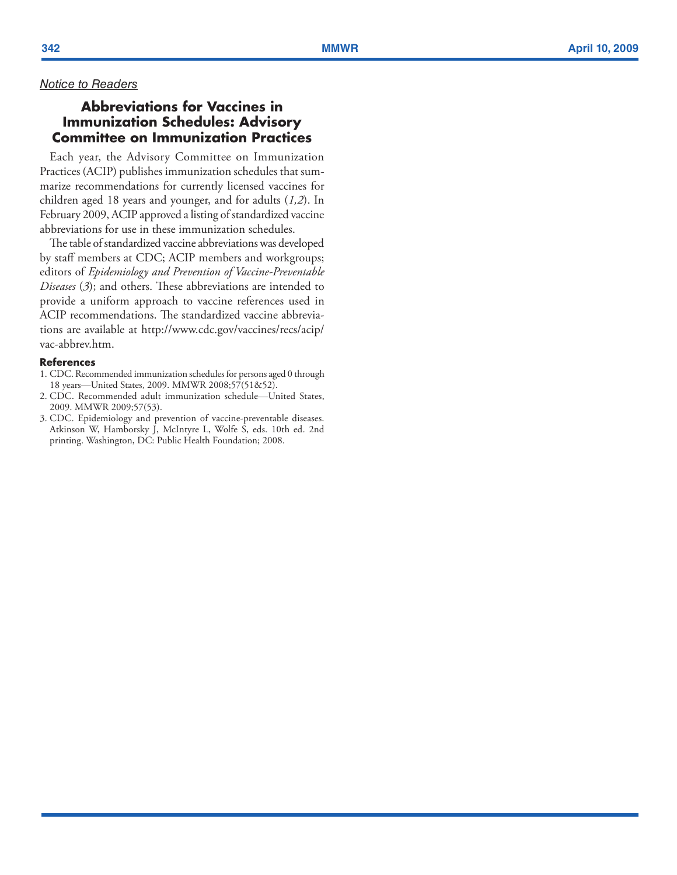## <span id="page-13-0"></span>*Notice to Readers*

## **Abbreviations for Vaccines in Immunization Schedules: Advisory Committee on Immunization Practices**

Each year, the Advisory Committee on Immunization Practices (ACIP) publishes immunization schedules that sum marize recommendations for currently licensed vaccines for children aged 18 years and younger, and for adults (*1,2*). In February 2009, ACIP approved a listing of standardized vaccine abbreviations for use in these immunization schedules.

The table of standardized vaccine abbreviations was developed by staff members at CDC; ACIP members and workgroups; editors of *Epidemiology and Prevention of Vaccine-Preventable Diseases*  ( *3*); and others. These abbreviations are intended to provide a uniform approach to vaccine references used in ACIP recommendations. The standardized vaccine abbrevia tions are available at [http://www.cdc.gov/vaccines/recs/acip/](http://www.cdc.gov/vaccines/recs/acip/vac-abbrev.htm) [vac-abbrev.ht](http://www.cdc.gov/vaccines/recs/acip/vac-abbrev.htm) m .

### **References**

- 1. CDC. Recommended immunization schedules for persons aged 0 through 18 years—United States, 2009. MMWR 2008;57(51&52).
- 2. CDC. Recommended adult immunization schedule—United States, 2009. MMWR 2009;57(53).
- 3. CDC. Epidemiology and prevention of vaccine-preventable diseases. Atkinson W, Hamborsky J, McIntyre L, Wolfe S, eds. 10th ed. 2nd printing. Washington, DC: Public Health Foundation; 2008.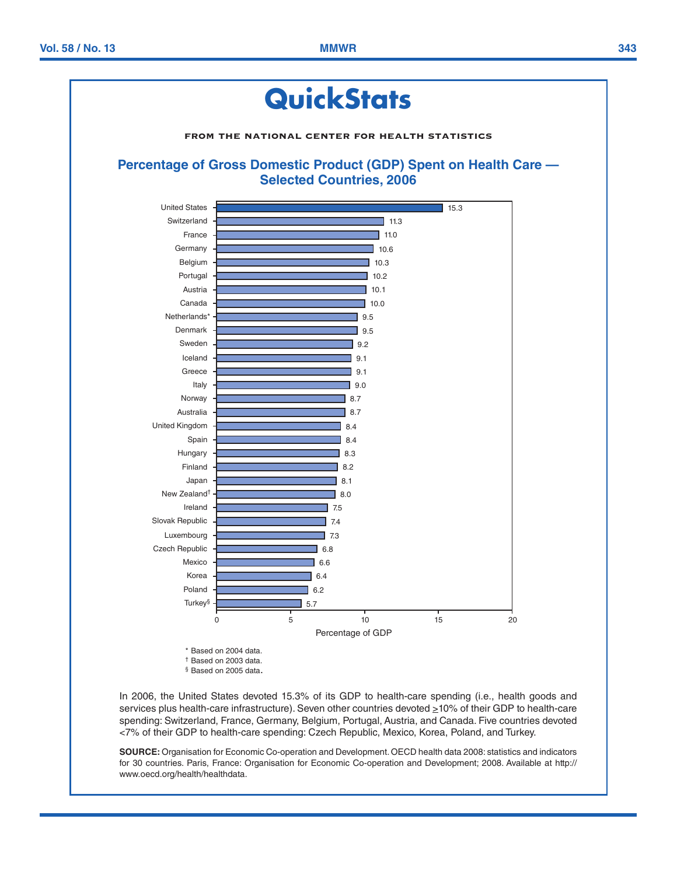<span id="page-14-0"></span>

In 2006, the United States devoted 15.3% of its GDP to health-care spending (i.e., health goods and services plus health-care infrastructure). Seven other countries devoted  $\geq$ 10% of their GDP to health-care spending: Switzerland, France, Germany, Belgium, Portugal, Austria, and Canada. Five countries devoted <7% of their GDP to health-care spending: Czech Republic, Mexico, Korea, Poland, and Turkey.

**SOURCE:** Organisation for Economic Co-operation and Development. OECD health data 2008: statistics and indicators for 30 countries. Paris, France: Organisation for Economic Co-operation and Development; 2008. Available at [http://](http://www.oecd.org/health/healthdata) [www.oecd.org/health/healthdata.](http://www.oecd.org/health/healthdata)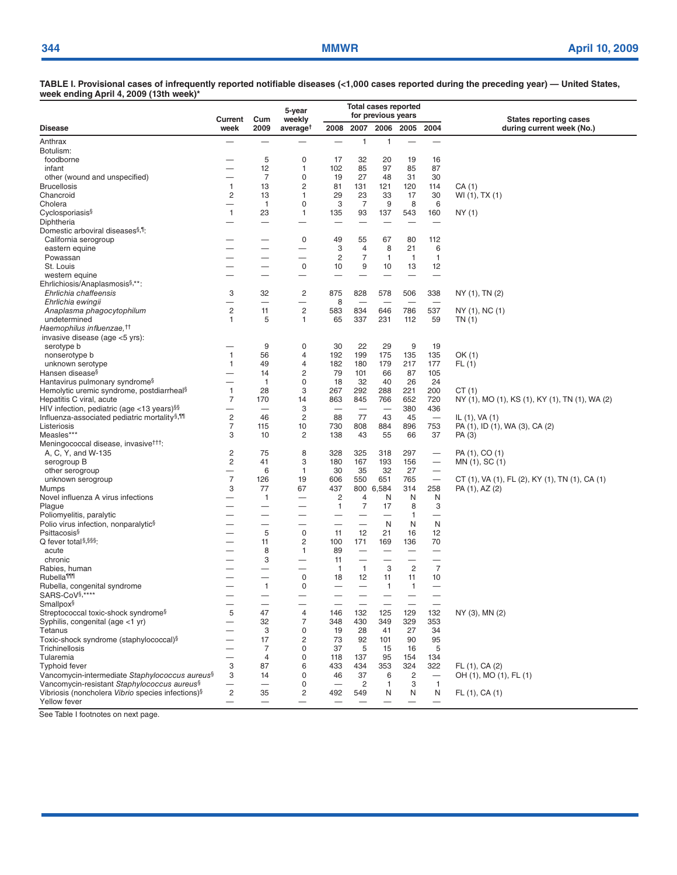**TABLE I. Provisional cases of infrequently reported notifiable diseases (<1,000 cases reported during the preceding year) — United States, week ending April 4, 2009 (13th week)\***

|                                                                              | <b>Total cases reported</b><br>5-year<br>for previous years<br>weekly<br>Current<br>Cum |                          |                          |                          |                          | <b>States reporting cases</b>  |                          |                          |                                                |
|------------------------------------------------------------------------------|-----------------------------------------------------------------------------------------|--------------------------|--------------------------|--------------------------|--------------------------|--------------------------------|--------------------------|--------------------------|------------------------------------------------|
| <b>Disease</b>                                                               | week                                                                                    | 2009                     | average <sup>t</sup>     | 2008                     | 2007                     | 2006                           | 2005                     | 2004                     | during current week (No.)                      |
| Anthrax                                                                      |                                                                                         |                          |                          |                          | $\mathbf{1}$             | 1                              |                          | $\overline{\phantom{0}}$ |                                                |
| Botulism:                                                                    |                                                                                         |                          |                          |                          |                          |                                |                          |                          |                                                |
| foodborne                                                                    |                                                                                         | 5                        | 0                        | 17                       | 32                       | 20                             | 19                       | 16                       |                                                |
| infant                                                                       |                                                                                         | 12                       | 1                        | 102                      | 85                       | 97                             | 85                       | 87                       |                                                |
| other (wound and unspecified)                                                | —                                                                                       | $\overline{7}$           | 0                        | 19                       | 27                       | 48                             | 31                       | 30                       |                                                |
| <b>Brucellosis</b>                                                           | $\mathbf{1}$                                                                            | 13                       | 2                        | 81                       | 131                      | 121                            | 120                      | 114                      | CA (1)                                         |
| Chancroid<br>Cholera                                                         | $\overline{c}$                                                                          | 13<br>$\mathbf{1}$       | 1<br>0                   | 29<br>3                  | 23<br>7                  | 33<br>9                        | 17<br>8                  | 30<br>6                  | WI (1), TX (1)                                 |
| Cyclosporiasis <sup>§</sup>                                                  | $\mathbf{1}$                                                                            | 23                       | 1                        | 135                      | 93                       | 137                            | 543                      | 160                      | NY (1)                                         |
| Diphtheria                                                                   |                                                                                         | $\overline{\phantom{0}}$ |                          |                          | $\overline{\phantom{0}}$ |                                |                          |                          |                                                |
| Domestic arboviral diseases <sup>§,1</sup> .                                 |                                                                                         |                          |                          |                          |                          |                                |                          |                          |                                                |
| California serogroup                                                         |                                                                                         |                          | 0                        | 49                       | 55                       | 67                             | 80                       | 112                      |                                                |
| eastern equine                                                               |                                                                                         | —                        | $\overline{\phantom{0}}$ | 3                        | 4                        | 8                              | 21                       | 6                        |                                                |
| Powassan                                                                     |                                                                                         |                          | -                        | $\overline{c}$           | $\overline{7}$           | $\mathbf{1}$                   | $\overline{1}$           | 1                        |                                                |
| St. Louis                                                                    |                                                                                         |                          | 0                        | 10                       | 9                        | 10                             | 13                       | 12                       |                                                |
| western equine<br>Ehrlichiosis/Anaplasmosis <sup>§</sup> ,**:                |                                                                                         |                          |                          |                          | -                        |                                |                          | $\overline{\phantom{0}}$ |                                                |
| Ehrlichia chaffeensis                                                        | 3                                                                                       | 32                       | 2                        | 875                      | 828                      | 578                            | 506                      | 338                      | NY (1), TN (2)                                 |
| Ehrlichia ewingii                                                            | ۰                                                                                       | $\overline{\phantom{0}}$ |                          | 8                        |                          | $\overline{\phantom{a}}$       | $\overline{\phantom{0}}$ | $\overline{\phantom{a}}$ |                                                |
| Anaplasma phagocytophilum                                                    | $\overline{c}$                                                                          | 11                       | $\overline{c}$           | 583                      | 834                      | 646                            | 786                      | 537                      | NY (1), NC (1)                                 |
| undetermined                                                                 | 1                                                                                       | 5                        | 1                        | 65                       | 337                      | 231                            | 112                      | 59                       | TN (1)                                         |
| Haemophilus influenzae. <sup>††</sup>                                        |                                                                                         |                          |                          |                          |                          |                                |                          |                          |                                                |
| invasive disease (age <5 yrs):                                               |                                                                                         |                          |                          |                          |                          |                                |                          |                          |                                                |
| serotype b                                                                   |                                                                                         | 9                        | 0                        | 30                       | 22                       | 29                             | 9                        | 19                       |                                                |
| nonserotype b                                                                | $\mathbf{1}$<br>$\mathbf{1}$                                                            | 56<br>49                 | 4<br>4                   | 192<br>182               | 199<br>180               | 175<br>179                     | 135<br>217               | 135                      | OK(1)                                          |
| unknown serotype<br>Hansen disease <sup>§</sup>                              | $\overline{\phantom{0}}$                                                                | 14                       | 2                        | 79                       | 101                      | 66                             | 87                       | 177<br>105               | FL(1)                                          |
| Hantavirus pulmonary syndrome <sup>§</sup>                                   |                                                                                         | $\mathbf{1}$             | 0                        | 18                       | 32                       | 40                             | 26                       | 24                       |                                                |
| Hemolytic uremic syndrome, postdiarrheal <sup>§</sup>                        | $\mathbf{1}$                                                                            | 28                       | 3                        | 267                      | 292                      | 288                            | 221                      | 200                      | CT(1)                                          |
| Hepatitis C viral, acute                                                     | $\overline{7}$                                                                          | 170                      | 14                       | 863                      | 845                      | 766                            | 652                      | 720                      | NY (1), MO (1), KS (1), KY (1), TN (1), WA (2) |
| HIV infection, pediatric (age $<$ 13 years)§§                                | $\overline{\phantom{0}}$                                                                | $\overline{\phantom{0}}$ | 3                        |                          |                          |                                | 380                      | 436                      |                                                |
| Influenza-associated pediatric mortality <sup>§,111</sup>                    | $\overline{c}$                                                                          | 46                       | $\overline{c}$           | 88                       | 77                       | 43                             | 45                       |                          | IL $(1)$ , VA $(1)$                            |
| Listeriosis                                                                  | $\overline{7}$                                                                          | 115                      | 10                       | 730                      | 808                      | 884                            | 896                      | 753                      | PA (1), ID (1), WA (3), CA (2)                 |
| Measles***<br>Meningococcal disease, invasive <sup>†††</sup> :               | 3                                                                                       | 10                       | 2                        | 138                      | 43                       | 55                             | 66                       | 37                       | PA (3)                                         |
| A, C, Y, and W-135                                                           | 2                                                                                       | 75                       | 8                        | 328                      | 325                      | 318                            | 297                      | $\overline{\phantom{m}}$ | PA (1), CO (1)                                 |
| serogroup B                                                                  | $\overline{2}$                                                                          | 41                       | 3                        | 180                      | 167                      | 193                            | 156                      | $\qquad \qquad -$        | MN (1), SC (1)                                 |
| other serogroup                                                              |                                                                                         | 6                        | 1                        | 30                       | 35                       | 32                             | 27                       |                          |                                                |
| unknown serogroup                                                            | $\overline{7}$                                                                          | 126                      | 19                       | 606                      | 550                      | 651                            | 765                      | $\overline{\phantom{m}}$ | CT (1), VA (1), FL (2), KY (1), TN (1), CA (1) |
| Mumps                                                                        | 3                                                                                       | 77                       | 67                       | 437                      |                          | 800 6,584                      | 314                      | 258                      | PA (1), AZ (2)                                 |
| Novel influenza A virus infections                                           |                                                                                         | $\mathbf{1}$             | $\overline{\phantom{0}}$ | $\overline{c}$           | 4                        | N                              | N                        | N                        |                                                |
| Plague                                                                       | -<br>$\overline{\phantom{0}}$                                                           | -                        | $\overline{\phantom{0}}$ | $\mathbf{1}$             | $\overline{7}$<br>—      | 17<br>$\overline{\phantom{0}}$ | 8<br>1                   | 3<br>$\qquad \qquad -$   |                                                |
| Poliomyelitis, paralytic<br>Polio virus infection, nonparalytic <sup>§</sup> |                                                                                         | $\overline{\phantom{0}}$ | ▃                        |                          | $\overline{\phantom{0}}$ | N                              | N                        | N                        |                                                |
| Psittacosis <sup>§</sup>                                                     | -                                                                                       | 5                        | 0                        | 11                       | 12                       | 21                             | 16                       | 12                       |                                                |
| Q fever total <sup>§,§§§</sup> :                                             | —                                                                                       | 11                       | 2                        | 100                      | 171                      | 169                            | 136                      | 70                       |                                                |
| acute                                                                        |                                                                                         | 8                        | 1                        | 89                       |                          |                                |                          | $\overline{\phantom{0}}$ |                                                |
| chronic                                                                      |                                                                                         | 3                        | —                        | 11                       |                          |                                | $\overline{\phantom{0}}$ |                          |                                                |
| Rabies, human<br><b>Rubella<sup>¶111</sup></b>                               |                                                                                         | $\overline{\phantom{0}}$ | 0                        | $\mathbf{1}$<br>18       | $\mathbf{1}$<br>12       | 3<br>11                        | $\overline{c}$<br>11     | $\overline{7}$<br>10     |                                                |
| Rubella, congenital syndrome                                                 | $\overline{\phantom{0}}$                                                                | $\mathbf{1}$             | 0                        | $\overline{\phantom{0}}$ |                          | $\mathbf{1}$                   | 1                        |                          |                                                |
| SARS-CoV <sup>§</sup> ,****                                                  |                                                                                         |                          |                          |                          |                          |                                |                          |                          |                                                |
| Smallpox <sup>§</sup>                                                        |                                                                                         |                          |                          |                          |                          |                                |                          |                          |                                                |
| Streptococcal toxic-shock syndrome <sup>§</sup>                              | 5                                                                                       | 47                       | 4                        | 146                      | 132                      | 125                            | 129                      | 132                      | NY (3), MN (2)                                 |
| Syphilis, congenital (age <1 yr)                                             |                                                                                         | 32                       | 7                        | 348                      | 430                      | 349                            | 329                      | 353                      |                                                |
| Tetanus                                                                      |                                                                                         | 3                        | 0                        | 19                       | 28                       | 41                             | 27                       | 34                       |                                                |
| Toxic-shock syndrome (staphylococcal)§<br>Trichinellosis                     | -                                                                                       | 17                       | 2                        | 73                       | 92                       | 101                            | 90                       | 95                       |                                                |
| Tularemia                                                                    | $\overline{\phantom{0}}$<br>$\overline{\phantom{0}}$                                    | 7<br>$\overline{4}$      | 0<br>0                   | 37<br>118                | 5<br>137                 | 15<br>95                       | 16<br>154                | 5<br>134                 |                                                |
| <b>Typhoid fever</b>                                                         | 3                                                                                       | 87                       | 6                        | 433                      | 434                      | 353                            | 324                      | 322                      | FL (1), CA (2)                                 |
| Vancomycin-intermediate Staphylococcus aureus <sup>§</sup>                   | 3                                                                                       | 14                       | 0                        | 46                       | 37                       | 6                              | 2                        | $\overline{\phantom{0}}$ | OH (1), MO (1), FL (1)                         |
| Vancomycin-resistant Staphylococcus aureus <sup>§</sup>                      | -                                                                                       | $\overline{\phantom{0}}$ | 0                        |                          | 2                        | $\mathbf{1}$                   | 3                        | $\mathbf{1}$             |                                                |
| Vibriosis (noncholera Vibrio species infections) <sup>§</sup>                | $\overline{c}$                                                                          | 35                       | 2                        | 492                      | 549                      | N                              | N                        | N                        | FL (1), CA (1)                                 |
| Yellow fever                                                                 | —                                                                                       |                          |                          |                          |                          |                                |                          | $\overline{\phantom{0}}$ |                                                |

See Table I footnotes on next page.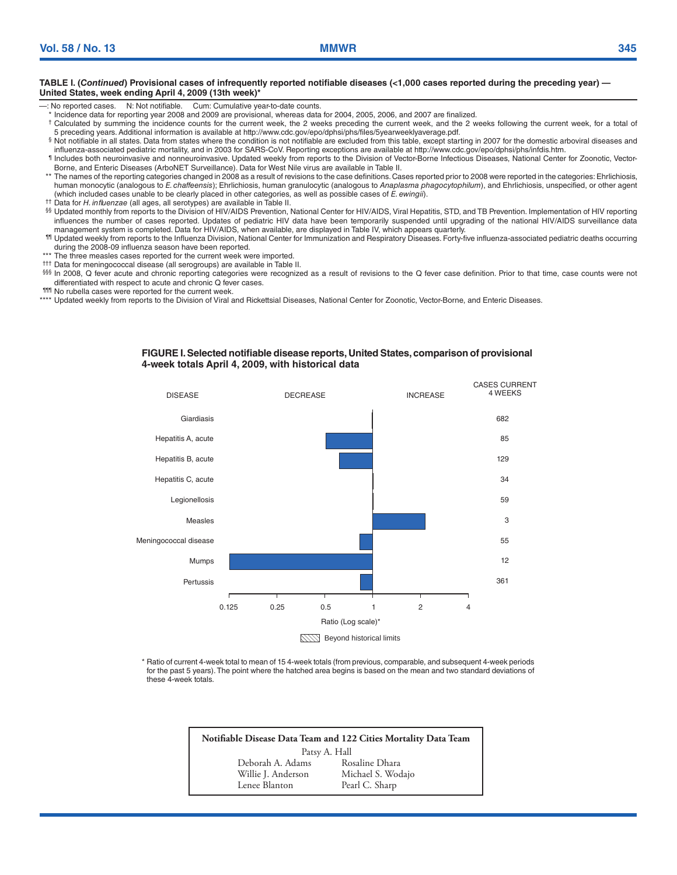#### **TABLE I. (***Continued***) Provisional cases of infrequently reported notifiable diseases (<1,000 cases reported during the preceding year) — United States, week ending April 4, 2009 (13th week)\***

- —: No reported cases. N: Not notifiable. Cum: Cumulative year-to-date counts.
- \* Incidence data for reporting year 2008 and 2009 are provisional, whereas data for 2004, 2005, 2006, and 2007 are finalized.
- † Calculated by summing the incidence counts for the current week, the 2 weeks preceding the current week, and the 2 weeks following the current week, for a total of 5 preceding years. Additional information is available at [http://www.cdc.gov/epo/dphsi/phs/files/5yearweeklyaverage.pdf.](http://www.cdc.gov/epo/dphsi/phs/files/5yearweeklyaverage.pdf)
- § Not notifiable in all states. Data from states where the condition is not notifiable are excluded from this table, except starting in 2007 for the domestic arboviral diseases and influenza-associated pediatric mortality, and in 2003 for SARS-CoV. Reporting exceptions are available at <http://www.cdc.gov/epo/dphsi/phs/infdis.htm>.
- ¶ Includes both neuroinvasive and nonneuroinvasive. Updated weekly from reports to the Division of Vector-Borne Infectious Diseases, National Center for Zoonotic, Vector-Borne, and Enteric Diseases (ArboNET Surveillance). Data for West Nile virus are available in Table II.
- \*\* The names of the reporting categories changed in 2008 as a result of revisions to the case definitions. Cases reported prior to 2008 were reported in the categories: Ehrlichiosis, human monocytic (analogous to *E. chaffeensis*); Ehrlichiosis, human granulocytic (analogous to *Anaplasma phagocytophilum*), and Ehrlichiosis, unspecified, or other agent (which included cases unable to be clearly placed in other categories, as well as possible cases of *E. ewingii*). †† Data for *H. influenzae* (all ages, all serotypes) are available in Table II.
- 
- §§ Updated monthly from reports to the Division of HIV/AIDS Prevention, National Center for HIV/AIDS, Viral Hepatitis, STD, and TB Prevention. Implementation of HIV reporting influences the number of cases reported. Updates of pediatric HIV data have been temporarily suspended until upgrading of the national HIV/AIDS surveillance data management system is completed. Data for HIV/AIDS, when available, are displayed in Table IV, which appears quarterly.
- ¶¶ Updated weekly from reports to the Influenza Division, National Center for Immunization and Respiratory Diseases. Forty-five influenza-associated pediatric deaths occurring during the 2008-09 influenza season have been reported.
- \*\*\* The three measles cases reported for the current week were imported.
- ††† Data for meningococcal disease (all serogroups) are available in Table II.
- §§§ In 2008, Q fever acute and chronic reporting categories were recognized as a result of revisions to the Q fever case definition. Prior to that time, case counts were not differentiated with respect to acute and chronic Q fever cases.
- ¶¶¶ No rubella cases were reported for the current week.
- \*\*\*\* Updated weekly from reports to the Division of Viral and Rickettsial Diseases, National Center for Zoonotic, Vector-Borne, and Enteric Diseases.

#### **Figure I. Selected notifiable disease reports, United States, comparison of provisional 4-week totals April 4, 2009, with historical data**



\* Ratio of current 4-week total to mean of 15 4-week totals (from previous, comparable, and subsequent 4-week periods for the past 5 years). The point where the hatched area begins is based on the mean and two standard deviations of these 4-week totals.

> **Notifiable Disease Data Team and 122 Cities Mortality Data Team** Patsy A. Hall Deborah A. Adams Rosaline Dhara Willie J. Anderson Michael S. Wodajo<br>
> Lenee Blanton Pearl C. Sharp Pearl C. Sharp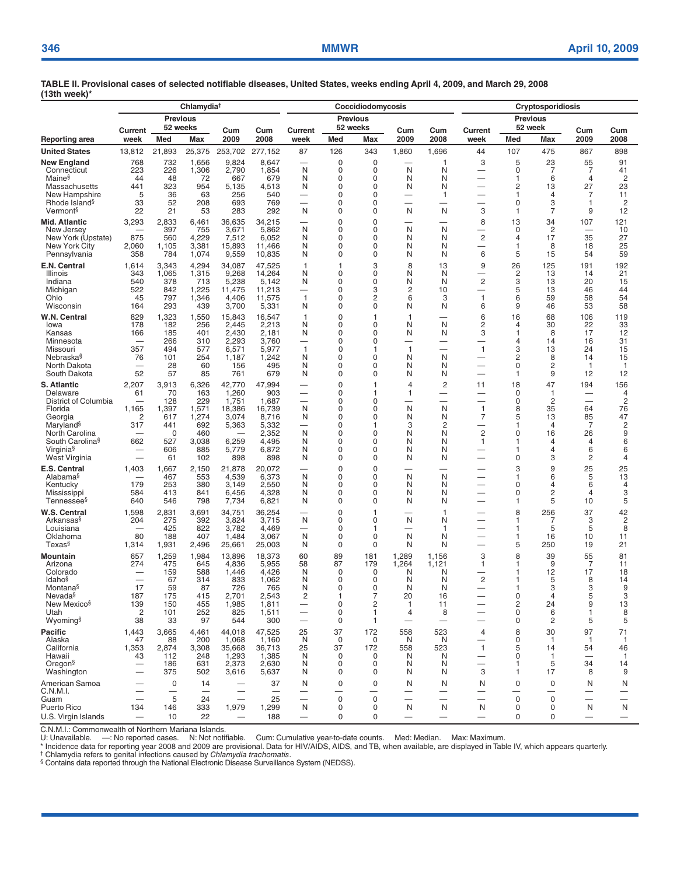|                                                                                                                                                                                                  |                                                                  |                                                                              | Chlamydia <sup>†</sup>                                                     |                                                                               |                                                                                      |                                                                                                                |                                                                           | Coccidiodomycosis                                          |                                                                           |                                                                               | <b>Cryptosporidiosis</b>                                                                                                           |                                                                     |                                                    |                                                       |                                                                              |  |
|--------------------------------------------------------------------------------------------------------------------------------------------------------------------------------------------------|------------------------------------------------------------------|------------------------------------------------------------------------------|----------------------------------------------------------------------------|-------------------------------------------------------------------------------|--------------------------------------------------------------------------------------|----------------------------------------------------------------------------------------------------------------|---------------------------------------------------------------------------|------------------------------------------------------------|---------------------------------------------------------------------------|-------------------------------------------------------------------------------|------------------------------------------------------------------------------------------------------------------------------------|---------------------------------------------------------------------|----------------------------------------------------|-------------------------------------------------------|------------------------------------------------------------------------------|--|
|                                                                                                                                                                                                  |                                                                  | <b>Previous</b><br>52 weeks                                                  |                                                                            |                                                                               |                                                                                      |                                                                                                                |                                                                           | <b>Previous</b><br>52 weeks                                |                                                                           |                                                                               | <b>Previous</b><br>52 week                                                                                                         |                                                                     |                                                    |                                                       |                                                                              |  |
| Reporting area                                                                                                                                                                                   | Current<br>week                                                  | Med                                                                          | <b>Max</b>                                                                 | Cum<br>2009                                                                   | Cum<br>2008                                                                          | Current<br>week                                                                                                | Med                                                                       | <b>Max</b>                                                 | Cum<br>2009                                                               | Cum<br>2008                                                                   | Current<br>week                                                                                                                    | Med                                                                 | Max                                                | Cum<br>2009                                           | Cum<br>2008                                                                  |  |
| <b>United States</b>                                                                                                                                                                             | 13,812                                                           | 21,893                                                                       | 25,375                                                                     | 253,702                                                                       | 277,152                                                                              | 87                                                                                                             | 126                                                                       | 343                                                        | 1,860                                                                     | 1,696                                                                         | 44                                                                                                                                 | 107                                                                 | 475                                                | 867                                                   | 898                                                                          |  |
| New England<br>Connecticut<br>Maine <sup>§</sup><br>Massachusetts<br>New Hampshire<br>Rhode Island <sup>§</sup><br>Vermont <sup>§</sup>                                                          | 768<br>223<br>44<br>441<br>5<br>33<br>22                         | 732<br>226<br>48<br>323<br>36<br>52<br>21                                    | 1,656<br>1,306<br>72<br>954<br>63<br>208<br>53                             | 9,824<br>2,790<br>667<br>5,135<br>256<br>693<br>283                           | 8,647<br>1,854<br>679<br>4,513<br>540<br>769<br>292                                  | $\overline{\phantom{0}}$<br>N<br>N<br>N<br>—<br>$\overline{\phantom{0}}$<br>N                                  | 0<br>0<br>0<br>$\Omega$<br>0<br>$\mathbf 0$<br>0                          | 0<br>0<br>0<br>$\Omega$<br>0<br>0<br>0                     | N<br>N<br>N<br>N                                                          | 1<br>Ν<br>Ν<br>N<br>$\mathbf{1}$<br>N                                         | 3<br>3                                                                                                                             | 5<br>0<br>1<br>2<br>$\mathbf{1}$<br>$\mathbf 0$<br>1                | 23<br>7<br>6<br>13<br>4<br>3<br>7                  | 55<br>7<br>4<br>27<br>7<br>1<br>9                     | 91<br>41<br>2<br>23<br>11<br>$\overline{c}$<br>12                            |  |
| Mid. Atlantic<br>New Jersey<br>New York (Upstate)<br>New York City<br>Pennsylvania                                                                                                               | 3,293<br>875<br>2,060<br>358                                     | 2,833<br>397<br>560<br>1,105<br>784                                          | 6,461<br>755<br>4,229<br>3,381<br>1,074                                    | 36,635<br>3,671<br>7,512<br>15,893<br>9,559                                   | 34,215<br>5,862<br>6,052<br>11,466<br>10,835                                         | $\overline{\phantom{0}}$<br>N<br>N<br>N<br>N                                                                   | $\mathbf 0$<br>0<br>0<br>$\Omega$<br>0                                    | 0<br>0<br>0<br>$\Omega$<br>0                               | N<br>N<br>N<br>N                                                          | Ν<br>N<br>N<br>N                                                              | 8<br>$\overline{c}$<br>—<br>6                                                                                                      | 13<br>0<br>4<br>1<br>5                                              | 34<br>2<br>17<br>8<br>15                           | 107<br>35<br>18<br>54                                 | 121<br>10<br>27<br>25<br>59                                                  |  |
| E.N. Central<br>Illinois<br>Indiana<br>Michigan<br>Ohio<br>Wisconsin                                                                                                                             | 1.614<br>343<br>540<br>522<br>45<br>164                          | 3,343<br>1,065<br>378<br>842<br>797<br>293                                   | 4,294<br>1,315<br>713<br>1,225<br>1,346<br>439                             | 34,087<br>9,268<br>5,238<br>11,475<br>4,406<br>3,700                          | 47,525<br>14,264<br>5,142<br>11,213<br>11,575<br>5,331                               | $\mathbf{1}$<br>N<br>N<br>$\mathbf{1}$<br>N                                                                    | 1<br>0<br>0<br>0<br>0<br>0                                                | 3<br>0<br>0<br>3<br>2<br>0                                 | 8<br>N<br>N<br>2<br>6<br>N                                                | 13<br>N<br>N<br>10<br>3<br>N                                                  | 9<br>$\overline{c}$<br>—<br>$\mathbf{1}$<br>6                                                                                      | 26<br>$\overline{c}$<br>3<br>5<br>6<br>9                            | 125<br>13<br>13<br>13<br>59<br>46                  | 191<br>14<br>20<br>46<br>58<br>53                     | 192<br>21<br>15<br>44<br>54<br>58                                            |  |
| W.N. Central<br>lowa<br>Kansas<br>Minnesota<br>Missouri<br>Nebraska§<br>North Dakota<br>South Dakota                                                                                             | 829<br>178<br>166<br>357<br>76<br>$\overline{\phantom{0}}$<br>52 | 1,323<br>182<br>185<br>266<br>494<br>101<br>28<br>57                         | 1,550<br>256<br>401<br>310<br>577<br>254<br>60<br>85                       | 15,843<br>2,445<br>2,430<br>2,293<br>6,571<br>1,187<br>156<br>761             | 16,547<br>2,213<br>2,181<br>3,760<br>5,977<br>1,242<br>495<br>679                    | 1<br>N<br>N<br>$\overline{\phantom{0}}$<br>$\mathbf{1}$<br>N<br>N<br>N                                         | $\mathbf 0$<br>0<br>0<br>0<br>0<br>0<br>0<br>0                            | 1<br>0<br>0<br>0<br>1<br>0<br>$\Omega$<br>0                | 1<br>N<br>N<br>—<br>1<br>N<br>N<br>N                                      | N<br>Ν<br>—<br>N<br>N<br>Ν                                                    | 6<br>$\overline{2}$<br>3<br>$\overline{\phantom{0}}$<br>1                                                                          | 16<br>4<br>1<br>4<br>3<br>2<br>$\mathbf 0$<br>1                     | 68<br>30<br>8<br>14<br>13<br>8<br>2<br>9           | 106<br>22<br>17<br>16<br>24<br>14<br>1<br>12          | 119<br>33<br>12<br>31<br>15<br>15<br>$\mathbf{1}$<br>12                      |  |
| <b>S. Atlantic</b><br>Delaware<br>District of Columbia<br>Florida<br>Georgia<br>Maryland <sup>§</sup><br>North Carolina<br>South Carolina <sup>§</sup><br>Virginia <sup>§</sup><br>West Virginia | 2,207<br>61<br>1,165<br>2<br>317<br>662                          | 3,913<br>70<br>128<br>1,397<br>617<br>441<br>$\mathbf 0$<br>527<br>606<br>61 | 6,326<br>163<br>229<br>1,571<br>1,274<br>692<br>460<br>3,038<br>885<br>102 | 42,770<br>1,260<br>1,751<br>18.386<br>3,074<br>5,363<br>6,259<br>5,779<br>898 | 47,994<br>903<br>1,687<br>16,739<br>8,716<br>5,332<br>2,352<br>4,495<br>6,872<br>898 | $\overline{\phantom{0}}$<br>$\overline{\phantom{0}}$<br>$\overline{\phantom{0}}$<br>N<br>N<br>N<br>N<br>N<br>N | $\mathbf 0$<br>0<br>0<br>0<br>0<br>$\Omega$<br>0<br>0<br>$\mathbf 0$<br>0 | 1<br>$\mathbf 1$<br>0<br>0<br>0<br>1<br>0<br>0<br>0<br>0   | $\overline{4}$<br>1<br>-<br>N<br>N<br>3<br>N<br>N<br>N<br>N               | $\overline{c}$<br>$\overline{\phantom{0}}$<br>N<br>Ν<br>2<br>N<br>N<br>N<br>N | 11<br>$\overline{\phantom{0}}$<br>$\overline{\phantom{0}}$<br>$\mathbf{1}$<br>7<br>$\overline{c}$<br>1<br>$\overline{\phantom{0}}$ | 18<br>$\mathbf 0$<br>0<br>8<br>5<br>1<br>$\mathbf 0$<br>1<br>1<br>0 | 47<br>1<br>2<br>35<br>13<br>4<br>16<br>4<br>4<br>3 | 194<br>$\equiv$<br>64<br>85<br>7<br>26<br>4<br>6<br>2 | 156<br>$\overline{4}$<br>$\overline{c}$<br>76<br>47<br>2<br>9<br>6<br>6<br>4 |  |
| E.S. Central<br>Alabama <sup>§</sup><br>Kentucky<br>Mississippi<br>Tennessee <sup>§</sup>                                                                                                        | 1,403<br>179<br>584<br>640                                       | 1,667<br>467<br>253<br>413<br>546                                            | 2,150<br>553<br>380<br>841<br>798                                          | 21,878<br>4,539<br>3,149<br>6,456<br>7,734                                    | 20,072<br>6,373<br>2,550<br>4,328<br>6,821                                           | N<br>N<br>N<br>N                                                                                               | $\mathbf 0$<br>0<br>0<br>0<br>0                                           | 0<br>0<br>$\Omega$<br>0<br>0                               | N<br>N<br>N<br>N                                                          | N<br>N<br>N<br>N                                                              | $\overline{\phantom{0}}$                                                                                                           | 3<br>1<br>0<br>$\mathbf 0$<br>1                                     | 9<br>6<br>4<br>$\overline{c}$<br>5                 | 25<br>5<br>6<br>4<br>10                               | 25<br>13<br>4<br>3<br>5                                                      |  |
| <b>W.S. Central</b><br>Arkansas§<br>Louisiana<br>Oklahoma<br>Texas§                                                                                                                              | 1,598<br>204<br>80<br>1,314                                      | 2,831<br>275<br>425<br>188<br>1,931                                          | 3,691<br>392<br>822<br>407<br>2,496                                        | 34,751<br>3,824<br>3,782<br>1,484<br>25,661                                   | 36,254<br>3,715<br>4,469<br>3,067<br>25,003                                          | N<br>—<br>N<br>N                                                                                               | $\mathbf 0$<br>0<br>0<br>0<br>0                                           | 1<br>0<br>1<br>0<br>0                                      | N<br>N<br>N                                                               | $\overline{1}$<br>Ν<br>-1<br>Ν<br>N                                           | —<br>—                                                                                                                             | 8<br>1<br>1<br>1<br>5                                               | 256<br>7<br>5<br>16<br>250                         | 37<br>3<br>5<br>10<br>19                              | 42<br>$\overline{\mathbf{c}}$<br>8<br>11<br>21                               |  |
| Mountain<br>Arizona<br>Colorado<br>Idaho <sup>§</sup><br>Montana§<br>Nevada <sup>§</sup><br>New Mexico <sup>§</sup><br>Utah<br>Wyoming§                                                          | 657<br>274<br>17<br>187<br>139<br>$\overline{2}$<br>38           | 1,259<br>475<br>159<br>67<br>59<br>175<br>150<br>101<br>33                   | 1,984<br>645<br>588<br>314<br>87<br>415<br>455<br>252<br>97                | 13,896<br>4,836<br>1,446<br>833<br>726<br>2,701<br>1,985<br>825<br>544        | 18,373<br>5,955<br>4,426<br>1,062<br>765<br>2,543<br>1,811<br>1,511<br>300           | 60<br>58<br>N<br>N<br>N<br>2<br>$\qquad \qquad -$<br>$\qquad \qquad -$                                         | 89<br>87<br>0<br>0<br>$\Omega$<br>0<br>0<br>0                             | 181<br>179<br>0<br>0<br>$\Omega$<br>2<br>$\mathbf{1}$<br>1 | 1,289<br>1,264<br>N<br>N<br>N<br>20<br>1<br>4<br>$\overline{\phantom{0}}$ | 1,156<br>1,121<br>N<br>N<br>N<br>16<br>11<br>8<br>—                           | 3<br>1<br>$\overline{c}$                                                                                                           | 8<br>1<br>1<br>1<br>1<br>0<br>2<br>0<br>$\mathbf 0$                 | 39<br>9<br>12<br>5<br>3<br>4<br>24<br>6<br>2       | 55<br>7<br>17<br>8<br>3<br>5<br>9<br>1<br>5           | 81<br>11<br>18<br>14<br>9<br>3<br>13<br>8<br>5                               |  |
| Pacific<br>Alaska<br>California<br>Hawaii<br>Oregon <sup>§</sup><br>Washington                                                                                                                   | 1,443<br>47<br>1,353<br>43                                       | 3,665<br>88<br>2,874<br>112<br>186<br>375                                    | 4,461<br>200<br>3,308<br>248<br>631<br>502                                 | 44,018<br>1,068<br>35,668<br>1,293<br>2,373<br>3,616                          | 47,525<br>1,160<br>36,713<br>1,385<br>2,630<br>5,637                                 | 25<br>N<br>25<br>N<br>N<br>N                                                                                   | 37<br>0<br>37<br>$\mathbf 0$<br>0<br>0                                    | 172<br>0<br>172<br>0<br>0<br>0                             | 558<br>N<br>558<br>N<br>N<br>N                                            | 523<br>N<br>523<br>N<br>N<br>N                                                | 4<br>$\mathbf{1}$<br>$\overline{\phantom{0}}$<br>3                                                                                 | 8<br>0<br>5<br>0<br>1<br>1                                          | 30<br>1<br>14<br>1<br>5<br>17                      | 97<br>1<br>54<br>34<br>8                              | 71<br>$\mathbf{1}$<br>46<br>$\mathbf{1}$<br>14<br>9                          |  |
| American Samoa<br>C.N.M.I.<br>Guam<br>Puerto Rico<br>U.S. Virgin Islands                                                                                                                         | 134                                                              | 0<br>$\overline{\phantom{0}}$<br>5<br>146<br>10                              | 14<br>-<br>24<br>333<br>22                                                 | -<br><u>Line</u><br>1,979                                                     | 37<br>25<br>1,299<br>188                                                             | N<br>$\overline{\phantom{0}}$<br>$\overline{\phantom{0}}$<br>N<br>$\overline{\phantom{m}}$                     | $\mathbf 0$<br>-<br>$\mathbf 0$<br>0<br>0                                 | $\mathbf 0$<br>—<br>$\mathbf 0$<br>0<br>0                  | N<br>-<br>$\equiv$<br>N<br>$\overline{\phantom{0}}$                       | N<br>-<br>▃<br>N<br>—                                                         | N<br>-<br>N                                                                                                                        | 0<br>—<br>0<br>0<br>0                                               | $\mathbf 0$<br>—<br>$\mathbf 0$<br>0<br>0          | N<br>-<br>N<br>-                                      | N<br>N<br>$\qquad \qquad -$                                                  |  |

C.N.M.I.: Commonwealth of Northern Mariana Islands.<br>U: Unavailable. —: No reported cases. N: Not notifiable. Cum: Cumulative year-to-date counts. Med: Median. Max: Maximum.<br>\* Incidence data for reporting

§ Contains data reported through the National Electronic Disease Surveillance System (NEDSS).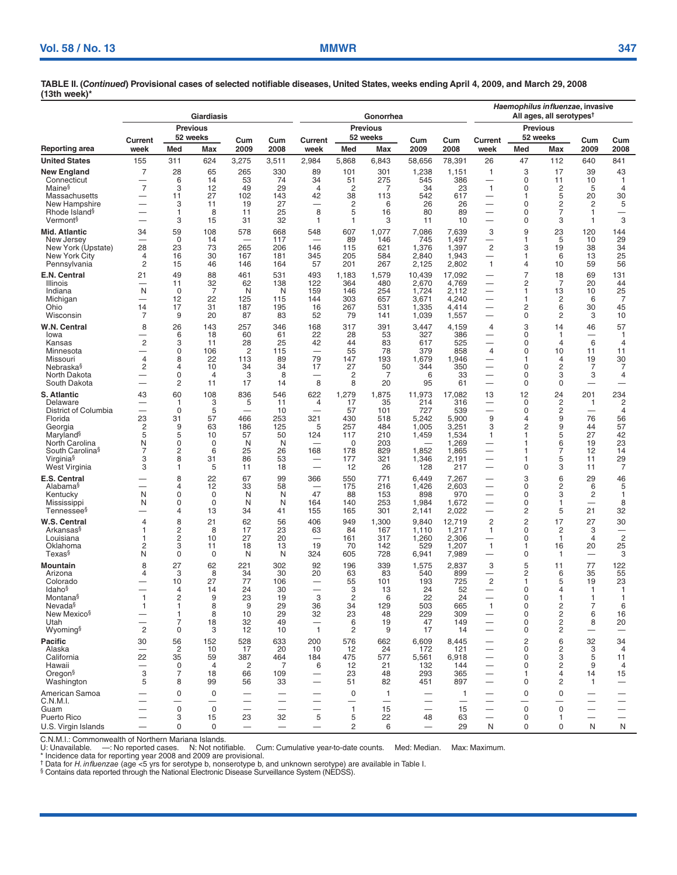|                                                   |                                            |                              | Giardiasis           |                          |                                                           |                                |                      | Gonorrhea                      |                          | Haemophilus influenzae, invasive<br>All ages, all serotypes <sup>t</sup> |                                                      |                     |                     |                          |                                |  |
|---------------------------------------------------|--------------------------------------------|------------------------------|----------------------|--------------------------|-----------------------------------------------------------|--------------------------------|----------------------|--------------------------------|--------------------------|--------------------------------------------------------------------------|------------------------------------------------------|---------------------|---------------------|--------------------------|--------------------------------|--|
|                                                   | <b>Previous</b>                            |                              |                      |                          |                                                           |                                |                      | <b>Previous</b>                |                          |                                                                          | <b>Previous</b>                                      |                     |                     |                          |                                |  |
| Reporting area                                    | Current<br>week                            | Med                          | 52 weeks<br>Max      | Cum<br>2009              | Cum<br>2008                                               | Current<br>week                | Med                  | 52 weeks<br>Max                | Cum<br>2009              | Cum<br>2008                                                              | Current<br>week                                      | Med                 | 52 weeks<br>Max     | Cum<br>2009              | Cum<br>2008                    |  |
| <b>United States</b>                              | 155                                        | 311                          | 624                  | 3,275                    | 3,511                                                     | 2,984                          | 5,868                | 6,843                          | 58,656                   | 78,391                                                                   | 26                                                   | 47                  | 112                 | 640                      | 841                            |  |
| New England                                       | 7                                          | 28                           | 65                   | 265                      | 330                                                       | 89                             | 101                  | 301                            | 1,238                    | 1,151                                                                    | 1                                                    | 3                   | 17                  | 39                       | 43                             |  |
| Connecticut<br>Maine <sup>§</sup>                 | $\overline{\phantom{0}}$<br>$\overline{7}$ | 6<br>3                       | 14<br>12             | 53<br>49                 | 74<br>29                                                  | 34<br>4                        | 51<br>$\overline{c}$ | 275<br>7                       | 545<br>34                | 386<br>23                                                                | $\overline{\phantom{0}}$<br>$\mathbf{1}$             | 0<br>0              | 11<br>2             | 10<br>5                  | $\mathbf{1}$<br>$\overline{4}$ |  |
| Massachusetts                                     |                                            | 11                           | 27                   | 102                      | 143                                                       | 42                             | 38                   | 113                            | 542                      | 617                                                                      | —                                                    | 1                   | 5                   | 20                       | 30                             |  |
| New Hampshire                                     | $\overline{\phantom{0}}$                   | 3                            | 11                   | 19                       | 27                                                        | —<br>8                         | 2                    | 6                              | 26                       | 26                                                                       |                                                      | 0                   | 2                   | 2                        | 5                              |  |
| Rhode Island <sup>§</sup><br>Vermont <sup>§</sup> |                                            | $\mathbf{1}$<br>3            | 8<br>15              | 11<br>31                 | 25<br>32                                                  | 1                              | 5<br>1               | 16<br>3                        | 80<br>11                 | 89<br>10                                                                 |                                                      | 0<br>0              | 7<br>3              | 1<br>1                   | —<br>3                         |  |
| Mid. Atlantic                                     | 34                                         | 59                           | 108                  | 578                      | 668                                                       | 548                            | 607                  | 1.077                          | 7,086                    | 7,639                                                                    | 3                                                    | 9                   | 23                  | 120                      | 144                            |  |
| New Jersey                                        | -                                          | 0                            | 14                   |                          | 117                                                       | -                              | 89                   | 146                            | 745                      | 1,497                                                                    | $\overline{\phantom{0}}$                             | 1                   | 5                   | 10                       | 29                             |  |
| New York (Upstate)<br>New York City               | 28<br>4                                    | 23<br>16                     | 73<br>30             | 265<br>167               | 206<br>181                                                | 146<br>345                     | 115<br>205           | 621<br>584                     | 1,376<br>2,840           | 1,397<br>1,943                                                           | $\overline{c}$                                       | 3<br>1              | 19<br>6             | 38<br>13                 | 34<br>25                       |  |
| Pennsylvania                                      | 2                                          | 15                           | 46                   | 146                      | 164                                                       | 57                             | 201                  | 267                            | 2,125                    | 2,802                                                                    | $\mathbf{1}$                                         | 4                   | 10                  | 59                       | 56                             |  |
| E.N. Central                                      | 21                                         | 49                           | 88                   | 461                      | 531                                                       | 493                            | 1,183                | 1,579                          | 10,439                   | 17,092                                                                   |                                                      | 7                   | 18                  | 69                       | 131                            |  |
| Illinois<br>Indiana                               | -<br>N                                     | 11<br>0                      | 32<br>$\overline{7}$ | 62<br>N                  | 138<br>N                                                  | 122<br>159                     | 364<br>146           | 480<br>254                     | 2,670<br>1,724           | 4,769<br>2.112                                                           |                                                      | 2<br>1              | 7<br>13             | 20<br>10                 | 44<br>25                       |  |
| Michigan                                          |                                            | 12                           | 22                   | 125                      | 115                                                       | 144                            | 303                  | 657                            | 3,671                    | 4,240                                                                    | -                                                    | 1                   | 2                   | 6                        | $\overline{7}$                 |  |
| Ohio<br>Wisconsin                                 | 14<br>7                                    | 17<br>9                      | 31<br>20             | 187<br>87                | 195<br>83                                                 | 16<br>52                       | 267<br>79            | 531<br>141                     | 1,335<br>1,039           | 4,414<br>1,557                                                           | $\overline{\phantom{0}}$                             | 2<br>0              | 6<br>2              | 30<br>3                  | 45<br>10                       |  |
| W.N. Central                                      | 8                                          | 26                           | 143                  | 257                      | 346                                                       | 168                            | 317                  | 391                            | 3,447                    | 4,159                                                                    | 4                                                    | 3                   | 14                  | 46                       | 57                             |  |
| Iowa                                              |                                            | 6                            | 18                   | 60                       | 61                                                        | 22                             | 28                   | 53                             | 327                      | 386                                                                      |                                                      | 0                   | 1                   |                          | $\mathbf{1}$                   |  |
| Kansas<br>Minnesota                               | 2                                          | 3<br>0                       | 11<br>106            | 28<br>2                  | 25<br>115                                                 | 42<br>$\overline{\phantom{0}}$ | 44<br>55             | 83<br>78                       | 617<br>379               | 525<br>858                                                               | $\overline{4}$                                       | 0<br>0              | 4<br>10             | 6<br>11                  | $\overline{4}$<br>11           |  |
| Missouri                                          | 4                                          | 8                            | 22                   | 113                      | 89                                                        | 79                             | 147                  | 193                            | 1,679                    | 1,946                                                                    |                                                      | 1                   | 4                   | 19                       | 30                             |  |
| Nebraska§<br>North Dakota                         | 2                                          | 4<br>0                       | 10<br>$\overline{4}$ | 34<br>3                  | 34<br>8                                                   | 17<br>—                        | 27<br>$\overline{c}$ | 50<br>7                        | 344<br>6                 | 350<br>33                                                                | -                                                    | 0<br>0              | 2<br>3              | 7<br>3                   | 7<br>4                         |  |
| South Dakota                                      |                                            | 2                            | 11                   | 17                       | 14                                                        | 8                              | 8                    | 20                             | 95                       | 61                                                                       |                                                      | 0                   | 0                   |                          |                                |  |
| <b>S. Atlantic</b>                                | 43                                         | 60                           | 108                  | 836                      | 546                                                       | 622                            | 1,279                | 1,875                          | 11,973                   | 17,082                                                                   | 13                                                   | 12                  | 24                  | 201                      | 234                            |  |
| Delaware<br>District of Columbia                  |                                            | 1<br>$\mathbf 0$             | 3<br>5               | 5                        | 11<br>10                                                  | 4                              | 17<br>57             | 35<br>101                      | 214<br>727               | 316<br>539                                                               | —                                                    | 0<br>0              | $\overline{c}$<br>2 | 1                        | $\overline{c}$<br>4            |  |
| Florida                                           | 23                                         | 31                           | 57                   | 466                      | 253                                                       | 321                            | 430                  | 518                            | 5,242                    | 5,900                                                                    | 9                                                    | 4                   | 9                   | 76                       | 56                             |  |
| Georgia<br>Maryland <sup>§</sup>                  | 2<br>5                                     | 9<br>5                       | 63<br>10             | 186<br>57                | 125<br>50                                                 | 5<br>124                       | 257<br>117           | 484<br>210                     | 1,005<br>1,459           | 3,251<br>1,534                                                           | 3<br>1                                               | 2<br>1              | 9<br>5              | 44<br>27                 | 57<br>42                       |  |
| North Carolina                                    | N                                          | 0                            | 0                    | N                        | N                                                         |                                | 0                    | 203                            |                          | 1,269                                                                    |                                                      |                     | 6                   | 19                       | 23                             |  |
| South Carolina <sup>§</sup>                       | 7<br>3                                     | $\overline{\mathbf{c}}$<br>8 | 6<br>31              | 25<br>86                 | 26<br>53                                                  | 168                            | 178<br>177           | 829<br>321                     | 1,852<br>1,346           | 1,865<br>2,191                                                           |                                                      | 1                   | 7<br>5              | 12<br>11                 | 14<br>29                       |  |
| Virginia <sup>§</sup><br>West Virginia            | 3                                          | 1                            | 5                    | 11                       | 18                                                        | $\overline{\phantom{0}}$       | 12                   | 26                             | 128                      | 217                                                                      |                                                      | 0                   | 3                   | 11                       | $\overline{7}$                 |  |
| E.S. Central                                      |                                            | 8                            | 22                   | 67                       | 99                                                        | 366                            | 550                  | 771                            | 6.449                    | 7,267                                                                    | -                                                    | 3                   | 6                   | 29                       | 46                             |  |
| Alabama <sup>§</sup><br>Kentucky                  | N                                          | 4<br>0                       | 12<br>0              | 33<br>N                  | 58<br>N                                                   | 47                             | 175<br>88            | 216<br>153                     | 1,426<br>898             | 2,603<br>970                                                             | —                                                    | 0<br>0              | 2<br>3              | 6<br>2                   | 5<br>$\mathbf{1}$              |  |
| Mississippi                                       | N                                          | 0                            | $\mathbf 0$          | N                        | N                                                         | 164                            | 140                  | 253                            | 1,984                    | 1,672                                                                    | $\overline{\phantom{0}}$                             | 0                   | 1                   |                          | 8                              |  |
| Tennessee§                                        |                                            | 4                            | 13                   | 34                       | 41                                                        | 155                            | 165                  | 301                            | 2,141                    | 2,022                                                                    |                                                      | 2                   | 5                   | 21                       | 32                             |  |
| W.S. Central<br>Arkansas <sup>§</sup>             | 4                                          | 8<br>$\overline{\mathbf{c}}$ | 21<br>8              | 62<br>17                 | 56<br>23                                                  | 406<br>63                      | 949<br>84            | 1,300<br>167                   | 9,840<br>1,110           | 12,719<br>1,217                                                          | $\overline{c}$<br>1                                  | $\overline{c}$<br>0 | 17<br>2             | 27<br>3                  | 30                             |  |
| Louisiana                                         |                                            | $\overline{c}$               | 10                   | 27                       | 20                                                        | $\overline{\phantom{0}}$       | 161                  | 317                            | 1,260                    | 2,306                                                                    |                                                      | 0                   | $\mathbf{1}$        | $\overline{4}$           | $\overline{2}$                 |  |
| Oklahoma<br>Texas§                                | 2<br>N                                     | 3<br>0                       | 11<br>0              | 18<br>N                  | 13<br>N                                                   | 19<br>324                      | 70<br>605            | 142<br>728                     | 529<br>6,941             | 1,207<br>7,989                                                           | $\mathbf{1}$<br>-                                    | 1<br>0              | 16<br>-1            | 20<br>-                  | 25<br>3                        |  |
| Mountain                                          | 8                                          | 27                           | 62                   | 221                      | 302                                                       | 92                             | 196                  | 339                            | 1,575                    | 2,837                                                                    | 3                                                    | 5                   | 11                  | 77                       | 122                            |  |
| Arizona                                           | 4                                          | 3                            | 8                    | 34                       | 30                                                        | 20                             | 63                   | 83                             | 540                      | 899                                                                      |                                                      | 2                   | 6                   | 35                       | 55                             |  |
| Colorado<br><b>Idaho</b> <sup>§</sup>             |                                            | 10<br>$\overline{4}$         | 27<br>14             | 77<br>24                 | 106<br>30                                                 | -                              | 55<br>3              | 101<br>13                      | 193<br>24                | 725<br>52                                                                | $\overline{c}$<br>$\overline{\phantom{0}}$           | 1<br>0              | 5<br>4              | 19<br>1                  | 23<br>$\mathbf{1}$             |  |
| Montana§                                          |                                            | 2                            | 9                    | 23                       | 19                                                        | 3                              | 2                    | 6                              | 22                       | 24                                                                       |                                                      | 0                   |                     |                          | -1                             |  |
| Nevada <sup>§</sup><br>New Mexico <sup>§</sup>    | $\mathbf{1}$                               | $\mathbf{1}$<br>1            | 8<br>8               | 9<br>10                  | 29<br>29                                                  | 36<br>32                       | 34<br>23             | 129<br>48                      | 503<br>229               | 665<br>309                                                               | 1                                                    | 0<br>0              | 2<br>2              | 7<br>6                   | 6<br>16                        |  |
| Utah                                              |                                            | 7                            | 18                   | 32                       | 49                                                        | -                              | 6                    | 19                             | 47                       | 149                                                                      | -                                                    | 0                   | 2                   | 8                        | 20                             |  |
| Wyoming <sup>§</sup>                              | $\overline{c}$                             | 0                            | 3                    | 12                       | 10                                                        | $\mathbf{1}$                   | 2                    | 9                              | 17                       | 14                                                                       | -                                                    | 0                   | 2                   |                          |                                |  |
| Pacific<br>Alaska                                 | 30                                         | 56<br>$\overline{c}$         | 152<br>10            | 528<br>17                | 633<br>20                                                 | 200<br>10                      | 576<br>12            | 662<br>24                      | 6,609<br>172             | 8,445<br>121                                                             | $\overline{\phantom{0}}$                             | $\overline{c}$<br>0 | 6<br>2              | 32<br>3                  | 34<br>$\overline{4}$           |  |
| California                                        | 22                                         | 35                           | 59                   | 387                      | 464                                                       | 184                            | 475                  | 577                            | 5,561                    | 6,918                                                                    | $\overline{\phantom{0}}$                             | 0                   | 3                   | 5                        | 11                             |  |
| Hawaii                                            | 3                                          | 0                            | $\overline{4}$       | $\overline{2}$           | 7                                                         | 6                              | 12                   | 21                             | 132                      | 144                                                                      |                                                      | 0                   | 2                   | 9                        | 4                              |  |
| Oregon <sup>§</sup><br>Washington                 | 5                                          | 7<br>8                       | 18<br>99             | 66<br>56                 | 109<br>33                                                 | -                              | 23<br>51             | 48<br>82                       | 293<br>451               | 365<br>897                                                               | $\overline{\phantom{0}}$<br>$\overline{\phantom{0}}$ | 1<br>0              | 4<br>2              | 14<br>1                  | 15                             |  |
| American Samoa                                    |                                            | 0                            | 0                    |                          |                                                           |                                | 0                    | $\mathbf{1}$                   |                          | -1                                                                       |                                                      | 0                   | $\mathbf 0$         |                          |                                |  |
| C.N.M.I.<br>Guam                                  |                                            | $\mathbf 0$                  | —<br>$\mathbf 0$     | —                        | $\overbrace{\phantom{12333}}$<br>$\overline{\phantom{0}}$ | $\overline{\phantom{0}}$       | $\mathbf{1}$         | $\overline{\phantom{0}}$<br>15 | -                        | 15                                                                       | $\overline{\phantom{0}}$                             | $\mathbf 0$         | $\mathbf 0$         |                          | $\overline{\phantom{0}}$       |  |
| Puerto Rico                                       |                                            | 3                            | 15                   | 23                       | 32                                                        | 5                              | 5                    | 22                             | 48                       | 63                                                                       |                                                      | 0                   | 1                   | $\overline{\phantom{0}}$ |                                |  |
| U.S. Virgin Islands                               |                                            | 0                            | 0                    | $\overline{\phantom{0}}$ | $\overline{\phantom{m}}$                                  | $\qquad \qquad -$              | 2                    | 6                              | $\overline{\phantom{m}}$ | 29                                                                       | N                                                    | 0                   | 0                   | N                        | ${\sf N}$                      |  |

C.N.M.I.: Commonwealth of Northern Mariana Islands.<br>U: Unavailable. —: No reported cases. N: Not notifiable. Cum: Cumulative year-to-date counts. Med: Median. Max: Maximum.<br>\* Incidence data for reporting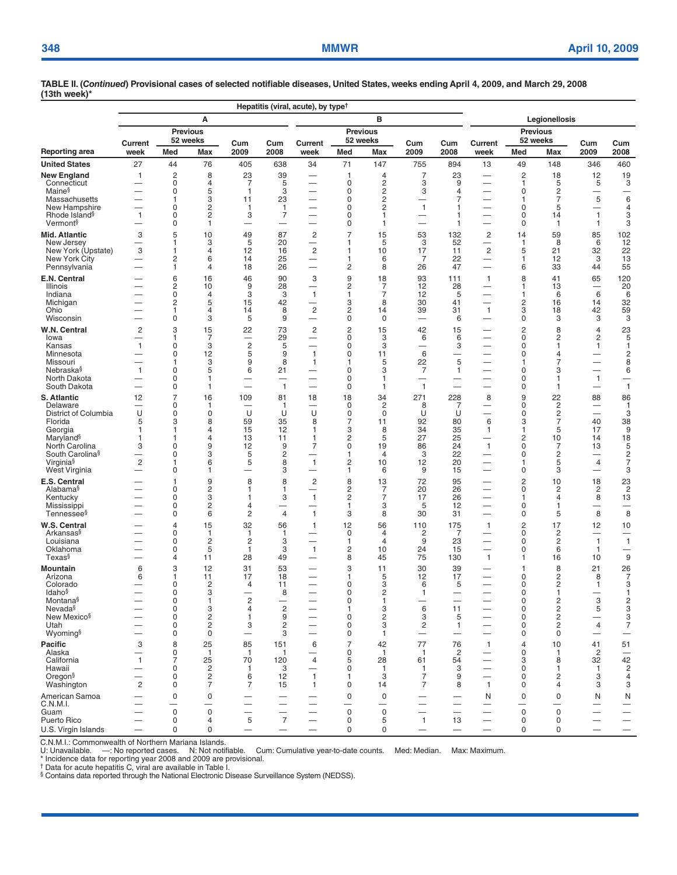|                                                   | Hepatitis (viral, acute), by type <sup>†</sup> |                            |                             |                               |                          |                                            |                     |                                  |                                            |                                          |                                                      |                            |                                  |                                            |                                           |  |  |
|---------------------------------------------------|------------------------------------------------|----------------------------|-----------------------------|-------------------------------|--------------------------|--------------------------------------------|---------------------|----------------------------------|--------------------------------------------|------------------------------------------|------------------------------------------------------|----------------------------|----------------------------------|--------------------------------------------|-------------------------------------------|--|--|
|                                                   |                                                |                            | Α                           |                               |                          |                                            |                     | B                                |                                            |                                          | Legionellosis                                        |                            |                                  |                                            |                                           |  |  |
|                                                   |                                                |                            | <b>Previous</b><br>52 weeks |                               |                          |                                            |                     | <b>Previous</b><br>52 weeks      |                                            |                                          |                                                      |                            | <b>Previous</b><br>52 weeks      |                                            |                                           |  |  |
| Reporting area                                    | Current<br>week                                | Med                        | Max                         | Cum<br>2009                   | Cum<br>2008              | Current<br>week                            | Med                 | Max                              | Cum<br>2009                                | Cum<br>2008                              | Current<br>week                                      | Med                        | <b>Max</b>                       | Cum<br>2009                                | Cum<br>2008                               |  |  |
| <b>United States</b>                              | 27                                             | 44                         | 76                          | 405                           | 638                      | 34                                         | 71                  | 147                              | 755                                        | 894                                      | 13                                                   | 49                         | 148                              | 346                                        | 460                                       |  |  |
| <b>New England</b>                                | $\mathbf{1}$                                   | $\overline{c}$             | 8                           | 23                            | 39                       | $\overline{\phantom{0}}$                   | 1                   | 4                                | $\overline{7}$                             | 23                                       | $\overline{\phantom{0}}$                             | $\overline{c}$             | 18                               | 12                                         | 19                                        |  |  |
| Connecticut<br>Maine <sup>§</sup>                 |                                                | 0<br>0                     | 4<br>5                      | 7<br>$\mathbf{1}$             | 5<br>3                   |                                            | 0<br>0              | $\overline{c}$<br>$\overline{c}$ | 3<br>3                                     | 9<br>$\overline{4}$                      | $\overline{\phantom{0}}$                             | 1<br>0                     | 5<br>$\overline{c}$              | 5<br>-                                     | 3<br>—                                    |  |  |
| Massachusetts                                     |                                                | 1                          | 3                           | 11                            | 23                       |                                            | 0                   | $\overline{c}$                   |                                            | $\overline{7}$                           | —                                                    | 1                          | $\overline{7}$                   | 5                                          | 6                                         |  |  |
| New Hampshire                                     |                                                | $\Omega$                   | 2                           | $\mathbf{1}$                  | $\mathbf{1}$             |                                            | $\Omega$            | $\overline{c}$                   | $\mathbf{1}$                               | $\mathbf{1}$                             |                                                      | $\mathbf 0$                | 5                                | $\overline{\phantom{0}}$                   | 4                                         |  |  |
| Rhode Island <sup>§</sup><br>Vermont <sup>§</sup> | $\mathbf{1}$                                   | $\mathbf 0$<br>$\mathbf 0$ | $\overline{c}$<br>1         | 3<br>—                        | $\overline{7}$<br>-      |                                            | 0<br>0              | $\mathbf{1}$<br>$\mathbf{1}$     | —<br>—                                     | 1<br>1                                   | $\overline{\phantom{0}}$                             | $\Omega$<br>$\mathbf 0$    | 14<br>$\mathbf{1}$               | $\mathbf{1}$<br>$\mathbf{1}$               | 3<br>3                                    |  |  |
| Mid. Atlantic                                     | 3                                              | 5                          | 10                          | 49                            | 87                       | $\overline{\mathbf{c}}$                    |                     | 15                               | 53                                         | 132                                      | $\overline{\mathbf{c}}$                              | 14                         | 59                               | 85                                         | 102                                       |  |  |
| New Jersey                                        |                                                | 1                          | 3                           | 5                             | 20                       | $\overline{\phantom{0}}$                   | 1                   | 5                                | 3                                          | 52                                       | $\overline{\phantom{0}}$                             | 1                          | 8                                | 6                                          | 12                                        |  |  |
| New York (Upstate)<br>New York City               | 3                                              | 1<br>2                     | 4<br>6                      | 12<br>14                      | 16<br>25                 | $\overline{c}$<br>—                        | 1<br>1              | 10<br>6                          | 17<br>7                                    | 11<br>22                                 | $\overline{c}$<br>-                                  | 5<br>1                     | 21<br>12                         | 32<br>3                                    | 22<br>13                                  |  |  |
| Pennsylvania                                      |                                                | $\mathbf{1}$               | 4                           | 18                            | 26                       |                                            | $\overline{c}$      | 8                                | 26                                         | 47                                       | $\overline{\phantom{0}}$                             | 6                          | 33                               | 44                                         | 55                                        |  |  |
| E.N. Central                                      |                                                | 6                          | 16                          | 46                            | 90                       | 3                                          | 9                   | 18                               | 93                                         | 111                                      | $\mathbf{1}$                                         | 8                          | 41                               | 65                                         | 120                                       |  |  |
| Illinois<br>Indiana                               |                                                | $\overline{c}$<br>0        | 10<br>4                     | 9<br>3                        | 28<br>3                  | —<br>1                                     | 2<br>1              | 7<br>$\overline{7}$              | 12<br>12                                   | 28<br>5                                  | —                                                    | 1<br>1                     | 13<br>6                          | —<br>6                                     | 20<br>6                                   |  |  |
| Michigan                                          |                                                | $\overline{c}$             | 5                           | 15                            | 42                       | $\overline{\phantom{0}}$                   | 3                   | 8                                | 30                                         | 41                                       |                                                      | 2                          | 16                               | 14                                         | 32                                        |  |  |
| Ohio                                              |                                                | 1                          | 4                           | 14                            | 8                        | $\overline{\mathbf{c}}$                    | 2                   | 14                               | 39                                         | 31                                       | $\mathbf{1}$                                         | 3                          | 18                               | 42                                         | 59                                        |  |  |
| Wisconsin                                         | $\overline{\phantom{0}}$                       | 0                          | 3                           | 5                             | 9                        |                                            | 0                   | 0                                |                                            | 6                                        |                                                      | 0                          | 3                                | 3                                          | 3                                         |  |  |
| W.N. Central<br>lowa                              | $\overline{\mathbf{c}}$                        | 3<br>1                     | 15<br>7                     | 22                            | 73<br>29                 | $\overline{c}$<br>$\overline{\phantom{0}}$ | 2<br>0              | 15<br>3                          | 42<br>6                                    | 15<br>6                                  |                                                      | $\overline{c}$<br>0        | 8<br>$\overline{\mathbf{c}}$     | $\overline{4}$<br>$\overline{\mathbf{c}}$  | 23<br>5                                   |  |  |
| Kansas                                            | $\mathbf{1}$                                   | $\mathbf 0$                | 3                           | $\overline{c}$                | 5                        |                                            | $\mathbf 0$         | 3                                |                                            | 3                                        |                                                      | $\mathbf 0$                | $\mathbf{1}$                     | $\mathbf{1}$                               | $\mathbf{1}$                              |  |  |
| Minnesota<br>Missouri                             |                                                | 0<br>1                     | 12<br>3                     | 5<br>9                        | 9<br>8                   | $\mathbf{1}$<br>1                          | 0<br>1              | 11<br>5                          | 6<br>22                                    | 5                                        | —<br>-                                               | 0                          | $\overline{4}$<br>$\overline{7}$ | —<br>—                                     | $\overline{\mathbf{c}}$<br>8              |  |  |
| Nebraska§                                         | $\mathbf{1}$                                   | 0                          | 5                           | 6                             | 21                       |                                            | 0                   | 3                                | 7                                          | 1                                        | $\overline{\phantom{0}}$                             | 0                          | 3                                | $\overline{\phantom{0}}$                   | 6                                         |  |  |
| North Dakota                                      | —                                              | 0                          | 1                           | $\overline{\phantom{0}}$      | $\overline{\phantom{0}}$ | -                                          | 0                   | -1                               |                                            |                                          | $\overline{\phantom{0}}$                             | 0                          | 1                                | $\mathbf{1}$                               | $\overline{\phantom{0}}$                  |  |  |
| South Dakota                                      |                                                | 0                          | 1                           |                               | $\mathbf{1}$             |                                            | 0                   | 1                                | $\mathbf{1}$                               |                                          |                                                      | 0                          | 1                                | —                                          | $\overline{1}$                            |  |  |
| <b>S. Atlantic</b><br>Delaware                    | 12                                             | $\overline{7}$<br>0        | 16<br>1                     | 109                           | 81<br>1                  | 18<br>$\overline{\phantom{0}}$             | 18<br>$\mathbf 0$   | 34<br>$\overline{c}$             | 271<br>8                                   | 228<br>7                                 | 8                                                    | 9<br>0                     | 22<br>$\overline{c}$             | 88<br>—                                    | 86<br>$\mathbf{1}$                        |  |  |
| District of Columbia                              | U                                              | 0                          | 0                           | U                             | U                        | U                                          | 0                   | 0                                | U                                          | U                                        | $\overline{\phantom{0}}$                             | 0                          | $\overline{c}$                   | $\overline{\phantom{0}}$                   | 3                                         |  |  |
| Florida<br>Georgia                                | 5<br>1                                         | 3<br>1                     | 8<br>4                      | 59<br>15                      | 35<br>12                 | 8<br>$\mathbf{1}$                          | 7<br>3              | 11<br>8                          | 92<br>34                                   | 80<br>35                                 | 6<br>1                                               | 3<br>1                     | $\overline{7}$<br>5              | 40<br>17                                   | 38<br>9                                   |  |  |
| Maryland <sup>§</sup>                             | 1                                              | 1                          | 4                           | 13                            | 11                       | 1                                          | 2                   | 5                                | 27                                         | 25                                       |                                                      | $\overline{c}$             | 10                               | 14                                         | 18                                        |  |  |
| North Carolina                                    | 3                                              | $\Omega$                   | 9                           | 12                            | 9                        | 7                                          | $\Omega$            | 19                               | 86                                         | 24                                       | $\mathbf{1}$                                         | $\Omega$                   | $\overline{7}$                   | 13                                         | 5                                         |  |  |
| South Carolina <sup>§</sup><br>Virginia§          | $\overline{c}$                                 | $\mathbf 0$<br>1           | 3<br>6                      | 5<br>5                        | $\overline{c}$<br>8      | $\mathbf{1}$                               | 1<br>$\overline{c}$ | 4<br>10                          | 3<br>12                                    | 22<br>20                                 | $\overline{\phantom{0}}$<br>$\overline{\phantom{0}}$ | $\Omega$<br>1              | $\overline{c}$<br>5              | $\overline{\phantom{0}}$<br>$\overline{4}$ | $\overline{\mathbf{c}}$<br>$\overline{7}$ |  |  |
| West Virginia                                     |                                                | $\mathbf 0$                | 1                           |                               | 3                        | —                                          | 1                   | 6                                | 9                                          | 15                                       |                                                      | 0                          | 3                                | —                                          | 3                                         |  |  |
| E.S. Central                                      |                                                | 1                          | 9                           | 8                             | 8                        | $\overline{c}$                             | 8                   | 13                               | 72                                         | 95                                       | $\overbrace{\phantom{13333}}$                        | $\overline{c}$             | 10                               | 18                                         | 23                                        |  |  |
| Alabama <sup>§</sup><br>Kentucky                  |                                                | $\mathbf 0$<br>0           | 2<br>3                      | 1<br>1                        | 1<br>3                   | —<br>$\overline{1}$                        | 2<br>2              | 7<br>$\overline{7}$              | 20<br>17                                   | 26<br>26                                 | $\overline{\phantom{0}}$                             | 0<br>1                     | 2<br>$\overline{4}$              | $\overline{c}$<br>8                        | $\overline{c}$<br>13                      |  |  |
| Mississippi                                       |                                                | 0                          | 2                           | 4                             | -                        |                                            | 1                   | 3                                | 5                                          | 12                                       | —                                                    | 0                          | 1                                | -                                          | —                                         |  |  |
| Tennessee <sup>§</sup>                            | $\overline{\phantom{0}}$                       | $\mathbf 0$                | 6                           | $\overline{c}$                | $\overline{4}$           | $\mathbf{1}$                               | 3                   | 8                                | 30                                         | 31                                       | $\overline{\phantom{0}}$                             | 0                          | 5                                | 8                                          | 8                                         |  |  |
| W.S. Central<br>Arkansas§                         |                                                | $\overline{4}$             | 15                          | 32                            | 56                       | $\mathbf{1}$                               | 12                  | 56                               | 110                                        | 175                                      | $\mathbf{1}$                                         | $\overline{c}$             | 17                               | 12                                         | 10                                        |  |  |
| Louisiana                                         | $\overline{\phantom{0}}$                       | $\mathbf 0$<br>0           | 1<br>$\overline{c}$         | 1<br>2                        | 1<br>3                   | -<br>$\overline{\phantom{0}}$              | 0<br>1              | $\overline{4}$<br>$\overline{4}$ | $\overline{2}$<br>9                        | 7<br>23                                  | —<br>$\overline{\phantom{0}}$                        | 0<br>0                     | $\overline{c}$<br>$\overline{2}$ | -<br>$\mathbf{1}$                          | $\mathbf{1}$                              |  |  |
| Oklahoma                                          |                                                | 0                          | 5                           | 1                             | 3                        | 1                                          | 2                   | 10                               | 24                                         | 15                                       |                                                      | 0                          | 6                                | $\mathbf{1}$                               |                                           |  |  |
| Texas§                                            | —                                              | $\overline{4}$             | 11                          | 28                            | 49                       | —                                          | 8                   | 45                               | 75                                         | 130                                      | $\mathbf{1}$                                         | 1                          | 16                               | 10                                         | $9\,$                                     |  |  |
| Mountain<br>Arizona                               | 6<br>6                                         | 3<br>1                     | 12<br>11                    | 31<br>17                      | 53<br>18                 | —<br>$\overline{\phantom{0}}$              | 3<br>1              | 11<br>5                          | 30<br>12                                   | 39<br>17                                 |                                                      | 1<br>0                     | 8<br>$\overline{c}$              | 21<br>8                                    | $\frac{26}{7}$                            |  |  |
| Colorado                                          |                                                | $\mathbf 0$                | $\overline{c}$              | 4                             | 11                       |                                            | 0                   | 3                                | 6                                          | 5                                        |                                                      | $\Omega$                   | $\overline{2}$                   | $\mathbf{1}$                               | 3                                         |  |  |
| Idaho <sup>§</sup>                                |                                                | 0<br>0                     | 3<br>1                      |                               | 8                        | $\overline{\phantom{0}}$                   | 0<br>0              | 2<br>1                           | 1                                          |                                          | —                                                    | 0<br>0                     | 1                                |                                            | $\mathbf{1}$                              |  |  |
| Montana§<br>Nevada§                               |                                                | 0                          | 3                           | 2<br>4                        | $\overline{c}$           |                                            | 1                   | 3                                | 6                                          | 11                                       |                                                      | $\mathbf 0$                | $\frac{2}{2}$                    | 3<br>5                                     | $\frac{2}{3}$                             |  |  |
| New Mexico <sup>§</sup>                           |                                                | 0                          | $\overline{c}$              | $\mathbf{1}$                  | 9                        | $\overline{\phantom{0}}$                   | 0                   | $\overline{c}$                   | 3                                          | 5                                        | $\overline{\phantom{0}}$                             | $\mathbf 0$                | $\overline{c}$                   |                                            | $\frac{3}{7}$                             |  |  |
| Utah<br>Wyoming§                                  |                                                | $\mathbf 0$<br>$\mathbf 0$ | $\sqrt{2}$<br>$\mathbf 0$   | 3<br>$\overline{\phantom{0}}$ | $\overline{c}$<br>3      |                                            | 0<br>0              | 3<br>$\mathbf{1}$                | $\overline{c}$<br>$\overline{\phantom{0}}$ | $\mathbf{1}$<br>$\overline{\phantom{0}}$ |                                                      | $\mathbf 0$<br>$\mathbf 0$ | $\overline{c}$<br>$\mathbf 0$    | $\overline{4}$<br>$\overline{\phantom{0}}$ |                                           |  |  |
| Pacific                                           | 3                                              | 8                          | 25                          | 85                            | 151                      | 6                                          | $\overline{7}$      | 42                               | 77                                         | 76                                       | $\mathbf{1}$                                         | $\overline{4}$             | 10                               | 41                                         | 51                                        |  |  |
| Alaska                                            |                                                | 0                          | $\mathbf{1}$                | -1                            | -1                       |                                            | 0                   | $\overline{1}$                   | $\mathbf{1}$                               | $\overline{c}$                           |                                                      | $\mathbf 0$                | 1                                | $\overline{2}$                             | $\qquad \qquad -$                         |  |  |
| California<br>Hawaii                              | $\mathbf{1}$                                   | $\overline{7}$<br>0        | 25<br>$\overline{c}$        | 70<br>$\mathbf{1}$            | 120<br>3                 | $\overline{4}$                             | 5<br>$\Omega$       | 28<br>$\mathbf{1}$               | 61<br>$\mathbf{1}$                         | 54<br>3                                  | $\overline{\phantom{0}}$                             | 3<br>$\Omega$              | 8<br>1                           | 32<br>$\overline{1}$                       | $\begin{array}{c} 42 \\ 2 \end{array}$    |  |  |
| Oregon <sup>§</sup>                               |                                                | 0                          | $\overline{c}$              | 6                             | 12                       | 1                                          | 1                   | 3                                | $\overline{7}$                             | 9                                        |                                                      | $\mathbf 0$                | $\overline{c}$                   | 3                                          | $\overline{4}$                            |  |  |
| Washington                                        | $\sqrt{2}$                                     | 0                          | $\overline{7}$              | 7                             | 15                       | 1                                          | 0                   | 14                               | 7                                          | 8                                        | 1                                                    | 0                          | 4                                | 3                                          | 3                                         |  |  |
| American Samoa                                    |                                                | $\mathbf 0$                | $\pmb{0}$                   |                               | $\overline{\phantom{0}}$ |                                            | $\mathbf 0$         | $\mathbf 0$                      |                                            |                                          | N                                                    | $\mathbf 0$                | $\mathbf 0$                      | N                                          | $\mathsf{N}$                              |  |  |
| C.N.M.I.<br>Guam                                  |                                                | $\mathbf 0$                | $\mathbf 0$                 | $\overline{\phantom{0}}$      | $\overline{\phantom{0}}$ |                                            | $\mathbf 0$         | $\mathbf 0$                      | $\overline{\phantom{0}}$                   | $\overline{\phantom{0}}$                 | $\overline{\phantom{0}}$                             | $\mathbf 0$                | $\mathbf 0$                      | $\overline{\phantom{0}}$                   | $\qquad \qquad -$                         |  |  |
| Puerto Rico                                       | $\overline{\phantom{0}}$                       | 0                          | 4                           | 5                             | $\overline{7}$           |                                            | 0                   | 5                                | $\mathbf{1}$                               | 13                                       | $\qquad \qquad -$                                    | 0                          | 0                                | $\overline{\phantom{0}}$                   | $\overline{\phantom{0}}$                  |  |  |
| U.S. Virgin Islands                               |                                                | 0                          | $\mathbf 0$                 | $\overline{\phantom{0}}$      |                          | $\overline{\phantom{0}}$                   | 0                   | $\mathbf 0$                      | $\overline{\phantom{0}}$                   |                                          | $\overline{\phantom{0}}$                             | $\mathbf 0$                | $\mathbf 0$                      |                                            |                                           |  |  |

C.N.M.I.: Commonwealth of Northern Mariana Islands.<br>U: Unavailable. —: No reported cases. N: Not notifiable. Cum: Cumulative year-to-date counts. Med: Median. Max: Maximum.<br>\* Incidence data for reporting ye

§ Contains data reported through the National Electronic Disease Surveillance System (NEDSS).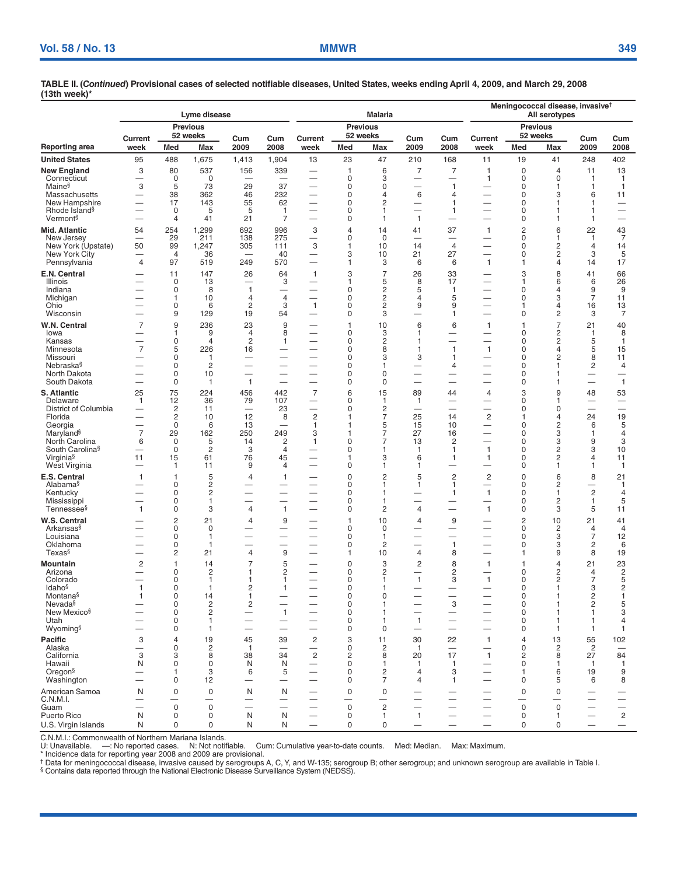| <b>Previous</b><br><b>Previous</b><br><b>Previous</b><br>52 weeks<br>52 weeks<br>52 weeks<br>Cum<br>Cum<br>Current<br>Cum<br>Current<br>Cum<br>Current<br>Cum<br>Cum<br>2009<br>2008<br>2009<br>2008<br>2009<br>2008<br>week<br>Med<br>Max<br>Med<br>Max<br>Med<br>Max<br>week<br>week<br>402<br>95<br>488<br>1,675<br>1,904<br>13<br>23<br>47<br>210<br>168<br>11<br>19<br>248<br>1,413<br>41<br>3<br>80<br>537<br>339<br>$\overline{7}$<br>7<br>$\pmb{0}$<br>13<br>156<br>1<br>6<br>1<br>$\overline{4}$<br>11<br>$\mathbf 0$<br>0<br>3<br>0<br>$\Omega$<br>Connecticut<br>0<br>$\mathbf{1}$<br>$\mathbf{1}$<br>$\overline{\phantom{0}}$<br>-1<br>—<br>-<br>3<br>5<br>Maine <sup>§</sup><br>73<br>29<br>37<br>0<br>$\mathbf{1}$<br>$\mathbf 0$<br>0<br>1<br>$\mathbf{1}$<br>$\overline{\phantom{0}}$<br>1<br>$\overline{\phantom{0}}$<br>38<br>362<br>232<br>0<br>6<br>$\mathbf 0$<br>46<br>3<br>6<br>Massachusetts<br>4<br>4<br>11<br>143<br>55<br>62<br>$\mathbf 0$<br>2<br>0<br>New Hampshire<br>17<br>1<br>1<br>1<br>$\overline{\phantom{0}}$<br>-<br>—<br>Rhode Island <sup>§</sup><br>0<br>5<br>5<br>$\mathbf{1}$<br>0<br>0<br>$\overline{\phantom{0}}$<br>1<br>1<br>1<br>Vermont <sup>§</sup><br>$\overline{4}$<br>41<br>21<br>7<br>0<br>$\mathbf{1}$<br>0<br>$\mathbf{1}$<br>1<br>$\overline{\phantom{0}}$<br>$\overline{\phantom{0}}$<br>$\overline{c}$<br>254<br>1,299<br>692<br>996<br>37<br>22<br>43<br>7<br>54<br>3<br>$\overline{4}$<br>14<br>41<br>$\mathbf{1}$<br>6<br>29<br>275<br>211<br>138<br>$\mathbf 0$<br>0<br>New Jersey<br>$\Omega$<br>1<br>1<br>—<br>$\overline{\phantom{0}}$<br>-<br>3<br>50<br>99<br>$\overline{4}$<br>0<br>2<br>New York (Upstate)<br>1,247<br>305<br>111<br>10<br>14<br>14<br>1<br>4<br>36<br>3<br>27<br>0<br>3<br>5<br>New York City<br>$\overline{4}$<br>40<br>10<br>21<br>2<br>97<br>249<br>570<br>6<br>17<br>Pennsylvania<br>$\overline{4}$<br>519<br>3<br>6<br>$\mathbf{1}$<br>1<br>4<br>14<br>1<br>—<br>$\overline{7}$<br>E.N. Central<br>26<br>64<br>3<br>26<br>33<br>3<br>8<br>41<br>66<br>11<br>147<br>$\mathbf{1}$<br>13<br>3<br>5<br>8<br>17<br>6<br>26<br>Illinois<br>0<br>6<br>1<br>1<br>$\overline{\phantom{0}}$<br>0<br>8<br>0<br>2<br>5<br>0<br>9<br>9<br>Indiana<br>1<br>1<br>4<br>$\overline{\phantom{0}}$<br>$\overline{c}$<br>$\overline{7}$<br>10<br>$\overline{4}$<br>0<br>$\Omega$<br>3<br>Michigan<br>1<br>4<br>4<br>5<br>11<br>$\mathbf 0$<br>$\overline{c}$<br>3<br>$\mathbf 0$<br>$\overline{c}$<br>13<br>6<br>$\mathbf{1}$<br>9<br>9<br>16<br>Ohio<br>1<br>4<br>9<br>$\mathbf 0$<br>3<br>$\overline{7}$<br>129<br>19<br>54<br>3<br>0<br>2<br>Wisconsin<br>1<br>7<br>40<br>$\overline{7}$<br>9<br>236<br>23<br>9<br>10<br>6<br>6<br>21<br>1<br>1<br>1<br>$\overline{\phantom{0}}$<br>2<br>1<br>9<br>$\overline{4}$<br>8<br>$\mathbf 0$<br>3<br>0<br>$\mathbf{1}$<br>8<br>lowa<br>1<br>$\overline{\phantom{0}}$<br>-<br>0<br>$\overline{4}$<br>2<br>0<br>2<br>0<br>2<br>5<br>Kansas<br>1<br>1<br>$\mathbf{1}$<br>$\overline{\phantom{0}}$<br>-<br>-<br>$\overline{7}$<br>5<br>226<br>0<br>8<br>$\mathbf{1}$<br>$\mathbf{1}$<br>0<br>4<br>5<br>15<br>Minnesota<br>16<br>1<br>$\overline{\phantom{0}}$<br>—<br>2<br>0<br>0<br>3<br>$\Omega$<br>8<br>Missouri<br>3<br>1<br>11<br>1<br>$\overline{\phantom{0}}$<br>-<br>Nebraska§<br>$\mathbf 0$<br>$\overline{c}$<br>0<br>0<br>$\overline{c}$<br>4<br>4<br>1<br>1<br>-<br>--<br>$\mathbf 0$<br>0<br>0<br>North Dakota<br>10<br>0<br>1<br>$\overline{\phantom{0}}$<br>$\overline{\phantom{0}}$<br>-<br>÷<br>-<br>—<br>South Dakota<br>$\mathbf 0$<br>$\mathbf{1}$<br>$\mathbf 0$<br>0<br>$\mathbf{1}$<br>0<br>1<br>$\overline{\phantom{0}}$<br>1<br>$\overline{\phantom{0}}$<br>75<br>$\overline{7}$<br>3<br>S. Atlantic<br>25<br>224<br>456<br>442<br>6<br>15<br>89<br>44<br>9<br>48<br>53<br>4<br>Delaware<br>12<br>36<br>79<br>107<br>0<br>$\mathbf{1}$<br>0<br>1<br>$\mathbf{1}$<br>1<br>-<br>—<br>2<br>District of Columbia<br>2<br>23<br>0<br>0<br>11<br>0<br>$\overline{\phantom{0}}$<br>$\overline{\phantom{0}}$<br>$\overline{\phantom{0}}$<br>$\overline{\phantom{0}}$<br>$\overline{\phantom{0}}$<br>$\overline{c}$<br>2<br>19<br>$\overline{c}$<br>12<br>7<br>25<br>14<br>24<br>Florida<br>10<br>8<br>4<br>1<br>1<br>$\mathbf 0$<br>5<br>15<br>10<br>0<br>2<br>6<br>5<br>6<br>13<br>Georgia<br>1<br>1<br>$\overline{\phantom{0}}$<br>Maryland <sup>§</sup><br>$\overline{7}$<br>29<br>250<br>249<br>7<br>27<br>162<br>3<br>16<br>0<br>3<br>4<br>1<br>1<br>$\mathbf 0$<br>5<br>$\overline{\mathbf{c}}$<br>13<br>$\overline{c}$<br>0<br>3<br>9<br>3<br>North Carolina<br>6<br>14<br>$\mathbf{1}$<br>0<br>7<br>South Carolina <sup>§</sup><br>0<br>2<br>3<br>0<br>1<br>$\mathbf{1}$<br>0<br>2<br>3<br>10<br>4<br>1<br>—<br>Virginia <sup>§</sup><br>11<br>15<br>61<br>76<br>45<br>3<br>6<br>1<br>0<br>2<br>4<br>11<br>1<br>1<br>West Virginia<br>11<br>9<br>0<br>1<br>0<br>$\mathbf{1}$<br>1<br>4<br>$\mathbf{1}$<br>1<br>1<br>$\overline{\phantom{0}}$<br>-<br>E.S. Central<br>5<br>0<br>2<br>5<br>$\overline{c}$<br>2<br>0<br>6<br>8<br>21<br>$\mathbf{1}$<br>4<br>$\mathbf{1}$<br>$\overline{1}$<br>2<br>Alabama <sup>§</sup><br>0<br>0<br>0<br>2<br>$\mathbf{1}$<br>1<br>$\mathbf{1}$<br>1<br>$\overline{c}$<br>$\mathbf 0$<br>$\overline{c}$<br>0<br>$\mathbf{1}$<br>$\mathbf 0$<br>Kentucky<br>4<br>1<br>1<br>1<br>-<br>$\mathbf 0$<br>0<br>$\overline{c}$<br>5<br>Mississippi<br>0<br>1<br>$\mathbf{1}$<br>1<br>$\overline{\phantom{0}}$<br>-<br>—<br>$\mathbf 0$<br>3<br>$\mathbf{1}$<br>$\overline{c}$<br>$\mathbf{1}$<br>5<br>Tennessee§<br>$\mathbf{1}$<br>$\overline{4}$<br>0<br>$\overline{4}$<br>0<br>3<br>11<br>$\overline{c}$<br>$\overline{c}$<br>21<br>9<br>10<br>9<br>10<br>21<br>41<br>4<br>$\overline{4}$<br>1<br>Arkansas§<br>0<br>0<br>0<br>2<br>0<br>0<br>4<br>4<br>-<br>—<br>-<br>$\overline{7}$<br>Louisiana<br>$\Omega$<br>0<br>0<br>3<br>12<br>1<br>$\overline{\phantom{0}}$<br>1<br>$\overline{\phantom{0}}$<br>—<br>-<br>$\pmb{0}$<br>$\overline{c}$<br>6<br>Oklahoma<br>$\mathbf 0$<br>2<br>$\mathbf{1}$<br>0<br>3<br>1<br>$\overline{\phantom{0}}$<br>9<br>$\overline{c}$<br>21<br>8<br>Texas§<br>10<br>$\overline{4}$<br>8<br>19<br>4<br>1<br>1<br>9<br>23<br>$\overline{c}$<br>1<br>14<br>5<br>0<br>3<br>$\overline{c}$<br>8<br>21<br>Mountain<br>$\mathbf{1}$<br>1<br>4<br>$\frac{2}{5}$<br>Arizona<br>0<br>2<br>2<br>0<br>2<br>2<br>0<br>2<br>$\overline{4}$<br>$\overline{\phantom{0}}$<br>Colorado<br>$\mathbf 0$<br>0<br>$\mathbf{1}$<br>3<br>0<br>2<br>7<br>1<br>1<br>1<br>2<br>Idaho <sup>§</sup><br>$\mathbf{1}$<br>0<br>1<br>0<br>0<br>3<br>1<br>2<br>1<br>—<br>Montana§<br>2<br>$\Omega$<br>14<br>$\Omega$<br>$\Omega$<br>0<br>1<br>$\sqrt{2}$<br>Nevada§<br>$\overline{\mathbf{c}}$<br>3<br>$\overline{c}$<br>5<br>0<br>0<br>0<br>1<br>$\mathbf{1}$<br>$\mathbf{1}$<br>3<br>New Mexico <sup>§</sup><br>$\mathbf 0$<br>$\overline{\mathbf{c}}$<br>0<br>$\pmb{0}$<br>$\mathbf{1}$<br>$\overline{\phantom{0}}$<br>1<br>1<br>$\overline{\phantom{0}}$<br>$\mathbf{1}$<br>0<br>0<br>0<br>Utah<br>4<br>1<br>1<br>$\overline{\phantom{0}}$<br>1<br>-1<br>—<br>Wyoming§<br>0<br>0<br>0<br>0<br>1<br>$\mathbf{1}$<br>$\mathbf{1}$<br>$\overline{\phantom{0}}$<br>$\overline{\phantom{0}}$<br>$\overline{\phantom{0}}$<br>-1<br>$\overline{\phantom{0}}$<br>3<br>19<br>39<br>$\overline{c}$<br>3<br>22<br>13<br>55<br>102<br>$\overline{4}$<br>45<br>11<br>30<br>$\mathbf{1}$<br>$\overline{4}$<br>Alaska<br>0<br>2<br>0<br>2<br>2<br>$\overline{c}$<br>$\mathbf{1}$<br>$\mathbf{1}$<br>0<br>$\overline{\phantom{0}}$<br>—<br>$\overline{\phantom{0}}$<br>3<br>$\overline{c}$<br>84<br>California<br>3<br>8<br>38<br>34<br>2<br>8<br>20<br>17<br>$\mathbf{1}$<br>2<br>8<br>27<br>N<br>0<br>0<br>N<br>0<br>0<br>Hawaii<br>N<br>$\mathbf{1}$<br>$\mathbf{1}$<br>$\overline{1}$<br>1<br>-1<br>1<br>—<br>Oregon <sup>§</sup><br>0<br>$\overline{c}$<br>3<br>5<br>3<br>9<br>$\mathbf{1}$<br>6<br>$\overline{4}$<br>1<br>6<br>19<br>8<br>Washington<br>0<br>12<br>0<br>7<br>0<br>4<br>1<br>5<br>6<br>$\overline{\phantom{0}}$<br>$\overline{\phantom{0}}$<br>$\overline{\phantom{0}}$<br>—<br>$\mathbf 0$<br>American Samoa<br>N<br>$\mathbf 0$<br>N<br>N<br>0<br>$\mathbf 0$<br>$\pmb{0}$<br>$\pmb{0}$<br>$\overline{\phantom{0}}$<br>—<br>-<br>-<br>-<br>-<br>-<br>-<br>$\sqrt{2}$<br>$\mathbf 0$<br>0<br>0<br>0<br>0<br>$\qquad \qquad -$<br>$\overline{\phantom{0}}$<br>$\overline{\phantom{0}}$<br>—<br>--<br>$\overline{c}$<br>N<br>N<br>Puerto Rico<br>0<br>0<br>N<br>0<br>$\mathbf{1}$<br>0<br>1<br>$\mathbf{1}$<br>-<br>-<br>U.S. Virgin Islands<br>0<br>$\pmb{0}$<br>N<br>N<br>0<br>$\mathbf 0$<br>$\pmb{0}$<br>0<br>N<br>$\overline{\phantom{0}}$<br>$\qquad \qquad -$<br>$\qquad \qquad -$<br>$\qquad \qquad -$<br>$\overline{\phantom{0}}$ |                      |  | Lyme disease |  |  | <b>Malaria</b> |  | Meningococcal disease, invasive <sup>t</sup><br>All serotypes |  |  |  |  |  |
|--------------------------------------------------------------------------------------------------------------------------------------------------------------------------------------------------------------------------------------------------------------------------------------------------------------------------------------------------------------------------------------------------------------------------------------------------------------------------------------------------------------------------------------------------------------------------------------------------------------------------------------------------------------------------------------------------------------------------------------------------------------------------------------------------------------------------------------------------------------------------------------------------------------------------------------------------------------------------------------------------------------------------------------------------------------------------------------------------------------------------------------------------------------------------------------------------------------------------------------------------------------------------------------------------------------------------------------------------------------------------------------------------------------------------------------------------------------------------------------------------------------------------------------------------------------------------------------------------------------------------------------------------------------------------------------------------------------------------------------------------------------------------------------------------------------------------------------------------------------------------------------------------------------------------------------------------------------------------------------------------------------------------------------------------------------------------------------------------------------------------------------------------------------------------------------------------------------------------------------------------------------------------------------------------------------------------------------------------------------------------------------------------------------------------------------------------------------------------------------------------------------------------------------------------------------------------------------------------------------------------------------------------------------------------------------------------------------------------------------------------------------------------------------------------------------------------------------------------------------------------------------------------------------------------------------------------------------------------------------------------------------------------------------------------------------------------------------------------------------------------------------------------------------------------------------------------------------------------------------------------------------------------------------------------------------------------------------------------------------------------------------------------------------------------------------------------------------------------------------------------------------------------------------------------------------------------------------------------------------------------------------------------------------------------------------------------------------------------------------------------------------------------------------------------------------------------------------------------------------------------------------------------------------------------------------------------------------------------------------------------------------------------------------------------------------------------------------------------------------------------------------------------------------------------------------------------------------------------------------------------------------------------------------------------------------------------------------------------------------------------------------------------------------------------------------------------------------------------------------------------------------------------------------------------------------------------------------------------------------------------------------------------------------------------------------------------------------------------------------------------------------------------------------------------------------------------------------------------------------------------------------------------------------------------------------------------------------------------------------------------------------------------------------------------------------------------------------------------------------------------------------------------------------------------------------------------------------------------------------------------------------------------------------------------------------------------------------------------------------------------------------------------------------------------------------------------------------------------------------------------------------------------------------------------------------------------------------------------------------------------------------------------------------------------------------------------------------------------------------------------------------------------------------------------------------------------------------------------------------------------------------------------------------------------------------------------------------------------------------------------------------------------------------------------------------------------------------------------------------------------------------------------------------------------------------------------------------------------------------------------------------------------------------------------------------------------------------------------------------------------------------------------------------------------------------------------------------------------------------------------------------------------------------------------------------------------------------------------------------------------------------------------------------------------------------------------------------------------------------------------------------------------------------------------------------------------------------------------------------------------------------------------------------------------------------------------------------------------------------------------------------------------------------------------------------------------------------------------------------------------------------------------------------------------------------------------------------------------------------------------------------------------------------------------------------------------------------------------------------------------------------------------------------------------------------------------------------------------------------------------------------------------------------------------------------------------------------------------------------------------------------------------------------------------------------------------------------------------------------------------------------------------------------------------------------------------------------------------------------------------------------------------------------------------------------------------------------------------------------------------------------------------------------------------------------------------------------------------------------------------------------------------------------------------------------------------------------------------------------------------------------------------------------------------------------------------------------------------------------------------------------------------------------------------------------------------------------------------------------------------------------------------------------------------------------------------------------------------------------------------------------------------------------------------------------------------------------------------------------------------------------------------------------------------------------------|----------------------|--|--------------|--|--|----------------|--|---------------------------------------------------------------|--|--|--|--|--|
|                                                                                                                                                                                                                                                                                                                                                                                                                                                                                                                                                                                                                                                                                                                                                                                                                                                                                                                                                                                                                                                                                                                                                                                                                                                                                                                                                                                                                                                                                                                                                                                                                                                                                                                                                                                                                                                                                                                                                                                                                                                                                                                                                                                                                                                                                                                                                                                                                                                                                                                                                                                                                                                                                                                                                                                                                                                                                                                                                                                                                                                                                                                                                                                                                                                                                                                                                                                                                                                                                                                                                                                                                                                                                                                                                                                                                                                                                                                                                                                                                                                                                                                                                                                                                                                                                                                                                                                                                                                                                                                                                                                                                                                                                                                                                                                                                                                                                                                                                                                                                                                                                                                                                                                                                                                                                                                                                                                                                                                                                                                                                                                                                                                                                                                                                                                                                                                                                                                                                                                                                                                                                                                                                                                                                                                                                                                                                                                                                                                                                                                                                                                                                                                                                                                                                                                                                                                                                                                                                                                                                                                                                                                                                                                                                                                                                                                                                                                                                                                                                                                                                                                                                                                                                                                                                                                                                                                                                                                                                                                                                                                                                                                                                                                                                                                                                                                                                                                                                                                                                                                                                                                                                                                                                                                                                                                                                    |                      |  |              |  |  |                |  |                                                               |  |  |  |  |  |
|                                                                                                                                                                                                                                                                                                                                                                                                                                                                                                                                                                                                                                                                                                                                                                                                                                                                                                                                                                                                                                                                                                                                                                                                                                                                                                                                                                                                                                                                                                                                                                                                                                                                                                                                                                                                                                                                                                                                                                                                                                                                                                                                                                                                                                                                                                                                                                                                                                                                                                                                                                                                                                                                                                                                                                                                                                                                                                                                                                                                                                                                                                                                                                                                                                                                                                                                                                                                                                                                                                                                                                                                                                                                                                                                                                                                                                                                                                                                                                                                                                                                                                                                                                                                                                                                                                                                                                                                                                                                                                                                                                                                                                                                                                                                                                                                                                                                                                                                                                                                                                                                                                                                                                                                                                                                                                                                                                                                                                                                                                                                                                                                                                                                                                                                                                                                                                                                                                                                                                                                                                                                                                                                                                                                                                                                                                                                                                                                                                                                                                                                                                                                                                                                                                                                                                                                                                                                                                                                                                                                                                                                                                                                                                                                                                                                                                                                                                                                                                                                                                                                                                                                                                                                                                                                                                                                                                                                                                                                                                                                                                                                                                                                                                                                                                                                                                                                                                                                                                                                                                                                                                                                                                                                                                                                                                                                                    | Reporting area       |  |              |  |  |                |  |                                                               |  |  |  |  |  |
|                                                                                                                                                                                                                                                                                                                                                                                                                                                                                                                                                                                                                                                                                                                                                                                                                                                                                                                                                                                                                                                                                                                                                                                                                                                                                                                                                                                                                                                                                                                                                                                                                                                                                                                                                                                                                                                                                                                                                                                                                                                                                                                                                                                                                                                                                                                                                                                                                                                                                                                                                                                                                                                                                                                                                                                                                                                                                                                                                                                                                                                                                                                                                                                                                                                                                                                                                                                                                                                                                                                                                                                                                                                                                                                                                                                                                                                                                                                                                                                                                                                                                                                                                                                                                                                                                                                                                                                                                                                                                                                                                                                                                                                                                                                                                                                                                                                                                                                                                                                                                                                                                                                                                                                                                                                                                                                                                                                                                                                                                                                                                                                                                                                                                                                                                                                                                                                                                                                                                                                                                                                                                                                                                                                                                                                                                                                                                                                                                                                                                                                                                                                                                                                                                                                                                                                                                                                                                                                                                                                                                                                                                                                                                                                                                                                                                                                                                                                                                                                                                                                                                                                                                                                                                                                                                                                                                                                                                                                                                                                                                                                                                                                                                                                                                                                                                                                                                                                                                                                                                                                                                                                                                                                                                                                                                                                                                    | <b>United States</b> |  |              |  |  |                |  |                                                               |  |  |  |  |  |
|                                                                                                                                                                                                                                                                                                                                                                                                                                                                                                                                                                                                                                                                                                                                                                                                                                                                                                                                                                                                                                                                                                                                                                                                                                                                                                                                                                                                                                                                                                                                                                                                                                                                                                                                                                                                                                                                                                                                                                                                                                                                                                                                                                                                                                                                                                                                                                                                                                                                                                                                                                                                                                                                                                                                                                                                                                                                                                                                                                                                                                                                                                                                                                                                                                                                                                                                                                                                                                                                                                                                                                                                                                                                                                                                                                                                                                                                                                                                                                                                                                                                                                                                                                                                                                                                                                                                                                                                                                                                                                                                                                                                                                                                                                                                                                                                                                                                                                                                                                                                                                                                                                                                                                                                                                                                                                                                                                                                                                                                                                                                                                                                                                                                                                                                                                                                                                                                                                                                                                                                                                                                                                                                                                                                                                                                                                                                                                                                                                                                                                                                                                                                                                                                                                                                                                                                                                                                                                                                                                                                                                                                                                                                                                                                                                                                                                                                                                                                                                                                                                                                                                                                                                                                                                                                                                                                                                                                                                                                                                                                                                                                                                                                                                                                                                                                                                                                                                                                                                                                                                                                                                                                                                                                                                                                                                                                                    | New England          |  |              |  |  |                |  |                                                               |  |  |  |  |  |
|                                                                                                                                                                                                                                                                                                                                                                                                                                                                                                                                                                                                                                                                                                                                                                                                                                                                                                                                                                                                                                                                                                                                                                                                                                                                                                                                                                                                                                                                                                                                                                                                                                                                                                                                                                                                                                                                                                                                                                                                                                                                                                                                                                                                                                                                                                                                                                                                                                                                                                                                                                                                                                                                                                                                                                                                                                                                                                                                                                                                                                                                                                                                                                                                                                                                                                                                                                                                                                                                                                                                                                                                                                                                                                                                                                                                                                                                                                                                                                                                                                                                                                                                                                                                                                                                                                                                                                                                                                                                                                                                                                                                                                                                                                                                                                                                                                                                                                                                                                                                                                                                                                                                                                                                                                                                                                                                                                                                                                                                                                                                                                                                                                                                                                                                                                                                                                                                                                                                                                                                                                                                                                                                                                                                                                                                                                                                                                                                                                                                                                                                                                                                                                                                                                                                                                                                                                                                                                                                                                                                                                                                                                                                                                                                                                                                                                                                                                                                                                                                                                                                                                                                                                                                                                                                                                                                                                                                                                                                                                                                                                                                                                                                                                                                                                                                                                                                                                                                                                                                                                                                                                                                                                                                                                                                                                                                                    |                      |  |              |  |  |                |  |                                                               |  |  |  |  |  |
|                                                                                                                                                                                                                                                                                                                                                                                                                                                                                                                                                                                                                                                                                                                                                                                                                                                                                                                                                                                                                                                                                                                                                                                                                                                                                                                                                                                                                                                                                                                                                                                                                                                                                                                                                                                                                                                                                                                                                                                                                                                                                                                                                                                                                                                                                                                                                                                                                                                                                                                                                                                                                                                                                                                                                                                                                                                                                                                                                                                                                                                                                                                                                                                                                                                                                                                                                                                                                                                                                                                                                                                                                                                                                                                                                                                                                                                                                                                                                                                                                                                                                                                                                                                                                                                                                                                                                                                                                                                                                                                                                                                                                                                                                                                                                                                                                                                                                                                                                                                                                                                                                                                                                                                                                                                                                                                                                                                                                                                                                                                                                                                                                                                                                                                                                                                                                                                                                                                                                                                                                                                                                                                                                                                                                                                                                                                                                                                                                                                                                                                                                                                                                                                                                                                                                                                                                                                                                                                                                                                                                                                                                                                                                                                                                                                                                                                                                                                                                                                                                                                                                                                                                                                                                                                                                                                                                                                                                                                                                                                                                                                                                                                                                                                                                                                                                                                                                                                                                                                                                                                                                                                                                                                                                                                                                                                                                    |                      |  |              |  |  |                |  |                                                               |  |  |  |  |  |
|                                                                                                                                                                                                                                                                                                                                                                                                                                                                                                                                                                                                                                                                                                                                                                                                                                                                                                                                                                                                                                                                                                                                                                                                                                                                                                                                                                                                                                                                                                                                                                                                                                                                                                                                                                                                                                                                                                                                                                                                                                                                                                                                                                                                                                                                                                                                                                                                                                                                                                                                                                                                                                                                                                                                                                                                                                                                                                                                                                                                                                                                                                                                                                                                                                                                                                                                                                                                                                                                                                                                                                                                                                                                                                                                                                                                                                                                                                                                                                                                                                                                                                                                                                                                                                                                                                                                                                                                                                                                                                                                                                                                                                                                                                                                                                                                                                                                                                                                                                                                                                                                                                                                                                                                                                                                                                                                                                                                                                                                                                                                                                                                                                                                                                                                                                                                                                                                                                                                                                                                                                                                                                                                                                                                                                                                                                                                                                                                                                                                                                                                                                                                                                                                                                                                                                                                                                                                                                                                                                                                                                                                                                                                                                                                                                                                                                                                                                                                                                                                                                                                                                                                                                                                                                                                                                                                                                                                                                                                                                                                                                                                                                                                                                                                                                                                                                                                                                                                                                                                                                                                                                                                                                                                                                                                                                                                                    |                      |  |              |  |  |                |  |                                                               |  |  |  |  |  |
|                                                                                                                                                                                                                                                                                                                                                                                                                                                                                                                                                                                                                                                                                                                                                                                                                                                                                                                                                                                                                                                                                                                                                                                                                                                                                                                                                                                                                                                                                                                                                                                                                                                                                                                                                                                                                                                                                                                                                                                                                                                                                                                                                                                                                                                                                                                                                                                                                                                                                                                                                                                                                                                                                                                                                                                                                                                                                                                                                                                                                                                                                                                                                                                                                                                                                                                                                                                                                                                                                                                                                                                                                                                                                                                                                                                                                                                                                                                                                                                                                                                                                                                                                                                                                                                                                                                                                                                                                                                                                                                                                                                                                                                                                                                                                                                                                                                                                                                                                                                                                                                                                                                                                                                                                                                                                                                                                                                                                                                                                                                                                                                                                                                                                                                                                                                                                                                                                                                                                                                                                                                                                                                                                                                                                                                                                                                                                                                                                                                                                                                                                                                                                                                                                                                                                                                                                                                                                                                                                                                                                                                                                                                                                                                                                                                                                                                                                                                                                                                                                                                                                                                                                                                                                                                                                                                                                                                                                                                                                                                                                                                                                                                                                                                                                                                                                                                                                                                                                                                                                                                                                                                                                                                                                                                                                                                                                    |                      |  |              |  |  |                |  |                                                               |  |  |  |  |  |
|                                                                                                                                                                                                                                                                                                                                                                                                                                                                                                                                                                                                                                                                                                                                                                                                                                                                                                                                                                                                                                                                                                                                                                                                                                                                                                                                                                                                                                                                                                                                                                                                                                                                                                                                                                                                                                                                                                                                                                                                                                                                                                                                                                                                                                                                                                                                                                                                                                                                                                                                                                                                                                                                                                                                                                                                                                                                                                                                                                                                                                                                                                                                                                                                                                                                                                                                                                                                                                                                                                                                                                                                                                                                                                                                                                                                                                                                                                                                                                                                                                                                                                                                                                                                                                                                                                                                                                                                                                                                                                                                                                                                                                                                                                                                                                                                                                                                                                                                                                                                                                                                                                                                                                                                                                                                                                                                                                                                                                                                                                                                                                                                                                                                                                                                                                                                                                                                                                                                                                                                                                                                                                                                                                                                                                                                                                                                                                                                                                                                                                                                                                                                                                                                                                                                                                                                                                                                                                                                                                                                                                                                                                                                                                                                                                                                                                                                                                                                                                                                                                                                                                                                                                                                                                                                                                                                                                                                                                                                                                                                                                                                                                                                                                                                                                                                                                                                                                                                                                                                                                                                                                                                                                                                                                                                                                                                                    | Mid. Atlantic        |  |              |  |  |                |  |                                                               |  |  |  |  |  |
|                                                                                                                                                                                                                                                                                                                                                                                                                                                                                                                                                                                                                                                                                                                                                                                                                                                                                                                                                                                                                                                                                                                                                                                                                                                                                                                                                                                                                                                                                                                                                                                                                                                                                                                                                                                                                                                                                                                                                                                                                                                                                                                                                                                                                                                                                                                                                                                                                                                                                                                                                                                                                                                                                                                                                                                                                                                                                                                                                                                                                                                                                                                                                                                                                                                                                                                                                                                                                                                                                                                                                                                                                                                                                                                                                                                                                                                                                                                                                                                                                                                                                                                                                                                                                                                                                                                                                                                                                                                                                                                                                                                                                                                                                                                                                                                                                                                                                                                                                                                                                                                                                                                                                                                                                                                                                                                                                                                                                                                                                                                                                                                                                                                                                                                                                                                                                                                                                                                                                                                                                                                                                                                                                                                                                                                                                                                                                                                                                                                                                                                                                                                                                                                                                                                                                                                                                                                                                                                                                                                                                                                                                                                                                                                                                                                                                                                                                                                                                                                                                                                                                                                                                                                                                                                                                                                                                                                                                                                                                                                                                                                                                                                                                                                                                                                                                                                                                                                                                                                                                                                                                                                                                                                                                                                                                                                                                    |                      |  |              |  |  |                |  |                                                               |  |  |  |  |  |
|                                                                                                                                                                                                                                                                                                                                                                                                                                                                                                                                                                                                                                                                                                                                                                                                                                                                                                                                                                                                                                                                                                                                                                                                                                                                                                                                                                                                                                                                                                                                                                                                                                                                                                                                                                                                                                                                                                                                                                                                                                                                                                                                                                                                                                                                                                                                                                                                                                                                                                                                                                                                                                                                                                                                                                                                                                                                                                                                                                                                                                                                                                                                                                                                                                                                                                                                                                                                                                                                                                                                                                                                                                                                                                                                                                                                                                                                                                                                                                                                                                                                                                                                                                                                                                                                                                                                                                                                                                                                                                                                                                                                                                                                                                                                                                                                                                                                                                                                                                                                                                                                                                                                                                                                                                                                                                                                                                                                                                                                                                                                                                                                                                                                                                                                                                                                                                                                                                                                                                                                                                                                                                                                                                                                                                                                                                                                                                                                                                                                                                                                                                                                                                                                                                                                                                                                                                                                                                                                                                                                                                                                                                                                                                                                                                                                                                                                                                                                                                                                                                                                                                                                                                                                                                                                                                                                                                                                                                                                                                                                                                                                                                                                                                                                                                                                                                                                                                                                                                                                                                                                                                                                                                                                                                                                                                                                                    |                      |  |              |  |  |                |  |                                                               |  |  |  |  |  |
|                                                                                                                                                                                                                                                                                                                                                                                                                                                                                                                                                                                                                                                                                                                                                                                                                                                                                                                                                                                                                                                                                                                                                                                                                                                                                                                                                                                                                                                                                                                                                                                                                                                                                                                                                                                                                                                                                                                                                                                                                                                                                                                                                                                                                                                                                                                                                                                                                                                                                                                                                                                                                                                                                                                                                                                                                                                                                                                                                                                                                                                                                                                                                                                                                                                                                                                                                                                                                                                                                                                                                                                                                                                                                                                                                                                                                                                                                                                                                                                                                                                                                                                                                                                                                                                                                                                                                                                                                                                                                                                                                                                                                                                                                                                                                                                                                                                                                                                                                                                                                                                                                                                                                                                                                                                                                                                                                                                                                                                                                                                                                                                                                                                                                                                                                                                                                                                                                                                                                                                                                                                                                                                                                                                                                                                                                                                                                                                                                                                                                                                                                                                                                                                                                                                                                                                                                                                                                                                                                                                                                                                                                                                                                                                                                                                                                                                                                                                                                                                                                                                                                                                                                                                                                                                                                                                                                                                                                                                                                                                                                                                                                                                                                                                                                                                                                                                                                                                                                                                                                                                                                                                                                                                                                                                                                                                                                    |                      |  |              |  |  |                |  |                                                               |  |  |  |  |  |
|                                                                                                                                                                                                                                                                                                                                                                                                                                                                                                                                                                                                                                                                                                                                                                                                                                                                                                                                                                                                                                                                                                                                                                                                                                                                                                                                                                                                                                                                                                                                                                                                                                                                                                                                                                                                                                                                                                                                                                                                                                                                                                                                                                                                                                                                                                                                                                                                                                                                                                                                                                                                                                                                                                                                                                                                                                                                                                                                                                                                                                                                                                                                                                                                                                                                                                                                                                                                                                                                                                                                                                                                                                                                                                                                                                                                                                                                                                                                                                                                                                                                                                                                                                                                                                                                                                                                                                                                                                                                                                                                                                                                                                                                                                                                                                                                                                                                                                                                                                                                                                                                                                                                                                                                                                                                                                                                                                                                                                                                                                                                                                                                                                                                                                                                                                                                                                                                                                                                                                                                                                                                                                                                                                                                                                                                                                                                                                                                                                                                                                                                                                                                                                                                                                                                                                                                                                                                                                                                                                                                                                                                                                                                                                                                                                                                                                                                                                                                                                                                                                                                                                                                                                                                                                                                                                                                                                                                                                                                                                                                                                                                                                                                                                                                                                                                                                                                                                                                                                                                                                                                                                                                                                                                                                                                                                                                                    |                      |  |              |  |  |                |  |                                                               |  |  |  |  |  |
|                                                                                                                                                                                                                                                                                                                                                                                                                                                                                                                                                                                                                                                                                                                                                                                                                                                                                                                                                                                                                                                                                                                                                                                                                                                                                                                                                                                                                                                                                                                                                                                                                                                                                                                                                                                                                                                                                                                                                                                                                                                                                                                                                                                                                                                                                                                                                                                                                                                                                                                                                                                                                                                                                                                                                                                                                                                                                                                                                                                                                                                                                                                                                                                                                                                                                                                                                                                                                                                                                                                                                                                                                                                                                                                                                                                                                                                                                                                                                                                                                                                                                                                                                                                                                                                                                                                                                                                                                                                                                                                                                                                                                                                                                                                                                                                                                                                                                                                                                                                                                                                                                                                                                                                                                                                                                                                                                                                                                                                                                                                                                                                                                                                                                                                                                                                                                                                                                                                                                                                                                                                                                                                                                                                                                                                                                                                                                                                                                                                                                                                                                                                                                                                                                                                                                                                                                                                                                                                                                                                                                                                                                                                                                                                                                                                                                                                                                                                                                                                                                                                                                                                                                                                                                                                                                                                                                                                                                                                                                                                                                                                                                                                                                                                                                                                                                                                                                                                                                                                                                                                                                                                                                                                                                                                                                                                                                    |                      |  |              |  |  |                |  |                                                               |  |  |  |  |  |
|                                                                                                                                                                                                                                                                                                                                                                                                                                                                                                                                                                                                                                                                                                                                                                                                                                                                                                                                                                                                                                                                                                                                                                                                                                                                                                                                                                                                                                                                                                                                                                                                                                                                                                                                                                                                                                                                                                                                                                                                                                                                                                                                                                                                                                                                                                                                                                                                                                                                                                                                                                                                                                                                                                                                                                                                                                                                                                                                                                                                                                                                                                                                                                                                                                                                                                                                                                                                                                                                                                                                                                                                                                                                                                                                                                                                                                                                                                                                                                                                                                                                                                                                                                                                                                                                                                                                                                                                                                                                                                                                                                                                                                                                                                                                                                                                                                                                                                                                                                                                                                                                                                                                                                                                                                                                                                                                                                                                                                                                                                                                                                                                                                                                                                                                                                                                                                                                                                                                                                                                                                                                                                                                                                                                                                                                                                                                                                                                                                                                                                                                                                                                                                                                                                                                                                                                                                                                                                                                                                                                                                                                                                                                                                                                                                                                                                                                                                                                                                                                                                                                                                                                                                                                                                                                                                                                                                                                                                                                                                                                                                                                                                                                                                                                                                                                                                                                                                                                                                                                                                                                                                                                                                                                                                                                                                                                                    |                      |  |              |  |  |                |  |                                                               |  |  |  |  |  |
|                                                                                                                                                                                                                                                                                                                                                                                                                                                                                                                                                                                                                                                                                                                                                                                                                                                                                                                                                                                                                                                                                                                                                                                                                                                                                                                                                                                                                                                                                                                                                                                                                                                                                                                                                                                                                                                                                                                                                                                                                                                                                                                                                                                                                                                                                                                                                                                                                                                                                                                                                                                                                                                                                                                                                                                                                                                                                                                                                                                                                                                                                                                                                                                                                                                                                                                                                                                                                                                                                                                                                                                                                                                                                                                                                                                                                                                                                                                                                                                                                                                                                                                                                                                                                                                                                                                                                                                                                                                                                                                                                                                                                                                                                                                                                                                                                                                                                                                                                                                                                                                                                                                                                                                                                                                                                                                                                                                                                                                                                                                                                                                                                                                                                                                                                                                                                                                                                                                                                                                                                                                                                                                                                                                                                                                                                                                                                                                                                                                                                                                                                                                                                                                                                                                                                                                                                                                                                                                                                                                                                                                                                                                                                                                                                                                                                                                                                                                                                                                                                                                                                                                                                                                                                                                                                                                                                                                                                                                                                                                                                                                                                                                                                                                                                                                                                                                                                                                                                                                                                                                                                                                                                                                                                                                                                                                                                    |                      |  |              |  |  |                |  |                                                               |  |  |  |  |  |
|                                                                                                                                                                                                                                                                                                                                                                                                                                                                                                                                                                                                                                                                                                                                                                                                                                                                                                                                                                                                                                                                                                                                                                                                                                                                                                                                                                                                                                                                                                                                                                                                                                                                                                                                                                                                                                                                                                                                                                                                                                                                                                                                                                                                                                                                                                                                                                                                                                                                                                                                                                                                                                                                                                                                                                                                                                                                                                                                                                                                                                                                                                                                                                                                                                                                                                                                                                                                                                                                                                                                                                                                                                                                                                                                                                                                                                                                                                                                                                                                                                                                                                                                                                                                                                                                                                                                                                                                                                                                                                                                                                                                                                                                                                                                                                                                                                                                                                                                                                                                                                                                                                                                                                                                                                                                                                                                                                                                                                                                                                                                                                                                                                                                                                                                                                                                                                                                                                                                                                                                                                                                                                                                                                                                                                                                                                                                                                                                                                                                                                                                                                                                                                                                                                                                                                                                                                                                                                                                                                                                                                                                                                                                                                                                                                                                                                                                                                                                                                                                                                                                                                                                                                                                                                                                                                                                                                                                                                                                                                                                                                                                                                                                                                                                                                                                                                                                                                                                                                                                                                                                                                                                                                                                                                                                                                                                                    | W.N. Central         |  |              |  |  |                |  |                                                               |  |  |  |  |  |
|                                                                                                                                                                                                                                                                                                                                                                                                                                                                                                                                                                                                                                                                                                                                                                                                                                                                                                                                                                                                                                                                                                                                                                                                                                                                                                                                                                                                                                                                                                                                                                                                                                                                                                                                                                                                                                                                                                                                                                                                                                                                                                                                                                                                                                                                                                                                                                                                                                                                                                                                                                                                                                                                                                                                                                                                                                                                                                                                                                                                                                                                                                                                                                                                                                                                                                                                                                                                                                                                                                                                                                                                                                                                                                                                                                                                                                                                                                                                                                                                                                                                                                                                                                                                                                                                                                                                                                                                                                                                                                                                                                                                                                                                                                                                                                                                                                                                                                                                                                                                                                                                                                                                                                                                                                                                                                                                                                                                                                                                                                                                                                                                                                                                                                                                                                                                                                                                                                                                                                                                                                                                                                                                                                                                                                                                                                                                                                                                                                                                                                                                                                                                                                                                                                                                                                                                                                                                                                                                                                                                                                                                                                                                                                                                                                                                                                                                                                                                                                                                                                                                                                                                                                                                                                                                                                                                                                                                                                                                                                                                                                                                                                                                                                                                                                                                                                                                                                                                                                                                                                                                                                                                                                                                                                                                                                                                                    |                      |  |              |  |  |                |  |                                                               |  |  |  |  |  |
|                                                                                                                                                                                                                                                                                                                                                                                                                                                                                                                                                                                                                                                                                                                                                                                                                                                                                                                                                                                                                                                                                                                                                                                                                                                                                                                                                                                                                                                                                                                                                                                                                                                                                                                                                                                                                                                                                                                                                                                                                                                                                                                                                                                                                                                                                                                                                                                                                                                                                                                                                                                                                                                                                                                                                                                                                                                                                                                                                                                                                                                                                                                                                                                                                                                                                                                                                                                                                                                                                                                                                                                                                                                                                                                                                                                                                                                                                                                                                                                                                                                                                                                                                                                                                                                                                                                                                                                                                                                                                                                                                                                                                                                                                                                                                                                                                                                                                                                                                                                                                                                                                                                                                                                                                                                                                                                                                                                                                                                                                                                                                                                                                                                                                                                                                                                                                                                                                                                                                                                                                                                                                                                                                                                                                                                                                                                                                                                                                                                                                                                                                                                                                                                                                                                                                                                                                                                                                                                                                                                                                                                                                                                                                                                                                                                                                                                                                                                                                                                                                                                                                                                                                                                                                                                                                                                                                                                                                                                                                                                                                                                                                                                                                                                                                                                                                                                                                                                                                                                                                                                                                                                                                                                                                                                                                                                                                    |                      |  |              |  |  |                |  |                                                               |  |  |  |  |  |
|                                                                                                                                                                                                                                                                                                                                                                                                                                                                                                                                                                                                                                                                                                                                                                                                                                                                                                                                                                                                                                                                                                                                                                                                                                                                                                                                                                                                                                                                                                                                                                                                                                                                                                                                                                                                                                                                                                                                                                                                                                                                                                                                                                                                                                                                                                                                                                                                                                                                                                                                                                                                                                                                                                                                                                                                                                                                                                                                                                                                                                                                                                                                                                                                                                                                                                                                                                                                                                                                                                                                                                                                                                                                                                                                                                                                                                                                                                                                                                                                                                                                                                                                                                                                                                                                                                                                                                                                                                                                                                                                                                                                                                                                                                                                                                                                                                                                                                                                                                                                                                                                                                                                                                                                                                                                                                                                                                                                                                                                                                                                                                                                                                                                                                                                                                                                                                                                                                                                                                                                                                                                                                                                                                                                                                                                                                                                                                                                                                                                                                                                                                                                                                                                                                                                                                                                                                                                                                                                                                                                                                                                                                                                                                                                                                                                                                                                                                                                                                                                                                                                                                                                                                                                                                                                                                                                                                                                                                                                                                                                                                                                                                                                                                                                                                                                                                                                                                                                                                                                                                                                                                                                                                                                                                                                                                                                                    |                      |  |              |  |  |                |  |                                                               |  |  |  |  |  |
|                                                                                                                                                                                                                                                                                                                                                                                                                                                                                                                                                                                                                                                                                                                                                                                                                                                                                                                                                                                                                                                                                                                                                                                                                                                                                                                                                                                                                                                                                                                                                                                                                                                                                                                                                                                                                                                                                                                                                                                                                                                                                                                                                                                                                                                                                                                                                                                                                                                                                                                                                                                                                                                                                                                                                                                                                                                                                                                                                                                                                                                                                                                                                                                                                                                                                                                                                                                                                                                                                                                                                                                                                                                                                                                                                                                                                                                                                                                                                                                                                                                                                                                                                                                                                                                                                                                                                                                                                                                                                                                                                                                                                                                                                                                                                                                                                                                                                                                                                                                                                                                                                                                                                                                                                                                                                                                                                                                                                                                                                                                                                                                                                                                                                                                                                                                                                                                                                                                                                                                                                                                                                                                                                                                                                                                                                                                                                                                                                                                                                                                                                                                                                                                                                                                                                                                                                                                                                                                                                                                                                                                                                                                                                                                                                                                                                                                                                                                                                                                                                                                                                                                                                                                                                                                                                                                                                                                                                                                                                                                                                                                                                                                                                                                                                                                                                                                                                                                                                                                                                                                                                                                                                                                                                                                                                                                                                    |                      |  |              |  |  |                |  |                                                               |  |  |  |  |  |
|                                                                                                                                                                                                                                                                                                                                                                                                                                                                                                                                                                                                                                                                                                                                                                                                                                                                                                                                                                                                                                                                                                                                                                                                                                                                                                                                                                                                                                                                                                                                                                                                                                                                                                                                                                                                                                                                                                                                                                                                                                                                                                                                                                                                                                                                                                                                                                                                                                                                                                                                                                                                                                                                                                                                                                                                                                                                                                                                                                                                                                                                                                                                                                                                                                                                                                                                                                                                                                                                                                                                                                                                                                                                                                                                                                                                                                                                                                                                                                                                                                                                                                                                                                                                                                                                                                                                                                                                                                                                                                                                                                                                                                                                                                                                                                                                                                                                                                                                                                                                                                                                                                                                                                                                                                                                                                                                                                                                                                                                                                                                                                                                                                                                                                                                                                                                                                                                                                                                                                                                                                                                                                                                                                                                                                                                                                                                                                                                                                                                                                                                                                                                                                                                                                                                                                                                                                                                                                                                                                                                                                                                                                                                                                                                                                                                                                                                                                                                                                                                                                                                                                                                                                                                                                                                                                                                                                                                                                                                                                                                                                                                                                                                                                                                                                                                                                                                                                                                                                                                                                                                                                                                                                                                                                                                                                                                                    |                      |  |              |  |  |                |  |                                                               |  |  |  |  |  |
|                                                                                                                                                                                                                                                                                                                                                                                                                                                                                                                                                                                                                                                                                                                                                                                                                                                                                                                                                                                                                                                                                                                                                                                                                                                                                                                                                                                                                                                                                                                                                                                                                                                                                                                                                                                                                                                                                                                                                                                                                                                                                                                                                                                                                                                                                                                                                                                                                                                                                                                                                                                                                                                                                                                                                                                                                                                                                                                                                                                                                                                                                                                                                                                                                                                                                                                                                                                                                                                                                                                                                                                                                                                                                                                                                                                                                                                                                                                                                                                                                                                                                                                                                                                                                                                                                                                                                                                                                                                                                                                                                                                                                                                                                                                                                                                                                                                                                                                                                                                                                                                                                                                                                                                                                                                                                                                                                                                                                                                                                                                                                                                                                                                                                                                                                                                                                                                                                                                                                                                                                                                                                                                                                                                                                                                                                                                                                                                                                                                                                                                                                                                                                                                                                                                                                                                                                                                                                                                                                                                                                                                                                                                                                                                                                                                                                                                                                                                                                                                                                                                                                                                                                                                                                                                                                                                                                                                                                                                                                                                                                                                                                                                                                                                                                                                                                                                                                                                                                                                                                                                                                                                                                                                                                                                                                                                                                    |                      |  |              |  |  |                |  |                                                               |  |  |  |  |  |
|                                                                                                                                                                                                                                                                                                                                                                                                                                                                                                                                                                                                                                                                                                                                                                                                                                                                                                                                                                                                                                                                                                                                                                                                                                                                                                                                                                                                                                                                                                                                                                                                                                                                                                                                                                                                                                                                                                                                                                                                                                                                                                                                                                                                                                                                                                                                                                                                                                                                                                                                                                                                                                                                                                                                                                                                                                                                                                                                                                                                                                                                                                                                                                                                                                                                                                                                                                                                                                                                                                                                                                                                                                                                                                                                                                                                                                                                                                                                                                                                                                                                                                                                                                                                                                                                                                                                                                                                                                                                                                                                                                                                                                                                                                                                                                                                                                                                                                                                                                                                                                                                                                                                                                                                                                                                                                                                                                                                                                                                                                                                                                                                                                                                                                                                                                                                                                                                                                                                                                                                                                                                                                                                                                                                                                                                                                                                                                                                                                                                                                                                                                                                                                                                                                                                                                                                                                                                                                                                                                                                                                                                                                                                                                                                                                                                                                                                                                                                                                                                                                                                                                                                                                                                                                                                                                                                                                                                                                                                                                                                                                                                                                                                                                                                                                                                                                                                                                                                                                                                                                                                                                                                                                                                                                                                                                                                                    |                      |  |              |  |  |                |  |                                                               |  |  |  |  |  |
|                                                                                                                                                                                                                                                                                                                                                                                                                                                                                                                                                                                                                                                                                                                                                                                                                                                                                                                                                                                                                                                                                                                                                                                                                                                                                                                                                                                                                                                                                                                                                                                                                                                                                                                                                                                                                                                                                                                                                                                                                                                                                                                                                                                                                                                                                                                                                                                                                                                                                                                                                                                                                                                                                                                                                                                                                                                                                                                                                                                                                                                                                                                                                                                                                                                                                                                                                                                                                                                                                                                                                                                                                                                                                                                                                                                                                                                                                                                                                                                                                                                                                                                                                                                                                                                                                                                                                                                                                                                                                                                                                                                                                                                                                                                                                                                                                                                                                                                                                                                                                                                                                                                                                                                                                                                                                                                                                                                                                                                                                                                                                                                                                                                                                                                                                                                                                                                                                                                                                                                                                                                                                                                                                                                                                                                                                                                                                                                                                                                                                                                                                                                                                                                                                                                                                                                                                                                                                                                                                                                                                                                                                                                                                                                                                                                                                                                                                                                                                                                                                                                                                                                                                                                                                                                                                                                                                                                                                                                                                                                                                                                                                                                                                                                                                                                                                                                                                                                                                                                                                                                                                                                                                                                                                                                                                                                                                    |                      |  |              |  |  |                |  |                                                               |  |  |  |  |  |
|                                                                                                                                                                                                                                                                                                                                                                                                                                                                                                                                                                                                                                                                                                                                                                                                                                                                                                                                                                                                                                                                                                                                                                                                                                                                                                                                                                                                                                                                                                                                                                                                                                                                                                                                                                                                                                                                                                                                                                                                                                                                                                                                                                                                                                                                                                                                                                                                                                                                                                                                                                                                                                                                                                                                                                                                                                                                                                                                                                                                                                                                                                                                                                                                                                                                                                                                                                                                                                                                                                                                                                                                                                                                                                                                                                                                                                                                                                                                                                                                                                                                                                                                                                                                                                                                                                                                                                                                                                                                                                                                                                                                                                                                                                                                                                                                                                                                                                                                                                                                                                                                                                                                                                                                                                                                                                                                                                                                                                                                                                                                                                                                                                                                                                                                                                                                                                                                                                                                                                                                                                                                                                                                                                                                                                                                                                                                                                                                                                                                                                                                                                                                                                                                                                                                                                                                                                                                                                                                                                                                                                                                                                                                                                                                                                                                                                                                                                                                                                                                                                                                                                                                                                                                                                                                                                                                                                                                                                                                                                                                                                                                                                                                                                                                                                                                                                                                                                                                                                                                                                                                                                                                                                                                                                                                                                                                                    |                      |  |              |  |  |                |  |                                                               |  |  |  |  |  |
|                                                                                                                                                                                                                                                                                                                                                                                                                                                                                                                                                                                                                                                                                                                                                                                                                                                                                                                                                                                                                                                                                                                                                                                                                                                                                                                                                                                                                                                                                                                                                                                                                                                                                                                                                                                                                                                                                                                                                                                                                                                                                                                                                                                                                                                                                                                                                                                                                                                                                                                                                                                                                                                                                                                                                                                                                                                                                                                                                                                                                                                                                                                                                                                                                                                                                                                                                                                                                                                                                                                                                                                                                                                                                                                                                                                                                                                                                                                                                                                                                                                                                                                                                                                                                                                                                                                                                                                                                                                                                                                                                                                                                                                                                                                                                                                                                                                                                                                                                                                                                                                                                                                                                                                                                                                                                                                                                                                                                                                                                                                                                                                                                                                                                                                                                                                                                                                                                                                                                                                                                                                                                                                                                                                                                                                                                                                                                                                                                                                                                                                                                                                                                                                                                                                                                                                                                                                                                                                                                                                                                                                                                                                                                                                                                                                                                                                                                                                                                                                                                                                                                                                                                                                                                                                                                                                                                                                                                                                                                                                                                                                                                                                                                                                                                                                                                                                                                                                                                                                                                                                                                                                                                                                                                                                                                                                                                    |                      |  |              |  |  |                |  |                                                               |  |  |  |  |  |
|                                                                                                                                                                                                                                                                                                                                                                                                                                                                                                                                                                                                                                                                                                                                                                                                                                                                                                                                                                                                                                                                                                                                                                                                                                                                                                                                                                                                                                                                                                                                                                                                                                                                                                                                                                                                                                                                                                                                                                                                                                                                                                                                                                                                                                                                                                                                                                                                                                                                                                                                                                                                                                                                                                                                                                                                                                                                                                                                                                                                                                                                                                                                                                                                                                                                                                                                                                                                                                                                                                                                                                                                                                                                                                                                                                                                                                                                                                                                                                                                                                                                                                                                                                                                                                                                                                                                                                                                                                                                                                                                                                                                                                                                                                                                                                                                                                                                                                                                                                                                                                                                                                                                                                                                                                                                                                                                                                                                                                                                                                                                                                                                                                                                                                                                                                                                                                                                                                                                                                                                                                                                                                                                                                                                                                                                                                                                                                                                                                                                                                                                                                                                                                                                                                                                                                                                                                                                                                                                                                                                                                                                                                                                                                                                                                                                                                                                                                                                                                                                                                                                                                                                                                                                                                                                                                                                                                                                                                                                                                                                                                                                                                                                                                                                                                                                                                                                                                                                                                                                                                                                                                                                                                                                                                                                                                                                                    |                      |  |              |  |  |                |  |                                                               |  |  |  |  |  |
|                                                                                                                                                                                                                                                                                                                                                                                                                                                                                                                                                                                                                                                                                                                                                                                                                                                                                                                                                                                                                                                                                                                                                                                                                                                                                                                                                                                                                                                                                                                                                                                                                                                                                                                                                                                                                                                                                                                                                                                                                                                                                                                                                                                                                                                                                                                                                                                                                                                                                                                                                                                                                                                                                                                                                                                                                                                                                                                                                                                                                                                                                                                                                                                                                                                                                                                                                                                                                                                                                                                                                                                                                                                                                                                                                                                                                                                                                                                                                                                                                                                                                                                                                                                                                                                                                                                                                                                                                                                                                                                                                                                                                                                                                                                                                                                                                                                                                                                                                                                                                                                                                                                                                                                                                                                                                                                                                                                                                                                                                                                                                                                                                                                                                                                                                                                                                                                                                                                                                                                                                                                                                                                                                                                                                                                                                                                                                                                                                                                                                                                                                                                                                                                                                                                                                                                                                                                                                                                                                                                                                                                                                                                                                                                                                                                                                                                                                                                                                                                                                                                                                                                                                                                                                                                                                                                                                                                                                                                                                                                                                                                                                                                                                                                                                                                                                                                                                                                                                                                                                                                                                                                                                                                                                                                                                                                                                    |                      |  |              |  |  |                |  |                                                               |  |  |  |  |  |
|                                                                                                                                                                                                                                                                                                                                                                                                                                                                                                                                                                                                                                                                                                                                                                                                                                                                                                                                                                                                                                                                                                                                                                                                                                                                                                                                                                                                                                                                                                                                                                                                                                                                                                                                                                                                                                                                                                                                                                                                                                                                                                                                                                                                                                                                                                                                                                                                                                                                                                                                                                                                                                                                                                                                                                                                                                                                                                                                                                                                                                                                                                                                                                                                                                                                                                                                                                                                                                                                                                                                                                                                                                                                                                                                                                                                                                                                                                                                                                                                                                                                                                                                                                                                                                                                                                                                                                                                                                                                                                                                                                                                                                                                                                                                                                                                                                                                                                                                                                                                                                                                                                                                                                                                                                                                                                                                                                                                                                                                                                                                                                                                                                                                                                                                                                                                                                                                                                                                                                                                                                                                                                                                                                                                                                                                                                                                                                                                                                                                                                                                                                                                                                                                                                                                                                                                                                                                                                                                                                                                                                                                                                                                                                                                                                                                                                                                                                                                                                                                                                                                                                                                                                                                                                                                                                                                                                                                                                                                                                                                                                                                                                                                                                                                                                                                                                                                                                                                                                                                                                                                                                                                                                                                                                                                                                                                                    |                      |  |              |  |  |                |  |                                                               |  |  |  |  |  |
|                                                                                                                                                                                                                                                                                                                                                                                                                                                                                                                                                                                                                                                                                                                                                                                                                                                                                                                                                                                                                                                                                                                                                                                                                                                                                                                                                                                                                                                                                                                                                                                                                                                                                                                                                                                                                                                                                                                                                                                                                                                                                                                                                                                                                                                                                                                                                                                                                                                                                                                                                                                                                                                                                                                                                                                                                                                                                                                                                                                                                                                                                                                                                                                                                                                                                                                                                                                                                                                                                                                                                                                                                                                                                                                                                                                                                                                                                                                                                                                                                                                                                                                                                                                                                                                                                                                                                                                                                                                                                                                                                                                                                                                                                                                                                                                                                                                                                                                                                                                                                                                                                                                                                                                                                                                                                                                                                                                                                                                                                                                                                                                                                                                                                                                                                                                                                                                                                                                                                                                                                                                                                                                                                                                                                                                                                                                                                                                                                                                                                                                                                                                                                                                                                                                                                                                                                                                                                                                                                                                                                                                                                                                                                                                                                                                                                                                                                                                                                                                                                                                                                                                                                                                                                                                                                                                                                                                                                                                                                                                                                                                                                                                                                                                                                                                                                                                                                                                                                                                                                                                                                                                                                                                                                                                                                                                                                    |                      |  |              |  |  |                |  |                                                               |  |  |  |  |  |
|                                                                                                                                                                                                                                                                                                                                                                                                                                                                                                                                                                                                                                                                                                                                                                                                                                                                                                                                                                                                                                                                                                                                                                                                                                                                                                                                                                                                                                                                                                                                                                                                                                                                                                                                                                                                                                                                                                                                                                                                                                                                                                                                                                                                                                                                                                                                                                                                                                                                                                                                                                                                                                                                                                                                                                                                                                                                                                                                                                                                                                                                                                                                                                                                                                                                                                                                                                                                                                                                                                                                                                                                                                                                                                                                                                                                                                                                                                                                                                                                                                                                                                                                                                                                                                                                                                                                                                                                                                                                                                                                                                                                                                                                                                                                                                                                                                                                                                                                                                                                                                                                                                                                                                                                                                                                                                                                                                                                                                                                                                                                                                                                                                                                                                                                                                                                                                                                                                                                                                                                                                                                                                                                                                                                                                                                                                                                                                                                                                                                                                                                                                                                                                                                                                                                                                                                                                                                                                                                                                                                                                                                                                                                                                                                                                                                                                                                                                                                                                                                                                                                                                                                                                                                                                                                                                                                                                                                                                                                                                                                                                                                                                                                                                                                                                                                                                                                                                                                                                                                                                                                                                                                                                                                                                                                                                                                                    |                      |  |              |  |  |                |  |                                                               |  |  |  |  |  |
|                                                                                                                                                                                                                                                                                                                                                                                                                                                                                                                                                                                                                                                                                                                                                                                                                                                                                                                                                                                                                                                                                                                                                                                                                                                                                                                                                                                                                                                                                                                                                                                                                                                                                                                                                                                                                                                                                                                                                                                                                                                                                                                                                                                                                                                                                                                                                                                                                                                                                                                                                                                                                                                                                                                                                                                                                                                                                                                                                                                                                                                                                                                                                                                                                                                                                                                                                                                                                                                                                                                                                                                                                                                                                                                                                                                                                                                                                                                                                                                                                                                                                                                                                                                                                                                                                                                                                                                                                                                                                                                                                                                                                                                                                                                                                                                                                                                                                                                                                                                                                                                                                                                                                                                                                                                                                                                                                                                                                                                                                                                                                                                                                                                                                                                                                                                                                                                                                                                                                                                                                                                                                                                                                                                                                                                                                                                                                                                                                                                                                                                                                                                                                                                                                                                                                                                                                                                                                                                                                                                                                                                                                                                                                                                                                                                                                                                                                                                                                                                                                                                                                                                                                                                                                                                                                                                                                                                                                                                                                                                                                                                                                                                                                                                                                                                                                                                                                                                                                                                                                                                                                                                                                                                                                                                                                                                                                    | W.S. Central         |  |              |  |  |                |  |                                                               |  |  |  |  |  |
|                                                                                                                                                                                                                                                                                                                                                                                                                                                                                                                                                                                                                                                                                                                                                                                                                                                                                                                                                                                                                                                                                                                                                                                                                                                                                                                                                                                                                                                                                                                                                                                                                                                                                                                                                                                                                                                                                                                                                                                                                                                                                                                                                                                                                                                                                                                                                                                                                                                                                                                                                                                                                                                                                                                                                                                                                                                                                                                                                                                                                                                                                                                                                                                                                                                                                                                                                                                                                                                                                                                                                                                                                                                                                                                                                                                                                                                                                                                                                                                                                                                                                                                                                                                                                                                                                                                                                                                                                                                                                                                                                                                                                                                                                                                                                                                                                                                                                                                                                                                                                                                                                                                                                                                                                                                                                                                                                                                                                                                                                                                                                                                                                                                                                                                                                                                                                                                                                                                                                                                                                                                                                                                                                                                                                                                                                                                                                                                                                                                                                                                                                                                                                                                                                                                                                                                                                                                                                                                                                                                                                                                                                                                                                                                                                                                                                                                                                                                                                                                                                                                                                                                                                                                                                                                                                                                                                                                                                                                                                                                                                                                                                                                                                                                                                                                                                                                                                                                                                                                                                                                                                                                                                                                                                                                                                                                                                    |                      |  |              |  |  |                |  |                                                               |  |  |  |  |  |
|                                                                                                                                                                                                                                                                                                                                                                                                                                                                                                                                                                                                                                                                                                                                                                                                                                                                                                                                                                                                                                                                                                                                                                                                                                                                                                                                                                                                                                                                                                                                                                                                                                                                                                                                                                                                                                                                                                                                                                                                                                                                                                                                                                                                                                                                                                                                                                                                                                                                                                                                                                                                                                                                                                                                                                                                                                                                                                                                                                                                                                                                                                                                                                                                                                                                                                                                                                                                                                                                                                                                                                                                                                                                                                                                                                                                                                                                                                                                                                                                                                                                                                                                                                                                                                                                                                                                                                                                                                                                                                                                                                                                                                                                                                                                                                                                                                                                                                                                                                                                                                                                                                                                                                                                                                                                                                                                                                                                                                                                                                                                                                                                                                                                                                                                                                                                                                                                                                                                                                                                                                                                                                                                                                                                                                                                                                                                                                                                                                                                                                                                                                                                                                                                                                                                                                                                                                                                                                                                                                                                                                                                                                                                                                                                                                                                                                                                                                                                                                                                                                                                                                                                                                                                                                                                                                                                                                                                                                                                                                                                                                                                                                                                                                                                                                                                                                                                                                                                                                                                                                                                                                                                                                                                                                                                                                                                                    |                      |  |              |  |  |                |  |                                                               |  |  |  |  |  |
|                                                                                                                                                                                                                                                                                                                                                                                                                                                                                                                                                                                                                                                                                                                                                                                                                                                                                                                                                                                                                                                                                                                                                                                                                                                                                                                                                                                                                                                                                                                                                                                                                                                                                                                                                                                                                                                                                                                                                                                                                                                                                                                                                                                                                                                                                                                                                                                                                                                                                                                                                                                                                                                                                                                                                                                                                                                                                                                                                                                                                                                                                                                                                                                                                                                                                                                                                                                                                                                                                                                                                                                                                                                                                                                                                                                                                                                                                                                                                                                                                                                                                                                                                                                                                                                                                                                                                                                                                                                                                                                                                                                                                                                                                                                                                                                                                                                                                                                                                                                                                                                                                                                                                                                                                                                                                                                                                                                                                                                                                                                                                                                                                                                                                                                                                                                                                                                                                                                                                                                                                                                                                                                                                                                                                                                                                                                                                                                                                                                                                                                                                                                                                                                                                                                                                                                                                                                                                                                                                                                                                                                                                                                                                                                                                                                                                                                                                                                                                                                                                                                                                                                                                                                                                                                                                                                                                                                                                                                                                                                                                                                                                                                                                                                                                                                                                                                                                                                                                                                                                                                                                                                                                                                                                                                                                                                                                    |                      |  |              |  |  |                |  |                                                               |  |  |  |  |  |
|                                                                                                                                                                                                                                                                                                                                                                                                                                                                                                                                                                                                                                                                                                                                                                                                                                                                                                                                                                                                                                                                                                                                                                                                                                                                                                                                                                                                                                                                                                                                                                                                                                                                                                                                                                                                                                                                                                                                                                                                                                                                                                                                                                                                                                                                                                                                                                                                                                                                                                                                                                                                                                                                                                                                                                                                                                                                                                                                                                                                                                                                                                                                                                                                                                                                                                                                                                                                                                                                                                                                                                                                                                                                                                                                                                                                                                                                                                                                                                                                                                                                                                                                                                                                                                                                                                                                                                                                                                                                                                                                                                                                                                                                                                                                                                                                                                                                                                                                                                                                                                                                                                                                                                                                                                                                                                                                                                                                                                                                                                                                                                                                                                                                                                                                                                                                                                                                                                                                                                                                                                                                                                                                                                                                                                                                                                                                                                                                                                                                                                                                                                                                                                                                                                                                                                                                                                                                                                                                                                                                                                                                                                                                                                                                                                                                                                                                                                                                                                                                                                                                                                                                                                                                                                                                                                                                                                                                                                                                                                                                                                                                                                                                                                                                                                                                                                                                                                                                                                                                                                                                                                                                                                                                                                                                                                                                                    |                      |  |              |  |  |                |  |                                                               |  |  |  |  |  |
|                                                                                                                                                                                                                                                                                                                                                                                                                                                                                                                                                                                                                                                                                                                                                                                                                                                                                                                                                                                                                                                                                                                                                                                                                                                                                                                                                                                                                                                                                                                                                                                                                                                                                                                                                                                                                                                                                                                                                                                                                                                                                                                                                                                                                                                                                                                                                                                                                                                                                                                                                                                                                                                                                                                                                                                                                                                                                                                                                                                                                                                                                                                                                                                                                                                                                                                                                                                                                                                                                                                                                                                                                                                                                                                                                                                                                                                                                                                                                                                                                                                                                                                                                                                                                                                                                                                                                                                                                                                                                                                                                                                                                                                                                                                                                                                                                                                                                                                                                                                                                                                                                                                                                                                                                                                                                                                                                                                                                                                                                                                                                                                                                                                                                                                                                                                                                                                                                                                                                                                                                                                                                                                                                                                                                                                                                                                                                                                                                                                                                                                                                                                                                                                                                                                                                                                                                                                                                                                                                                                                                                                                                                                                                                                                                                                                                                                                                                                                                                                                                                                                                                                                                                                                                                                                                                                                                                                                                                                                                                                                                                                                                                                                                                                                                                                                                                                                                                                                                                                                                                                                                                                                                                                                                                                                                                                                                    |                      |  |              |  |  |                |  |                                                               |  |  |  |  |  |
|                                                                                                                                                                                                                                                                                                                                                                                                                                                                                                                                                                                                                                                                                                                                                                                                                                                                                                                                                                                                                                                                                                                                                                                                                                                                                                                                                                                                                                                                                                                                                                                                                                                                                                                                                                                                                                                                                                                                                                                                                                                                                                                                                                                                                                                                                                                                                                                                                                                                                                                                                                                                                                                                                                                                                                                                                                                                                                                                                                                                                                                                                                                                                                                                                                                                                                                                                                                                                                                                                                                                                                                                                                                                                                                                                                                                                                                                                                                                                                                                                                                                                                                                                                                                                                                                                                                                                                                                                                                                                                                                                                                                                                                                                                                                                                                                                                                                                                                                                                                                                                                                                                                                                                                                                                                                                                                                                                                                                                                                                                                                                                                                                                                                                                                                                                                                                                                                                                                                                                                                                                                                                                                                                                                                                                                                                                                                                                                                                                                                                                                                                                                                                                                                                                                                                                                                                                                                                                                                                                                                                                                                                                                                                                                                                                                                                                                                                                                                                                                                                                                                                                                                                                                                                                                                                                                                                                                                                                                                                                                                                                                                                                                                                                                                                                                                                                                                                                                                                                                                                                                                                                                                                                                                                                                                                                                                                    |                      |  |              |  |  |                |  |                                                               |  |  |  |  |  |
|                                                                                                                                                                                                                                                                                                                                                                                                                                                                                                                                                                                                                                                                                                                                                                                                                                                                                                                                                                                                                                                                                                                                                                                                                                                                                                                                                                                                                                                                                                                                                                                                                                                                                                                                                                                                                                                                                                                                                                                                                                                                                                                                                                                                                                                                                                                                                                                                                                                                                                                                                                                                                                                                                                                                                                                                                                                                                                                                                                                                                                                                                                                                                                                                                                                                                                                                                                                                                                                                                                                                                                                                                                                                                                                                                                                                                                                                                                                                                                                                                                                                                                                                                                                                                                                                                                                                                                                                                                                                                                                                                                                                                                                                                                                                                                                                                                                                                                                                                                                                                                                                                                                                                                                                                                                                                                                                                                                                                                                                                                                                                                                                                                                                                                                                                                                                                                                                                                                                                                                                                                                                                                                                                                                                                                                                                                                                                                                                                                                                                                                                                                                                                                                                                                                                                                                                                                                                                                                                                                                                                                                                                                                                                                                                                                                                                                                                                                                                                                                                                                                                                                                                                                                                                                                                                                                                                                                                                                                                                                                                                                                                                                                                                                                                                                                                                                                                                                                                                                                                                                                                                                                                                                                                                                                                                                                                                    |                      |  |              |  |  |                |  |                                                               |  |  |  |  |  |
|                                                                                                                                                                                                                                                                                                                                                                                                                                                                                                                                                                                                                                                                                                                                                                                                                                                                                                                                                                                                                                                                                                                                                                                                                                                                                                                                                                                                                                                                                                                                                                                                                                                                                                                                                                                                                                                                                                                                                                                                                                                                                                                                                                                                                                                                                                                                                                                                                                                                                                                                                                                                                                                                                                                                                                                                                                                                                                                                                                                                                                                                                                                                                                                                                                                                                                                                                                                                                                                                                                                                                                                                                                                                                                                                                                                                                                                                                                                                                                                                                                                                                                                                                                                                                                                                                                                                                                                                                                                                                                                                                                                                                                                                                                                                                                                                                                                                                                                                                                                                                                                                                                                                                                                                                                                                                                                                                                                                                                                                                                                                                                                                                                                                                                                                                                                                                                                                                                                                                                                                                                                                                                                                                                                                                                                                                                                                                                                                                                                                                                                                                                                                                                                                                                                                                                                                                                                                                                                                                                                                                                                                                                                                                                                                                                                                                                                                                                                                                                                                                                                                                                                                                                                                                                                                                                                                                                                                                                                                                                                                                                                                                                                                                                                                                                                                                                                                                                                                                                                                                                                                                                                                                                                                                                                                                                                                                    |                      |  |              |  |  |                |  |                                                               |  |  |  |  |  |
|                                                                                                                                                                                                                                                                                                                                                                                                                                                                                                                                                                                                                                                                                                                                                                                                                                                                                                                                                                                                                                                                                                                                                                                                                                                                                                                                                                                                                                                                                                                                                                                                                                                                                                                                                                                                                                                                                                                                                                                                                                                                                                                                                                                                                                                                                                                                                                                                                                                                                                                                                                                                                                                                                                                                                                                                                                                                                                                                                                                                                                                                                                                                                                                                                                                                                                                                                                                                                                                                                                                                                                                                                                                                                                                                                                                                                                                                                                                                                                                                                                                                                                                                                                                                                                                                                                                                                                                                                                                                                                                                                                                                                                                                                                                                                                                                                                                                                                                                                                                                                                                                                                                                                                                                                                                                                                                                                                                                                                                                                                                                                                                                                                                                                                                                                                                                                                                                                                                                                                                                                                                                                                                                                                                                                                                                                                                                                                                                                                                                                                                                                                                                                                                                                                                                                                                                                                                                                                                                                                                                                                                                                                                                                                                                                                                                                                                                                                                                                                                                                                                                                                                                                                                                                                                                                                                                                                                                                                                                                                                                                                                                                                                                                                                                                                                                                                                                                                                                                                                                                                                                                                                                                                                                                                                                                                                                                    |                      |  |              |  |  |                |  |                                                               |  |  |  |  |  |
|                                                                                                                                                                                                                                                                                                                                                                                                                                                                                                                                                                                                                                                                                                                                                                                                                                                                                                                                                                                                                                                                                                                                                                                                                                                                                                                                                                                                                                                                                                                                                                                                                                                                                                                                                                                                                                                                                                                                                                                                                                                                                                                                                                                                                                                                                                                                                                                                                                                                                                                                                                                                                                                                                                                                                                                                                                                                                                                                                                                                                                                                                                                                                                                                                                                                                                                                                                                                                                                                                                                                                                                                                                                                                                                                                                                                                                                                                                                                                                                                                                                                                                                                                                                                                                                                                                                                                                                                                                                                                                                                                                                                                                                                                                                                                                                                                                                                                                                                                                                                                                                                                                                                                                                                                                                                                                                                                                                                                                                                                                                                                                                                                                                                                                                                                                                                                                                                                                                                                                                                                                                                                                                                                                                                                                                                                                                                                                                                                                                                                                                                                                                                                                                                                                                                                                                                                                                                                                                                                                                                                                                                                                                                                                                                                                                                                                                                                                                                                                                                                                                                                                                                                                                                                                                                                                                                                                                                                                                                                                                                                                                                                                                                                                                                                                                                                                                                                                                                                                                                                                                                                                                                                                                                                                                                                                                                                    | Pacific              |  |              |  |  |                |  |                                                               |  |  |  |  |  |
|                                                                                                                                                                                                                                                                                                                                                                                                                                                                                                                                                                                                                                                                                                                                                                                                                                                                                                                                                                                                                                                                                                                                                                                                                                                                                                                                                                                                                                                                                                                                                                                                                                                                                                                                                                                                                                                                                                                                                                                                                                                                                                                                                                                                                                                                                                                                                                                                                                                                                                                                                                                                                                                                                                                                                                                                                                                                                                                                                                                                                                                                                                                                                                                                                                                                                                                                                                                                                                                                                                                                                                                                                                                                                                                                                                                                                                                                                                                                                                                                                                                                                                                                                                                                                                                                                                                                                                                                                                                                                                                                                                                                                                                                                                                                                                                                                                                                                                                                                                                                                                                                                                                                                                                                                                                                                                                                                                                                                                                                                                                                                                                                                                                                                                                                                                                                                                                                                                                                                                                                                                                                                                                                                                                                                                                                                                                                                                                                                                                                                                                                                                                                                                                                                                                                                                                                                                                                                                                                                                                                                                                                                                                                                                                                                                                                                                                                                                                                                                                                                                                                                                                                                                                                                                                                                                                                                                                                                                                                                                                                                                                                                                                                                                                                                                                                                                                                                                                                                                                                                                                                                                                                                                                                                                                                                                                                                    |                      |  |              |  |  |                |  |                                                               |  |  |  |  |  |
|                                                                                                                                                                                                                                                                                                                                                                                                                                                                                                                                                                                                                                                                                                                                                                                                                                                                                                                                                                                                                                                                                                                                                                                                                                                                                                                                                                                                                                                                                                                                                                                                                                                                                                                                                                                                                                                                                                                                                                                                                                                                                                                                                                                                                                                                                                                                                                                                                                                                                                                                                                                                                                                                                                                                                                                                                                                                                                                                                                                                                                                                                                                                                                                                                                                                                                                                                                                                                                                                                                                                                                                                                                                                                                                                                                                                                                                                                                                                                                                                                                                                                                                                                                                                                                                                                                                                                                                                                                                                                                                                                                                                                                                                                                                                                                                                                                                                                                                                                                                                                                                                                                                                                                                                                                                                                                                                                                                                                                                                                                                                                                                                                                                                                                                                                                                                                                                                                                                                                                                                                                                                                                                                                                                                                                                                                                                                                                                                                                                                                                                                                                                                                                                                                                                                                                                                                                                                                                                                                                                                                                                                                                                                                                                                                                                                                                                                                                                                                                                                                                                                                                                                                                                                                                                                                                                                                                                                                                                                                                                                                                                                                                                                                                                                                                                                                                                                                                                                                                                                                                                                                                                                                                                                                                                                                                                                                    |                      |  |              |  |  |                |  |                                                               |  |  |  |  |  |
|                                                                                                                                                                                                                                                                                                                                                                                                                                                                                                                                                                                                                                                                                                                                                                                                                                                                                                                                                                                                                                                                                                                                                                                                                                                                                                                                                                                                                                                                                                                                                                                                                                                                                                                                                                                                                                                                                                                                                                                                                                                                                                                                                                                                                                                                                                                                                                                                                                                                                                                                                                                                                                                                                                                                                                                                                                                                                                                                                                                                                                                                                                                                                                                                                                                                                                                                                                                                                                                                                                                                                                                                                                                                                                                                                                                                                                                                                                                                                                                                                                                                                                                                                                                                                                                                                                                                                                                                                                                                                                                                                                                                                                                                                                                                                                                                                                                                                                                                                                                                                                                                                                                                                                                                                                                                                                                                                                                                                                                                                                                                                                                                                                                                                                                                                                                                                                                                                                                                                                                                                                                                                                                                                                                                                                                                                                                                                                                                                                                                                                                                                                                                                                                                                                                                                                                                                                                                                                                                                                                                                                                                                                                                                                                                                                                                                                                                                                                                                                                                                                                                                                                                                                                                                                                                                                                                                                                                                                                                                                                                                                                                                                                                                                                                                                                                                                                                                                                                                                                                                                                                                                                                                                                                                                                                                                                                                    |                      |  |              |  |  |                |  |                                                               |  |  |  |  |  |
|                                                                                                                                                                                                                                                                                                                                                                                                                                                                                                                                                                                                                                                                                                                                                                                                                                                                                                                                                                                                                                                                                                                                                                                                                                                                                                                                                                                                                                                                                                                                                                                                                                                                                                                                                                                                                                                                                                                                                                                                                                                                                                                                                                                                                                                                                                                                                                                                                                                                                                                                                                                                                                                                                                                                                                                                                                                                                                                                                                                                                                                                                                                                                                                                                                                                                                                                                                                                                                                                                                                                                                                                                                                                                                                                                                                                                                                                                                                                                                                                                                                                                                                                                                                                                                                                                                                                                                                                                                                                                                                                                                                                                                                                                                                                                                                                                                                                                                                                                                                                                                                                                                                                                                                                                                                                                                                                                                                                                                                                                                                                                                                                                                                                                                                                                                                                                                                                                                                                                                                                                                                                                                                                                                                                                                                                                                                                                                                                                                                                                                                                                                                                                                                                                                                                                                                                                                                                                                                                                                                                                                                                                                                                                                                                                                                                                                                                                                                                                                                                                                                                                                                                                                                                                                                                                                                                                                                                                                                                                                                                                                                                                                                                                                                                                                                                                                                                                                                                                                                                                                                                                                                                                                                                                                                                                                                                                    |                      |  |              |  |  |                |  |                                                               |  |  |  |  |  |
|                                                                                                                                                                                                                                                                                                                                                                                                                                                                                                                                                                                                                                                                                                                                                                                                                                                                                                                                                                                                                                                                                                                                                                                                                                                                                                                                                                                                                                                                                                                                                                                                                                                                                                                                                                                                                                                                                                                                                                                                                                                                                                                                                                                                                                                                                                                                                                                                                                                                                                                                                                                                                                                                                                                                                                                                                                                                                                                                                                                                                                                                                                                                                                                                                                                                                                                                                                                                                                                                                                                                                                                                                                                                                                                                                                                                                                                                                                                                                                                                                                                                                                                                                                                                                                                                                                                                                                                                                                                                                                                                                                                                                                                                                                                                                                                                                                                                                                                                                                                                                                                                                                                                                                                                                                                                                                                                                                                                                                                                                                                                                                                                                                                                                                                                                                                                                                                                                                                                                                                                                                                                                                                                                                                                                                                                                                                                                                                                                                                                                                                                                                                                                                                                                                                                                                                                                                                                                                                                                                                                                                                                                                                                                                                                                                                                                                                                                                                                                                                                                                                                                                                                                                                                                                                                                                                                                                                                                                                                                                                                                                                                                                                                                                                                                                                                                                                                                                                                                                                                                                                                                                                                                                                                                                                                                                                                                    | C.N.M.I.             |  |              |  |  |                |  |                                                               |  |  |  |  |  |
|                                                                                                                                                                                                                                                                                                                                                                                                                                                                                                                                                                                                                                                                                                                                                                                                                                                                                                                                                                                                                                                                                                                                                                                                                                                                                                                                                                                                                                                                                                                                                                                                                                                                                                                                                                                                                                                                                                                                                                                                                                                                                                                                                                                                                                                                                                                                                                                                                                                                                                                                                                                                                                                                                                                                                                                                                                                                                                                                                                                                                                                                                                                                                                                                                                                                                                                                                                                                                                                                                                                                                                                                                                                                                                                                                                                                                                                                                                                                                                                                                                                                                                                                                                                                                                                                                                                                                                                                                                                                                                                                                                                                                                                                                                                                                                                                                                                                                                                                                                                                                                                                                                                                                                                                                                                                                                                                                                                                                                                                                                                                                                                                                                                                                                                                                                                                                                                                                                                                                                                                                                                                                                                                                                                                                                                                                                                                                                                                                                                                                                                                                                                                                                                                                                                                                                                                                                                                                                                                                                                                                                                                                                                                                                                                                                                                                                                                                                                                                                                                                                                                                                                                                                                                                                                                                                                                                                                                                                                                                                                                                                                                                                                                                                                                                                                                                                                                                                                                                                                                                                                                                                                                                                                                                                                                                                                                                    | Guam                 |  |              |  |  |                |  |                                                               |  |  |  |  |  |
|                                                                                                                                                                                                                                                                                                                                                                                                                                                                                                                                                                                                                                                                                                                                                                                                                                                                                                                                                                                                                                                                                                                                                                                                                                                                                                                                                                                                                                                                                                                                                                                                                                                                                                                                                                                                                                                                                                                                                                                                                                                                                                                                                                                                                                                                                                                                                                                                                                                                                                                                                                                                                                                                                                                                                                                                                                                                                                                                                                                                                                                                                                                                                                                                                                                                                                                                                                                                                                                                                                                                                                                                                                                                                                                                                                                                                                                                                                                                                                                                                                                                                                                                                                                                                                                                                                                                                                                                                                                                                                                                                                                                                                                                                                                                                                                                                                                                                                                                                                                                                                                                                                                                                                                                                                                                                                                                                                                                                                                                                                                                                                                                                                                                                                                                                                                                                                                                                                                                                                                                                                                                                                                                                                                                                                                                                                                                                                                                                                                                                                                                                                                                                                                                                                                                                                                                                                                                                                                                                                                                                                                                                                                                                                                                                                                                                                                                                                                                                                                                                                                                                                                                                                                                                                                                                                                                                                                                                                                                                                                                                                                                                                                                                                                                                                                                                                                                                                                                                                                                                                                                                                                                                                                                                                                                                                                                                    |                      |  |              |  |  |                |  |                                                               |  |  |  |  |  |

C.N.M.I.: Commonwealth of Northern Mariana Islands.<br>U: Unavailable. —: No reported cases. N: Not notifiable. Cum: Cumulative year-to-date counts. Med: Median. Max: Maximum.<br>\* Incidence data for reportin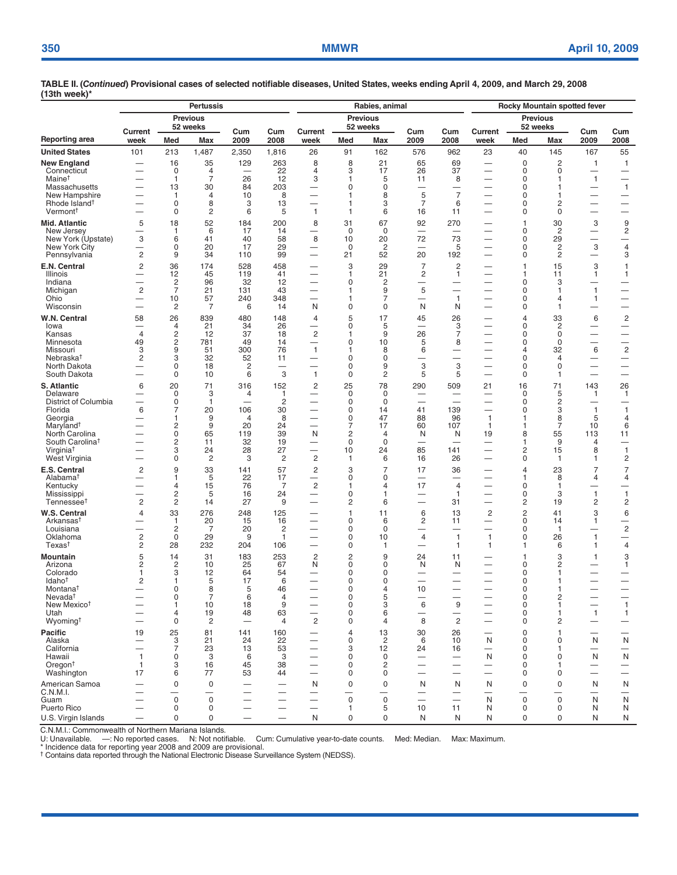| וטטו ייטטו                                    |                                                      |                               | <b>Pertussis</b>                 |                          |                                        |                                                      |                             | Rabies, animal           |                                      | Rocky Mountain spotted fever   |                                                      |                             |                      |                                                      |                                                             |
|-----------------------------------------------|------------------------------------------------------|-------------------------------|----------------------------------|--------------------------|----------------------------------------|------------------------------------------------------|-----------------------------|--------------------------|--------------------------------------|--------------------------------|------------------------------------------------------|-----------------------------|----------------------|------------------------------------------------------|-------------------------------------------------------------|
|                                               | <b>Previous</b><br>52 weeks<br>Current               |                               |                                  |                          |                                        |                                                      | <b>Previous</b><br>52 weeks |                          |                                      |                                |                                                      | <b>Previous</b><br>52 weeks |                      |                                                      |                                                             |
| Reporting area                                | week                                                 | Med                           | Max                              | Cum<br>2009              | Cum<br>2008                            | Current<br>week                                      | Med                         | Max                      | Cum<br>2009                          | Cum<br>2008                    | Current<br>week                                      | Med                         | <b>Max</b>           | Cum<br>2009                                          | Cum<br>2008                                                 |
| <b>United States</b>                          | 101                                                  | 213                           | 1,487                            | 2,350                    | 1,816                                  | 26                                                   | 91                          | 162                      | 576                                  | 962                            | 23                                                   | 40                          | 145                  | 167                                                  | 55                                                          |
| New England                                   |                                                      | 16                            | 35                               | 129                      | 263                                    | 8                                                    | 8                           | 21                       | 65                                   | 69                             | $\overline{\phantom{0}}$                             | $\mathbf 0$                 | $\overline{c}$       | $\mathbf{1}$                                         | $\mathbf{1}$                                                |
| Connecticut<br>Maine <sup>†</sup>             | -                                                    | $\mathbf 0$<br>$\mathbf{1}$   | $\overline{4}$<br>$\overline{7}$ | —<br>26                  | 22<br>12                               | 4<br>3                                               | 3<br>1                      | 17<br>5                  | 26<br>11                             | 37<br>8                        | $\overline{\phantom{0}}$                             | 0<br>0                      | 0<br>1               | —<br>$\mathbf{1}$                                    | —<br>$\overline{\phantom{0}}$                               |
| Massachusetts                                 |                                                      | 13                            | 30                               | 84                       | 203                                    |                                                      | 0                           | 0                        | $\equiv$                             | $\overline{\phantom{0}}$       |                                                      | 0                           | 1                    | $\overline{\phantom{0}}$                             | $\mathbf{1}$                                                |
| New Hampshire<br>Rhode Island <sup>†</sup>    | -                                                    | 1<br>0                        | $\overline{4}$<br>8              | 10<br>3                  | 8<br>13                                | $\overline{\phantom{0}}$<br>$\overline{\phantom{0}}$ | 1<br>1                      | 8<br>3                   | 5<br>$\overline{7}$                  | $\overline{7}$<br>6            |                                                      | 0<br>0                      | 1<br>2               | $\overline{\phantom{0}}$<br>—                        | $\overline{\phantom{0}}$                                    |
| Vermont <sup>†</sup>                          |                                                      | $\Omega$                      | 2                                | 6                        | 5                                      | $\mathbf{1}$                                         | 1                           | 6                        | 16                                   | 11                             |                                                      | 0                           | 0                    | -                                                    | —                                                           |
| Mid. Atlantic                                 | 5                                                    | 18                            | 52                               | 184                      | 200                                    | 8                                                    | 31                          | 67                       | 92                                   | 270                            |                                                      | 1                           | 30                   | 3                                                    | $\boldsymbol{9}$                                            |
| New Jersey<br>New York (Upstate)              | $\overline{\phantom{0}}$<br>3                        | 1<br>6                        | 6<br>41                          | 17<br>40                 | 14<br>58                               | $\overline{\phantom{0}}$<br>8                        | $\mathbf 0$<br>10           | 0<br>20                  | 72                                   | $\overline{\phantom{a}}$<br>73 |                                                      | 0<br>0                      | $\overline{c}$<br>29 | $\overline{\phantom{0}}$<br>$\overline{\phantom{0}}$ | $\overline{\mathbf{c}}$<br>$\qquad \qquad -$                |
| New York City                                 | -                                                    | 0                             | 20                               | 17                       | 29                                     | -                                                    | $\mathbf 0$                 | $\overline{2}$           | -                                    | 5                              |                                                      | 0                           | 2                    | 3                                                    | 4                                                           |
| Pennsylvania                                  | $\overline{c}$<br>$\overline{c}$                     | 9<br>36                       | 34<br>174                        | 110<br>528               | 99<br>458                              | $\overline{\phantom{0}}$                             | 21<br>3                     | 52<br>29                 | 20<br>$\overline{7}$                 | 192<br>$\overline{c}$          |                                                      | 0<br>$\overline{1}$         | 2<br>15              | 3                                                    | 3                                                           |
| E.N. Central<br>Illinois                      | $\overline{\phantom{0}}$                             | 12                            | 45                               | 119                      | 41                                     | $\overline{\phantom{0}}$                             | 1                           | 21                       | $\overline{\mathbf{c}}$              | 1                              | $\overline{\phantom{0}}$                             | 1                           | 11                   | 1                                                    | 1<br>1                                                      |
| Indiana                                       |                                                      | $\overline{2}$                | 96                               | 32                       | 12                                     | -                                                    | 0                           | 2                        |                                      |                                |                                                      | 0                           | 3                    |                                                      |                                                             |
| Michigan<br>Ohio                              | $\overline{c}$                                       | $\overline{7}$<br>10          | 21<br>57                         | 131<br>240               | 43<br>348                              | -                                                    | 1<br>1                      | 9<br>7                   | 5<br>—                               | $\mathbf{1}$                   |                                                      | 0<br>0                      | 1<br>$\overline{4}$  | $\mathbf{1}$<br>$\mathbf{1}$                         | $\qquad \qquad$<br>$\overline{\phantom{0}}$                 |
| Wisconsin                                     | $\equiv$                                             | $\overline{c}$                | 7                                | 6                        | 14                                     | N                                                    | 0                           | 0                        | N                                    | N                              |                                                      | 0                           | 1                    | $\overline{\phantom{0}}$                             | $\overline{\phantom{0}}$                                    |
| W.N. Central<br>lowa                          | 58                                                   | 26                            | 839                              | 480                      | 148<br>26                              | 4                                                    | 5<br>0                      | 17                       | 45<br>—                              | 26                             |                                                      | $\overline{4}$<br>0         | 33                   | 6<br>—                                               | $\overline{c}$                                              |
| Kansas                                        | $\overline{4}$                                       | 4<br>2                        | 21<br>12                         | 34<br>37                 | 18                                     | $\mathbf 2$                                          | 1                           | 5<br>9                   | 26                                   | 3<br>$\overline{7}$            |                                                      | $\Omega$                    | 2<br>$\mathbf 0$     |                                                      | $\hspace{0.1mm}-\hspace{0.1mm}$<br>$\overline{\phantom{0}}$ |
| Minnesota                                     | 49                                                   | $\overline{c}$                | 781                              | 49                       | 14                                     | $\overline{\phantom{0}}$                             | 0                           | 10                       | 5                                    | 8                              |                                                      | 0                           | $\mathbf 0$          | $\overline{\phantom{0}}$                             | $\overline{\phantom{0}}$                                    |
| Missouri<br>Nebraska <sup>t</sup>             | 3<br>2                                               | 9<br>3                        | 51<br>32                         | 300<br>52                | 76<br>11                               | $\mathbf{1}$<br>$\overline{\phantom{0}}$             | 1<br>0                      | 8<br>0                   | 6<br>—                               | —<br>$\overline{\phantom{0}}$  |                                                      | $\overline{4}$<br>0         | 32<br>$\overline{4}$ | 6<br>—                                               | $\sqrt{2}$<br>$\overline{\phantom{m}}$                      |
| North Dakota                                  | $\overline{\phantom{0}}$                             | $\mathbf 0$                   | 18                               | $\overline{2}$           |                                        |                                                      | 0                           | 9                        | 3                                    | 3                              |                                                      | $\mathbf 0$                 | 0                    |                                                      |                                                             |
| South Dakota                                  |                                                      | 0                             | 10                               | 6                        | 3                                      | $\mathbf{1}$                                         | 0                           | 2                        | 5                                    | 5                              |                                                      | 0                           | 1                    | -                                                    | —                                                           |
| <b>S. Atlantic</b><br>Delaware                | 6<br>$\overline{\phantom{0}}$                        | 20<br>$\Omega$                | 71<br>3                          | 316<br>4                 | 152<br>$\mathbf{1}$                    | $\overline{c}$<br>—                                  | 25<br>$\Omega$              | 78<br>0                  | 290<br>—                             | 509                            | 21                                                   | 16<br>$\Omega$              | 71<br>5              | 143<br>$\mathbf{1}$                                  | 26<br>1                                                     |
| District of Columbia                          |                                                      | $\mathbf 0$                   | $\mathbf{1}$                     | —                        | $\overline{c}$                         | -                                                    | 0                           | $\mathbf 0$              |                                      |                                |                                                      | 0                           | $\overline{c}$       |                                                      |                                                             |
| Florida<br>Georgia                            | 6                                                    | $\overline{7}$<br>1           | 20<br>9                          | 106<br>4                 | 30<br>8                                | -<br>$\overline{\phantom{0}}$                        | 0<br>0                      | 14<br>47                 | 41<br>88                             | 139<br>96                      | $\mathbf{1}$                                         | $\Omega$<br>1               | 3<br>8               | $\mathbf{1}$<br>5                                    | $\mathbf{1}$<br>4                                           |
| Maryland <sup>†</sup>                         | $\overline{\phantom{0}}$                             | 2                             | 9                                | 20                       | 24                                     | $\equiv$                                             | $\overline{7}$              | 17                       | 60                                   | 107                            | $\mathbf{1}$                                         | 1                           | $\overline{7}$       | 10                                                   | 6                                                           |
| North Carolina<br>South Carolina <sup>†</sup> | $\overline{\phantom{0}}$                             | 0<br>2                        | 65<br>11                         | 119<br>32                | 39<br>19                               | N<br>—                                               | 2<br>0                      | 4<br>$\mathsf 0$         | N<br>$\overline{\phantom{0}}$        | N<br>$\overline{\phantom{0}}$  | 19                                                   | 8<br>1                      | 55<br>9              | 113<br>4                                             | 11<br>$\overline{\phantom{0}}$                              |
| Virginia <sup>†</sup>                         |                                                      | 3                             | 24                               | 28                       | 27                                     | $\overline{\phantom{0}}$                             | 10                          | 24                       | 85                                   | 141                            |                                                      | 2                           | 15                   | 8                                                    | $\mathbf{1}$                                                |
| West Virginia                                 |                                                      | 0                             | $\overline{c}$                   | 3                        | $\overline{c}$                         | $\overline{c}$                                       | 1                           | 6                        | 16                                   | 26                             |                                                      | $\mathbf 0$                 | 1                    | 1                                                    | $\overline{\mathbf{c}}$                                     |
| E.S. Central<br>Alabama <sup>t</sup>          | $\overline{c}$                                       | 9<br>1                        | 33<br>5                          | 141<br>22                | 57<br>17                               | $\overline{c}$<br>—                                  | 3<br>0                      | $\overline{7}$<br>0      | 17<br>$\overline{\phantom{0}}$       | 36                             |                                                      | 4<br>1                      | 23<br>8              | $\overline{7}$<br>4                                  | $\overline{7}$<br>4                                         |
| Kentucky                                      |                                                      | 4                             | 15                               | 76                       | $\overline{7}$                         | $\overline{c}$                                       | 1                           | $\overline{4}$           | 17                                   | $\overline{4}$                 |                                                      | 0                           | $\mathbf{1}$         |                                                      |                                                             |
| Mississippi<br>Tennessee <sup>t</sup>         | $\overline{c}$                                       | 2<br>$\overline{c}$           | 5<br>14                          | 16<br>27                 | 24<br>9                                | $\overline{\phantom{0}}$                             | 0<br>2                      | 1<br>6                   |                                      | 1<br>31                        |                                                      | 0<br>2                      | 3<br>19              | $\mathbf{1}$<br>2                                    | $\mathbf{1}$<br>2                                           |
| W.S. Central                                  | $\overline{4}$                                       | 33                            | 276                              | 248                      | 125                                    |                                                      | 1                           | 11                       | 6                                    | 13                             | 2                                                    | $\overline{c}$              | 41                   | 3                                                    | 6                                                           |
| Arkansas <sup>t</sup>                         |                                                      | -1                            | 20                               | 15                       | 16                                     | —                                                    | 0                           | 6                        | $\overline{c}$                       | 11                             | -                                                    | 0                           | 14                   | 1                                                    | —                                                           |
| Louisiana<br>Oklahoma                         | $\overline{c}$                                       | $\overline{c}$<br>$\mathbf 0$ | 7<br>29                          | 20<br>9                  | $\overline{c}$<br>$\mathbf{1}$         | $\overline{\phantom{0}}$                             | 0<br>0                      | 0<br>10                  | 4                                    | -<br>$\mathbf{1}$              | $\mathbf{1}$                                         | 0<br>0                      | $\mathbf{1}$<br>26   | $\overbrace{\phantom{13333}}$<br>$\mathbf{1}$        | $\sqrt{2}$<br>$\qquad \qquad -$                             |
| Texas <sup>t</sup>                            | 2                                                    | 28                            | 232                              | 204                      | 106                                    | $\overline{\phantom{0}}$                             | 0                           | 1                        |                                      | $\mathbf{1}$                   | $\mathbf{1}$                                         | 1                           | 6                    | 1                                                    | 4                                                           |
| Mountain<br>Arizona                           | 5<br>2                                               | 14<br>2                       | 31<br>10                         | 183<br>25                | 253<br>67                              | $\overline{c}$<br>N                                  | 2<br>0                      | 9<br>0                   | 24<br>N                              | 11<br>N                        |                                                      | 1<br>0                      | 3<br>2               | 1                                                    | 3<br>1                                                      |
| Colorado                                      | 1                                                    | 3                             | 12                               | 64                       | 54                                     |                                                      | $\Omega$                    | 0                        |                                      |                                |                                                      | $\Omega$                    |                      |                                                      |                                                             |
| Idaho <sup>†</sup><br>Montana <sup>†</sup>    | 2<br>$\overline{\phantom{0}}$                        | 1<br>0                        | 5<br>8                           | 17<br>5                  | 6<br>46                                |                                                      | 0<br>0                      | $\mathbf 0$<br>4         | 10                                   |                                |                                                      | 0<br>0                      |                      | $\overline{\phantom{0}}$                             |                                                             |
| Nevada <sup>t</sup>                           |                                                      | 0                             | $\overline{7}$                   | 6                        | 4                                      |                                                      | 0                           | 5                        |                                      |                                |                                                      | 0                           | 2                    | $\qquad \qquad -$                                    | $\overbrace{\phantom{12333}}$                               |
| New Mexico <sup>t</sup><br>Utah               |                                                      | 1<br>$\overline{4}$           | 10<br>19                         | 18                       | 9<br>63                                | $\overline{\phantom{0}}$                             | 0<br>0                      | 3<br>6                   | 6<br>$\overline{\phantom{0}}$        | 9<br>$\overline{\phantom{0}}$  |                                                      | 0<br>0                      | 1<br>1               | $\overline{\phantom{0}}$<br>$\mathbf{1}$             | $\mathbf{1}$                                                |
| Wyoming <sup>t</sup>                          | $\overline{\phantom{0}}$                             | 0                             | 2                                | 48                       | $\overline{4}$                         | 2                                                    | 0                           | 4                        | 8                                    | $\mathbf{2}$                   |                                                      | 0                           | 2                    |                                                      | $\mathbf{1}$<br>$\overline{\phantom{m}}$                    |
| Pacific                                       | 19                                                   | 25                            | 81                               | 141                      | 160                                    |                                                      | 4                           | 13                       | 30                                   | 26                             |                                                      | 0                           | $\mathbf{1}$         |                                                      |                                                             |
| Alaska<br>California                          |                                                      | 3<br>$\overline{7}$           | 21<br>23                         | 24<br>13                 | 22<br>53                               | —                                                    | 0<br>3                      | $\overline{c}$<br>12     | 6<br>24                              | 10<br>16                       | N<br>$\overline{\phantom{0}}$                        | $\mathbf 0$<br>0            | 0<br>1               | N<br>—                                               | ${\sf N}$<br>$\qquad \qquad$                                |
| Hawaii                                        | $\mathbf{1}$                                         | $\mathbf 0$                   | 3                                | 6                        | 3                                      |                                                      | 0                           | $\mathsf 0$              | $\overline{\phantom{0}}$             |                                | N                                                    | 0                           | $\mathbf 0$          | N                                                    | ${\sf N}$                                                   |
| Oregon <sup>†</sup><br>Washington             | 1<br>17                                              | 3<br>6                        | 16<br>77                         | 45<br>53                 | 38<br>44                               | $\overline{\phantom{0}}$<br>$\overline{\phantom{0}}$ | 0<br>0                      | $\overline{c}$<br>0      | $\equiv$<br>$\overline{\phantom{0}}$ | $\equiv$<br>-                  | $\overline{\phantom{m}}$<br>$\overline{\phantom{0}}$ | 0<br>0                      | 1.<br>0              | —                                                    | $\qquad \qquad -$<br>$\qquad \qquad -$                      |
| American Samoa                                | $\overline{\phantom{0}}$                             | $\mathbf 0$                   | 0                                |                          |                                        | N                                                    | $\mathbf 0$                 | $\mathsf 0$              | N                                    | N                              | N                                                    | 0                           | 0                    | N                                                    | N                                                           |
| C.N.M.I.                                      |                                                      |                               |                                  | $\overline{\phantom{0}}$ |                                        | $\overline{\phantom{0}}$                             |                             | $\overline{\phantom{0}}$ | —                                    | -                              |                                                      |                             |                      | $\overline{\phantom{0}}$                             | -                                                           |
| Guam<br>Puerto Rico                           | $\overline{\phantom{0}}$<br>$\overline{\phantom{0}}$ | $\mathbf 0$<br>$\mathbf 0$    | $\mathbf 0$<br>0                 | $\overline{\phantom{0}}$ | $\qquad \qquad -$<br>$\qquad \qquad -$ | $\overline{\phantom{0}}$<br>$\overline{\phantom{0}}$ | $\mathbf 0$<br>1            | $\mathbf 0$<br>5         | 10                                   | 11                             | N<br>N                                               | $\mathbf 0$<br>$\mathbf 0$  | $\mathbf 0$<br>0     | N<br>N                                               | ${\sf N}$<br>N                                              |
| U.S. Virgin Islands                           | $\overline{\phantom{0}}$                             | $\mathbf 0$                   | 0                                | $\overline{\phantom{0}}$ | $\qquad \qquad -$                      | N                                                    | 0                           | $\mathsf 0$              | N                                    | N                              | N                                                    | $\mathbf 0$                 | 0                    | N                                                    | ${\sf N}$                                                   |

C.N.M.I.: Commonwealth of Northern Mariana Islands.<br>U: Unavailable. —: No reported cases. N: Not notifiable. Cum: Cumulative year-to-date counts. Med: Median. Max: Maximum.<br>\* Incidence data for reporting ye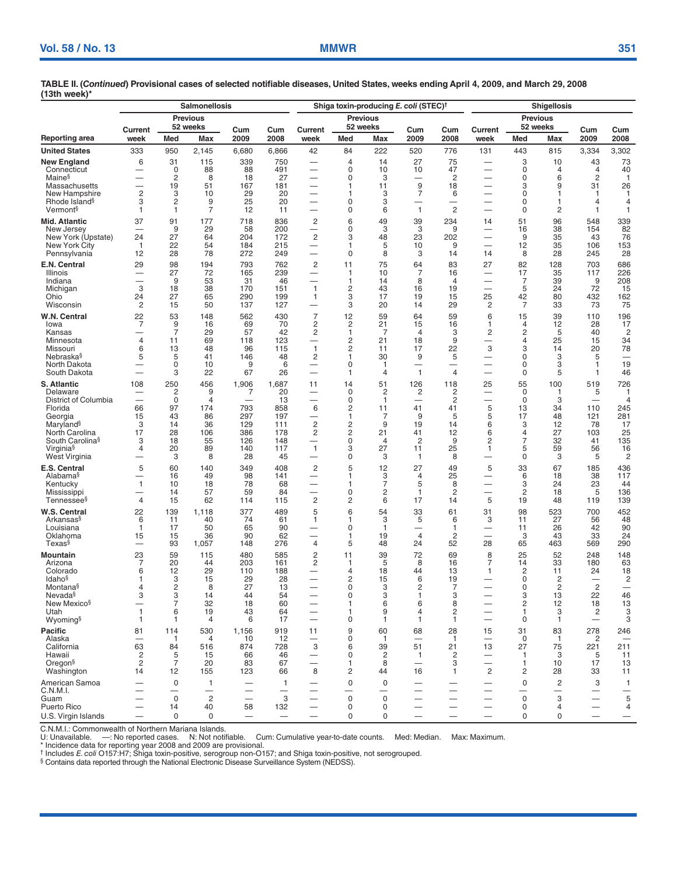| Reporting area<br><b>United States</b>                                                                                                                                                           | Current<br>week<br>333                                           | Med                                                                 | <b>Previous</b><br>52 weeks                                           |                                                            |                                                                   |                                                                                                                                         |                                                                                               |                                                                                         |                                                                                           |                                                                                |                                                              |                                                                                          |                                                                        |                                                                                 |                                                                                     |
|--------------------------------------------------------------------------------------------------------------------------------------------------------------------------------------------------|------------------------------------------------------------------|---------------------------------------------------------------------|-----------------------------------------------------------------------|------------------------------------------------------------|-------------------------------------------------------------------|-----------------------------------------------------------------------------------------------------------------------------------------|-----------------------------------------------------------------------------------------------|-----------------------------------------------------------------------------------------|-------------------------------------------------------------------------------------------|--------------------------------------------------------------------------------|--------------------------------------------------------------|------------------------------------------------------------------------------------------|------------------------------------------------------------------------|---------------------------------------------------------------------------------|-------------------------------------------------------------------------------------|
|                                                                                                                                                                                                  |                                                                  |                                                                     |                                                                       | Cum                                                        |                                                                   | Current                                                                                                                                 | <b>Previous</b><br>52 weeks                                                                   |                                                                                         | Cum                                                                                       | Cum                                                                            | Current                                                      | <b>Previous</b><br>52 weeks                                                              |                                                                        | Cum                                                                             |                                                                                     |
|                                                                                                                                                                                                  |                                                                  |                                                                     | Max                                                                   | 2009                                                       | Cum<br>2008                                                       | week                                                                                                                                    | Med                                                                                           | Max                                                                                     | 2009                                                                                      | 2008                                                                           | week                                                         | Med                                                                                      | Max                                                                    | 2009                                                                            | Cum<br>2008                                                                         |
|                                                                                                                                                                                                  |                                                                  | 950                                                                 | 2,145                                                                 | 6,680                                                      | 6,866                                                             | 42                                                                                                                                      | 84                                                                                            | 222                                                                                     | 520                                                                                       | 776                                                                            | 131                                                          | 443                                                                                      | 815                                                                    | 3,334                                                                           | 3,302                                                                               |
| New England<br>Connecticut<br>Maine <sup>§</sup>                                                                                                                                                 | 6<br>—                                                           | 31<br>0<br>2                                                        | 115<br>88<br>8                                                        | 339<br>88<br>18                                            | 750<br>491<br>27                                                  | —<br>$\overline{\phantom{0}}$<br>$\overline{\phantom{0}}$                                                                               | 4<br>$\mathbf 0$<br>0                                                                         | 14<br>10<br>3                                                                           | 27<br>10<br>$\overline{\phantom{0}}$                                                      | 75<br>47<br>2                                                                  | —<br>$\overline{\phantom{0}}$                                | 3<br>0<br>0                                                                              | 10<br>$\overline{4}$<br>6                                              | 43<br>4<br>2                                                                    | 73<br>40<br>1                                                                       |
| Massachusetts<br>New Hampshire<br>Rhode Island <sup>§</sup><br>Vermont <sup>§</sup>                                                                                                              | $\overline{c}$<br>3<br>1                                         | 19<br>3<br>$\overline{c}$<br>$\mathbf{1}$                           | 51<br>10<br>9<br>$\overline{7}$                                       | 167<br>29<br>25<br>12                                      | 181<br>20<br>20<br>11                                             | $\overline{\phantom{0}}$<br>$\overline{\phantom{0}}$<br>$\overline{\phantom{0}}$                                                        | 1<br>1<br>$\Omega$<br>$\mathbf 0$                                                             | 11<br>3<br>3<br>6                                                                       | 9<br>$\overline{7}$<br>—<br>$\mathbf{1}$                                                  | 18<br>6<br>$\overline{\phantom{0}}$<br>$\overline{c}$                          | --<br>$\overline{\phantom{0}}$                               | 3<br>$\mathbf 0$<br>$\Omega$<br>$\mathbf 0$                                              | 9<br>1<br>1<br>2                                                       | 31<br>1<br>4<br>$\mathbf{1}$                                                    | 26<br>-1<br>4<br>1                                                                  |
| Mid. Atlantic<br>New Jersey<br>New York (Upstate)<br>New York City<br>Pennsylvania                                                                                                               | 37<br>24<br>$\overline{1}$<br>12                                 | 91<br>9<br>27<br>22<br>28                                           | 177<br>29<br>64<br>54<br>78                                           | 718<br>58<br>204<br>184<br>272                             | 836<br>200<br>172<br>215<br>249                                   | $\overline{c}$<br>—<br>$\overline{c}$                                                                                                   | 6<br>0<br>3<br>1<br>$\mathbf 0$                                                               | 49<br>3<br>48<br>5<br>8                                                                 | 39<br>3<br>23<br>10<br>3                                                                  | 234<br>9<br>202<br>9<br>14                                                     | 14<br>-<br>$\overline{\phantom{0}}$<br>14                    | 51<br>16<br>9<br>12<br>8                                                                 | 96<br>38<br>35<br>35<br>28                                             | 548<br>154<br>43<br>106<br>245                                                  | 339<br>82<br>76<br>153<br>28                                                        |
| E.N. Central<br>Illinois<br>Indiana<br>Michigan<br>Ohio<br>Wisconsin                                                                                                                             | 29<br>3<br>24<br>2                                               | 98<br>27<br>9<br>18<br>27<br>15                                     | 194<br>72<br>53<br>38<br>65<br>50                                     | 793<br>165<br>31<br>170<br>290<br>137                      | 762<br>239<br>46<br>151<br>199<br>127                             | $\overline{c}$<br>-<br>$\overline{\phantom{0}}$<br>$\mathbf{1}$<br>1                                                                    | 11<br>-1<br>1<br>$\overline{c}$<br>3<br>3                                                     | 75<br>10<br>14<br>43<br>17<br>20                                                        | 64<br>7<br>8<br>16<br>19<br>14                                                            | 83<br>16<br>4<br>19<br>15<br>29                                                | 27<br>-<br>25<br>2                                           | 82<br>17<br>7<br>5<br>42<br>7                                                            | 128<br>35<br>39<br>24<br>80<br>33                                      | 703<br>117<br>9<br>72<br>432<br>73                                              | 686<br>226<br>208<br>15<br>162<br>75                                                |
| W.N. Central<br>lowa<br>Kansas<br>Minnesota<br>Missouri<br>Nebraska§<br>North Dakota<br>South Dakota                                                                                             | 22<br>$\overline{7}$<br>$\overline{4}$<br>6<br>5                 | 53<br>9<br>$\overline{7}$<br>11<br>13<br>5<br>0<br>3                | 148<br>16<br>29<br>69<br>48<br>41<br>10<br>22                         | 562<br>69<br>57<br>118<br>96<br>146<br>9<br>67             | 430<br>70<br>42<br>123<br>115<br>48<br>6<br>26                    | $\overline{7}$<br>$\overline{c}$<br>$\overline{\mathbf{c}}$<br>—<br>$\mathbf{1}$<br>2<br>—                                              | 12<br>$\overline{c}$<br>1<br>2<br>$\overline{2}$<br>1<br>0<br>1                               | 59<br>21<br>$\overline{7}$<br>21<br>11<br>30<br>$\mathbf{1}$<br>$\overline{4}$          | 64<br>15<br>$\overline{4}$<br>18<br>17<br>9<br>—<br>$\mathbf{1}$                          | 59<br>16<br>3<br>9<br>22<br>5<br>-<br>4                                        | 6<br>1<br>2<br>$\overline{\phantom{0}}$<br>3<br>—            | 15<br>4<br>$\overline{c}$<br>4<br>3<br>0<br>0<br>0                                       | 39<br>12<br>5<br>25<br>14<br>3<br>3<br>5                               | 110<br>28<br>40<br>15<br>20<br>5<br>1<br>1                                      | 196<br>17<br>$\overline{2}$<br>34<br>78<br>19<br>46                                 |
| <b>S. Atlantic</b><br>Delaware<br>District of Columbia<br>Florida<br>Georgia<br>Maryland <sup>§</sup><br>North Carolina<br>South Carolina <sup>§</sup><br>Virginia <sup>§</sup><br>West Virginia | 108<br>$\overline{\phantom{0}}$<br>66<br>15<br>3<br>17<br>3<br>4 | 250<br>$\overline{c}$<br>0<br>97<br>43<br>14<br>28<br>18<br>20<br>3 | 456<br>9<br>$\overline{4}$<br>174<br>86<br>36<br>106<br>55<br>89<br>8 | 1,906<br>7<br>793<br>297<br>129<br>386<br>126<br>140<br>28 | 1,687<br>20<br>13<br>858<br>197<br>111<br>178<br>148<br>117<br>45 | 11<br>$\overline{\phantom{0}}$<br>$\overline{\phantom{0}}$<br>6<br>$\overline{c}$<br>2<br>—<br>$\mathbf{1}$<br>$\overline{\phantom{0}}$ | 14<br>0<br>0<br>$\overline{2}$<br>1<br>$\overline{c}$<br>2<br>$\mathbf 0$<br>3<br>$\mathbf 0$ | 51<br>$\overline{c}$<br>$\mathbf{1}$<br>11<br>7<br>9<br>21<br>$\overline{4}$<br>27<br>3 | 126<br>$\overline{c}$<br>$\overline{\phantom{0}}$<br>41<br>9<br>19<br>41<br>2<br>11<br>-1 | 118<br>$\overline{2}$<br>$\overline{c}$<br>41<br>5<br>14<br>12<br>9<br>25<br>8 | 25<br>$\overline{\phantom{0}}$<br>5<br>5<br>6<br>6<br>2<br>1 | 55<br>0<br>0<br>13<br>17<br>3<br>4<br>7<br>5<br>$\mathbf 0$                              | 100<br>-1<br>3<br>34<br>48<br>12<br>27<br>32<br>59<br>3                | 519<br>5<br>110<br>121<br>78<br>103<br>41<br>56<br>5                            | 726<br>1<br>$\overline{4}$<br>245<br>281<br>17<br>25<br>135<br>16<br>$\overline{2}$ |
| E.S. Central<br>Alabama <sup>§</sup><br>Kentucky<br>Mississippi<br>Tennessee§                                                                                                                    | 5<br>1<br>4                                                      | 60<br>16<br>10<br>14<br>15                                          | 140<br>49<br>18<br>57<br>62                                           | 349<br>98<br>78<br>59<br>114                               | 408<br>141<br>68<br>84<br>115                                     | $\overline{c}$<br>$\overline{\phantom{0}}$<br>-<br>$\overline{\phantom{0}}$<br>$\overline{c}$                                           | 5<br>1<br>1<br>0<br>$\overline{c}$                                                            | 12<br>3<br>7<br>2<br>6                                                                  | 27<br>$\overline{4}$<br>5<br>1<br>17                                                      | 49<br>25<br>8<br>2<br>14                                                       | 5<br>5                                                       | 33<br>6<br>3<br>2<br>19                                                                  | 67<br>18<br>24<br>18<br>48                                             | 185<br>38<br>23<br>5<br>119                                                     | 436<br>117<br>44<br>136<br>139                                                      |
| W.S. Central<br>Arkansas§<br>Louisiana<br>Oklahoma<br>Texas§                                                                                                                                     | 22<br>6<br>$\mathbf{1}$<br>15<br>--                              | 139<br>11<br>17<br>15<br>93                                         | 1,118<br>40<br>50<br>36<br>1,057                                      | 377<br>74<br>65<br>90<br>148                               | 489<br>61<br>90<br>62<br>276                                      | 5<br>1<br>$\overline{\phantom{0}}$<br>4                                                                                                 | 6<br>1<br>0<br>1<br>5                                                                         | 54<br>3<br>$\mathbf{1}$<br>19<br>48                                                     | 33<br>5<br>—<br>$\overline{4}$<br>24                                                      | 61<br>6<br>$\mathbf{1}$<br>2<br>52                                             | 31<br>3<br>—<br>28                                           | 98<br>11<br>11<br>3<br>65                                                                | 523<br>27<br>26<br>43<br>463                                           | 700<br>56<br>42<br>33<br>569                                                    | 452<br>48<br>90<br>24<br>290                                                        |
| Mountain<br>Arizona<br>Colorado<br>Idaho <sup>§</sup><br>Montana§<br>Nevada <sup>§</sup><br>New Mexico <sup>§</sup><br>Utah<br>Wyoming§                                                          | 23<br>7<br>6<br>1<br>4<br>3<br>—<br>$\mathbf{1}$<br>-1           | 59<br>20<br>12<br>3<br>2<br>3<br>$\overline{7}$<br>6<br>-1          | 115<br>44<br>29<br>15<br>8<br>14<br>32<br>19<br>$\overline{4}$        | 480<br>203<br>110<br>29<br>27<br>44<br>18<br>43<br>6       | 585<br>161<br>188<br>28<br>13<br>54<br>60<br>64<br>17             | $\overline{\mathbf{c}}$<br>2<br>$\overline{\phantom{0}}$<br>$\overline{\phantom{0}}$<br>—                                               | 11<br>1<br>4<br>$\overline{c}$<br>0<br>0<br>1<br>1<br>0                                       | 39<br>5<br>18<br>15<br>3<br>3<br>6<br>9<br>$\mathbf{1}$                                 | 72<br>8<br>44<br>6<br>2<br>1<br>6<br>4<br>1                                               | 69<br>16<br>13<br>19<br>7<br>3<br>8<br>2<br>1                                  | 8<br>7<br>1<br>$\overline{\phantom{0}}$                      | 25<br>14<br>$\overline{c}$<br>$\mathbf 0$<br>0<br>3<br>$\overline{\mathbf{c}}$<br>1<br>0 | 52<br>33<br>11<br>2<br>$\overline{c}$<br>13<br>12<br>3<br>$\mathbf{1}$ | 248<br>180<br>24<br>$\overline{\phantom{0}}$<br>$\overline{c}$<br>22<br>18<br>2 | 148<br>63<br>18<br>$\overline{c}$<br>$\overline{\phantom{0}}$<br>46<br>13<br>3<br>3 |
| Pacific<br>Alaska<br>California<br>Hawaii<br>Oregon <sup>§</sup><br>Washington                                                                                                                   | 81<br>63<br>2<br>$\overline{c}$<br>14                            | 114<br>-1<br>84<br>5<br>$\overline{7}$<br>12                        | 530<br>4<br>516<br>15<br>20<br>155                                    | 1,156<br>10<br>874<br>66<br>83<br>123                      | 919<br>12<br>728<br>46<br>67<br>66                                | 11<br>$\overline{\phantom{0}}$<br>3<br>$\overline{\phantom{0}}$<br>--<br>8                                                              | 9<br>0<br>6<br>0<br>1<br>2                                                                    | 60<br>-1<br>39<br>$\overline{2}$<br>8<br>44                                             | 68<br>51<br>1<br>—<br>16                                                                  | 28<br>$\mathbf{1}$<br>21<br>2<br>3<br>1                                        | 15<br>—<br>13<br>-<br>$\overline{c}$                         | 31<br>0<br>27<br>-1<br>-1<br>2                                                           | 83<br>-1<br>75<br>3<br>10<br>28                                        | 278<br>2<br>221<br>5<br>17<br>33                                                | 246<br>211<br>11<br>13<br>11                                                        |
| American Samoa<br>C.N.M.I.<br>Guam<br>Puerto Rico<br>U.S. Virgin Islands                                                                                                                         | —<br>$\overline{\phantom{0}}$<br>-                               | $\mathbf 0$<br>$\mathbf 0$<br>14<br>$\mathbf 0$                     | 1<br>$\overline{2}$<br>40<br>0                                        | —<br>58<br>$\hspace{0.1mm}-\hspace{0.1mm}$                 | 1<br>3<br>132<br>$\overline{\phantom{m}}$                         | —<br>$\overline{\phantom{0}}$<br>$\qquad \qquad -$                                                                                      | 0<br>$\mathbf 0$<br>0<br>0                                                                    | 0<br>—<br>$\mathbf 0$<br>0<br>0                                                         | —<br>—<br>—                                                                               | $\overbrace{\phantom{12333}}$<br>$\overline{\phantom{0}}$<br>-                 | —<br>-<br>—                                                  | $\mathsf 0$<br>$\mathsf 0$<br>0<br>0                                                     | $\overline{c}$<br>-<br>3<br>4<br>0                                     | 3<br>$\overline{\phantom{0}}$                                                   | $\mathbf{1}$<br>5<br>4                                                              |

C.N.M.I.: Commonwealth of Northern Mariana Islands.

U: Unavailable. —: No reported cases. N: Not notifiable. Cum: Cumulative year-to-date counts. Med: Median. Max: Maximum.<br>\* Incidence data for reporting year 2008 and 2009 are provisional.<br>† Includes *E.*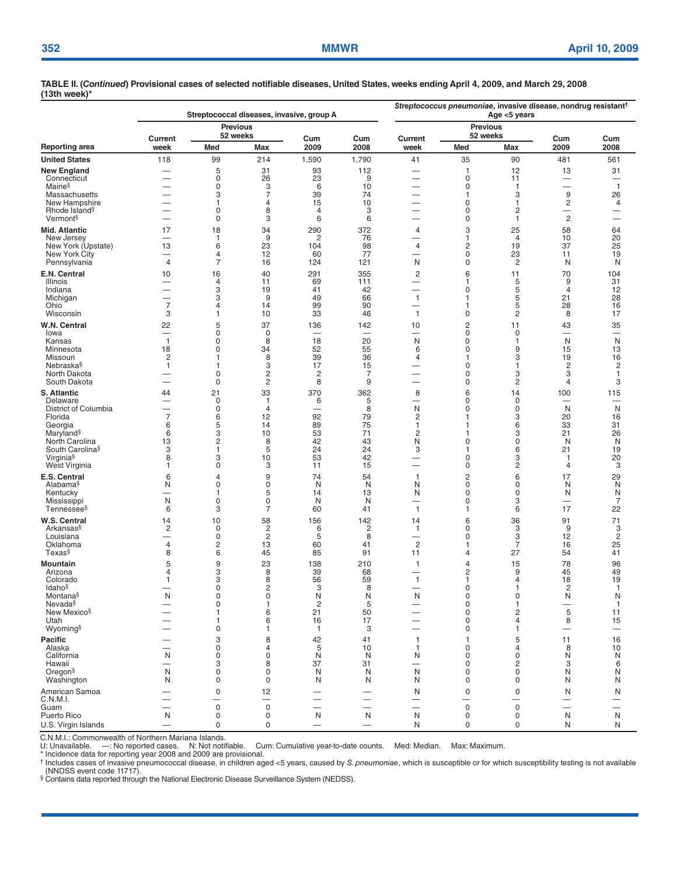|                                                   |                                | Streptococcal diseases, invasive, group A | Streptococcus pneumoniae, invasive disease, nondrug resistant <sup>†</sup><br>Age <5 years |                          |                          |                                                      |                             |                          |                                            |                                          |  |
|---------------------------------------------------|--------------------------------|-------------------------------------------|--------------------------------------------------------------------------------------------|--------------------------|--------------------------|------------------------------------------------------|-----------------------------|--------------------------|--------------------------------------------|------------------------------------------|--|
|                                                   |                                | <b>Previous</b>                           |                                                                                            |                          |                          |                                                      | <b>Previous</b>             |                          |                                            |                                          |  |
| Reporting area                                    | Current<br>week                | 52 weeks<br>Med                           | Max                                                                                        | Cum<br>2009              | Cum<br>2008              | Current<br>week                                      | 52 weeks<br>Med             | Max                      | Cum<br>2009                                | Cum<br>2008                              |  |
| <b>United States</b>                              | 118                            | 99                                        | 214                                                                                        | 1,590                    | 1,790                    | 41                                                   | 35                          | 90                       | 481                                        | 561                                      |  |
| <b>New England</b>                                | $\overline{\phantom{0}}$       | 5                                         | 31                                                                                         | 93                       | 112                      | $\overline{\phantom{0}}$                             | $\mathbf{1}$                | 12                       | 13                                         | 31                                       |  |
| Connecticut<br>Maine <sup>§</sup>                 |                                | 0<br>$\Omega$                             | 26<br>3                                                                                    | 23<br>6                  | 9<br>10                  | $\overline{\phantom{0}}$<br>$\overline{\phantom{0}}$ | 0<br>$\mathbf 0$            | 11<br>$\mathbf{1}$       |                                            | $\overline{\phantom{0}}$<br>$\mathbf{1}$ |  |
| Massachusetts                                     | ۰                              | 3                                         | $\overline{7}$                                                                             | 39                       | 74                       | —                                                    | $\mathbf{1}$                | 3                        | 9                                          | 26                                       |  |
| New Hampshire                                     | $\overline{\phantom{0}}$       | 1                                         | $\overline{4}$                                                                             | 15                       | 10                       | —                                                    | $\mathbf 0$                 | 1                        | $\overline{\mathbf{c}}$                    | 4                                        |  |
| Rhode Island <sup>§</sup><br>Vermont <sup>§</sup> | $\overline{\phantom{0}}$       | 0<br>0                                    | 8<br>3                                                                                     | $\overline{4}$<br>6      | 3<br>6                   | $\overline{\phantom{0}}$                             | 0<br>0                      | 2<br>1                   | $\overline{\phantom{0}}$<br>$\overline{c}$ | —<br>$\overline{\phantom{0}}$            |  |
| <b>Mid. Atlantic</b>                              | 17                             | 18                                        | 34                                                                                         | 290                      | 372                      | 4                                                    | 3                           | 25                       | 58                                         | 64                                       |  |
| New Jersey                                        |                                | 1                                         | 9                                                                                          | 2                        | 76                       |                                                      | $\mathbf{1}$                | 4                        | 10                                         | 20                                       |  |
| New York (Upstate)<br>New York City               | 13<br>—                        | 6<br>4                                    | 23<br>12                                                                                   | 104<br>60                | 98<br>77                 | 4<br>—                                               | $\mathbf 2$<br>$\mathbf 0$  | 19<br>23                 | 37<br>11                                   | 25<br>19                                 |  |
| Pennsylvania                                      | $\overline{4}$                 | $\overline{7}$                            | 16                                                                                         | 124                      | 121                      | N                                                    | $\mathbf 0$                 | $\overline{c}$           | N                                          | N                                        |  |
| E.N. Central                                      | 10                             | 16                                        | 40                                                                                         | 291                      | 355                      | $\sqrt{2}$                                           | 6                           | 11                       | 70                                         | 104                                      |  |
| Illinois                                          | $\overline{\phantom{0}}$       | 4                                         | 11                                                                                         | 69                       | 111                      |                                                      | $\mathbf{1}$                | 5                        | 9                                          | 31                                       |  |
| Indiana<br>Michigan                               | $\overline{\phantom{0}}$       | 3<br>3                                    | 19<br>9                                                                                    | 41<br>49                 | 42<br>66                 | $\mathbf{1}$                                         | 0<br>$\mathbf{1}$           | 5<br>5                   | $\overline{4}$<br>21                       | 12<br>28                                 |  |
| Ohio                                              | $\overline{7}$                 | 4                                         | 14                                                                                         | 99                       | 90                       | $\overline{\phantom{0}}$                             | $\mathbf{1}$                | 5                        | 28                                         | 16                                       |  |
| Wisconsin                                         | 3                              | 1                                         | 10                                                                                         | 33                       | 46                       | $\mathbf{1}$                                         | $\mathsf 0$                 | $\overline{c}$           | 8                                          | 17                                       |  |
| W.N. Central<br>lowa                              | 22                             | 5<br>0                                    | 37<br>$\mathbf 0$                                                                          | 136                      | 142                      | 10<br>—                                              | $\sqrt{2}$<br>$\mathsf 0$   | 11<br>0                  | 43<br>$\overline{\phantom{m}}$             | 35<br>$\overline{\phantom{m}}$           |  |
| Kansas                                            | $\mathbf{1}$                   | 0                                         | 8                                                                                          | 18                       | 20                       | N                                                    | 0                           | 1                        | N                                          | N                                        |  |
| Minnesota                                         | 18                             | 0                                         | 34                                                                                         | 52                       | 55                       | 6                                                    | 0                           | 9                        | 15                                         | 13                                       |  |
| Missouri<br>Nebraska§                             | 2<br>1                         | 1<br>1                                    | 8<br>3                                                                                     | 39<br>17                 | 36<br>15                 | 4                                                    | $\mathbf{1}$<br>$\mathbf 0$ | 3<br>1                   | 19<br>$\overline{c}$                       | 16<br>$\overline{\mathbf{c}}$            |  |
| North Dakota                                      | $\overline{\phantom{0}}$       | 0                                         | $\sqrt{2}$                                                                                 | $\overline{c}$           | 7                        | $\overline{\phantom{0}}$                             | $\mathbf 0$                 | 3                        | 3                                          | $\mathbf{1}$                             |  |
| South Dakota                                      |                                | $\mathbf 0$                               | $\overline{c}$                                                                             | 8                        | 9                        | $\overline{\phantom{0}}$                             | $\mathbf 0$                 | $\overline{2}$           | 4                                          | 3                                        |  |
| S. Atlantic<br>Delaware                           | 44<br>$\overline{\phantom{0}}$ | 21<br>0                                   | 33<br>1                                                                                    | 370<br>6                 | 362<br>5                 | 8                                                    | 6<br>0                      | 14<br>0                  | 100                                        | 115                                      |  |
| District of Columbia                              | $\overline{\phantom{0}}$       | 0                                         | $\overline{4}$                                                                             |                          | 8                        | N                                                    | 0                           | 0                        | N                                          | N                                        |  |
| Florida                                           | $\overline{7}$                 | 6                                         | 12                                                                                         | 92                       | 79                       | 2                                                    | 1                           | 3                        | 20                                         | 16                                       |  |
| Georgia<br>Maryland <sup>§</sup>                  | 6<br>6                         | 5<br>3                                    | 14<br>10                                                                                   | 89<br>53                 | 75<br>71                 | $\mathbf{1}$<br>$\overline{c}$                       | 1<br>1                      | 6<br>3                   | 33<br>21                                   | 31<br>26                                 |  |
| North Carolina                                    | 13                             | 2                                         | 8                                                                                          | 42                       | 43                       | N                                                    | $\mathbf 0$                 | 0                        | N                                          | N                                        |  |
| South Carolina <sup>§</sup>                       | 3                              | 1                                         | 5                                                                                          | 24                       | 24                       | 3                                                    | $\mathbf 1$                 | 6                        | 21                                         | 19                                       |  |
| Virginia <sup>§</sup><br>West Virginia            | 8<br>1                         | 3<br>0                                    | 10<br>3                                                                                    | 53<br>11                 | 42<br>15                 | $\overline{\phantom{0}}$<br>$\overline{\phantom{0}}$ | 0<br>0                      | 3<br>2                   | $\mathbf{1}$<br>4                          | 20<br>3                                  |  |
| E.S. Central                                      | 6                              | 4                                         | 9                                                                                          | 74                       | 54                       | 1                                                    | $\overline{c}$              | 6                        | 17                                         | 29                                       |  |
| Alabama <sup>§</sup>                              | N                              | 0                                         | $\mathbf 0$                                                                                | N                        | N                        | N                                                    | 0                           | 0                        | N                                          | N                                        |  |
| Kentucky<br>Mississippi                           | -<br>N                         | 1<br>$\mathbf 0$                          | 5<br>$\mathbf 0$                                                                           | 14<br>N                  | 13<br>N                  | N<br>$\overline{\phantom{0}}$                        | $\mathbf 0$<br>$\mathbf 0$  | 0<br>3                   | N<br>$\overline{\phantom{0}}$              | N<br>7                                   |  |
| Tennessee§                                        | 6                              | 3                                         | $\overline{7}$                                                                             | 60                       | 41                       | $\mathbf{1}$                                         | $\mathbf{1}$                | 6                        | 17                                         | 22                                       |  |
| W.S. Central                                      | 14                             | 10                                        | 58                                                                                         | 156                      | 142                      | 14                                                   | 6                           | 36                       | 91                                         | 71                                       |  |
| Arkansas§<br>Louisiana                            | 2                              | 0<br>0                                    | $\overline{\mathbf{c}}$<br>$\sqrt{2}$                                                      | 6<br>5                   | 2<br>8                   | 1<br>$\overline{\phantom{0}}$                        | 0<br>0                      | 3<br>3                   | 9<br>12                                    | 3<br>$\overline{c}$                      |  |
| Oklahoma                                          | $\overline{4}$                 | $\overline{\mathbf{c}}$                   | 13                                                                                         | 60                       | 41                       | $\sqrt{2}$                                           | $\mathbf{1}$                | $\overline{7}$           | 16                                         | 25                                       |  |
| Texas <sup>§</sup>                                | 8                              | 6                                         | 45                                                                                         | 85                       | 91                       | 11                                                   | 4                           | 27                       | 54                                         | 41                                       |  |
| Mountain                                          | 5                              | 9                                         | 23                                                                                         | 138                      | 210                      | 1                                                    | 4                           | 15                       | 78                                         | 96                                       |  |
| Arizona<br>Colorado                               | 4<br>1                         | 3<br>3                                    | 8<br>8                                                                                     | 39<br>56                 | 68<br>59                 | $\mathbf{1}$                                         | 2<br>$\mathbf{1}$           | 9<br>4                   | 45<br>18                                   | 49<br>19                                 |  |
| <b>Idaho</b> §                                    |                                | 0                                         | 2                                                                                          | 3                        | 8                        |                                                      | $\Omega$                    | 1                        | 2                                          | 1                                        |  |
| Montana§<br>Nevada <sup>§</sup>                   | N                              | 0<br>$\pmb{0}$                            | 0<br>1                                                                                     | N<br>$\overline{c}$      | N<br>5                   | N<br>-                                               | 0<br>$\mathsf 0$            | 0<br>1                   | N<br>$\overbrace{\phantom{12333}}$         | N<br>$\mathbf{1}$                        |  |
| New Mexico <sup>§</sup>                           |                                | 1                                         | 6                                                                                          | 21                       | 50                       | —                                                    | $\mathbf 0$                 | $\overline{c}$           | 5                                          | 11                                       |  |
| Utah                                              |                                | 1                                         | 6                                                                                          | 16                       | 17                       |                                                      | 0                           | $\overline{4}$           | 8                                          | 15                                       |  |
| Wyoming <sup>§</sup>                              |                                | 0                                         | $\mathbf{1}$                                                                               | $\mathbf{1}$             | 3                        | $\overline{\phantom{0}}$                             | $\mathbf 0$                 | 1                        |                                            | $\overline{\phantom{m}}$                 |  |
| <b>Pacific</b><br>Alaska                          |                                | 3<br>0                                    | 8<br>$\overline{4}$                                                                        | 42<br>5                  | 41<br>10                 | 1<br>1                                               | $\mathbf{1}$<br>0           | 5<br>4                   | 11<br>8                                    | 16<br>10                                 |  |
| California                                        | N                              | 0                                         | 0                                                                                          | N                        | N                        | N                                                    | 0                           | 0                        | N                                          | N                                        |  |
| Hawaii                                            | —<br>N                         | 3<br>0                                    | 8<br>$\mathsf 0$                                                                           | 37<br>N                  | 31<br>N                  | —<br>N                                               | 0<br>0                      | 2<br>0                   | 3                                          | 6<br>N                                   |  |
| Oregon <sup>§</sup><br>Washington                 | N                              | 0                                         | $\mathbf 0$                                                                                | N                        | N                        | N                                                    | 0                           | 0                        | N<br>N                                     | N                                        |  |
| American Samoa                                    |                                | $\mathsf{O}\xspace$                       | 12                                                                                         |                          |                          | N                                                    | $\mathsf{O}\xspace$         | $\mathsf 0$              | N                                          | N                                        |  |
| C.N.M.I.                                          |                                |                                           | $\overline{\phantom{0}}$                                                                   | $\overline{\phantom{0}}$ |                          | $\overline{\phantom{0}}$                             | —                           | $\overline{\phantom{0}}$ | $\overline{\phantom{m}}$                   |                                          |  |
| Guam<br>Puerto Rico                               | N                              | $\mathbf 0$<br>0                          | $\mathsf 0$<br>0                                                                           | N                        | —<br>N                   | N                                                    | $\mathsf{O}\xspace$<br>0    | $\mathbf 0$<br>0         | N                                          | N                                        |  |
| U.S. Virgin Islands                               |                                | 0                                         | $\pmb{0}$                                                                                  |                          | $\overline{\phantom{0}}$ | N                                                    | $\mathbf 0$                 | 0                        | N                                          | N                                        |  |

C.N.M.I.: Commonwealth of Northern Mariana Islands.

-: No reported cases. N: Not notifiable. Cum: Cumulative year-to-date counts. Med: Median. Max: Maximum.

\* Incidence data for reporting year 2008 and 2009 are provisional.

† Includes cases of invasive pneumococcal disease, in children aged <5 years, caused by *S. pneumoniae,* which is susceptible or for which susceptibility testing is not available<br>(NNDSS event code 11717).<br>§ Contains data r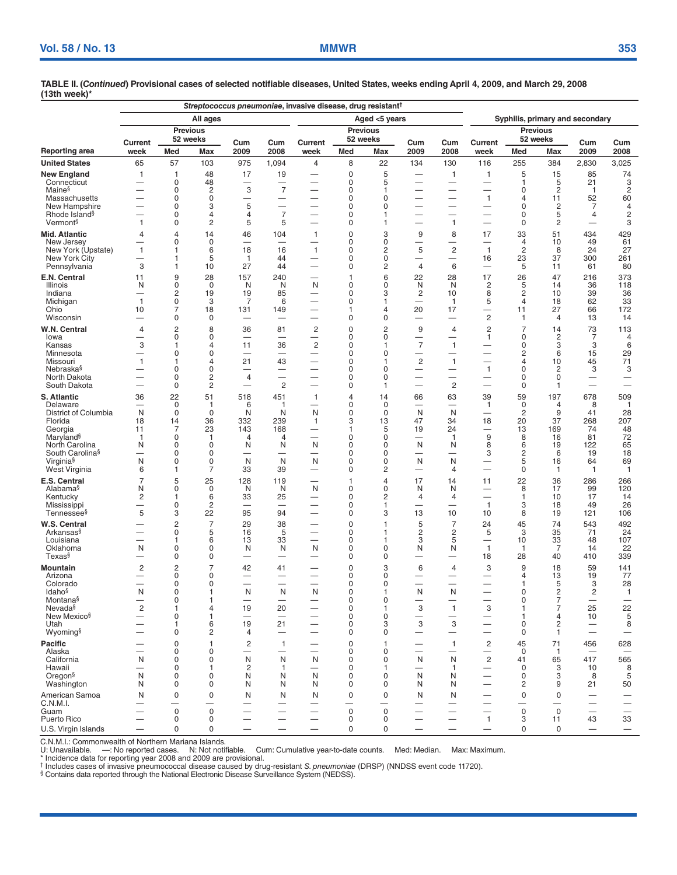|                                                      | Streptococcus pneumoniae, invasive disease, drug resistant <sup>†</sup> |                     |                         |                                |                                |                                            |                            |                  |                                                       |                                          |                                                      |                                         |                      |                          |                                           |  |
|------------------------------------------------------|-------------------------------------------------------------------------|---------------------|-------------------------|--------------------------------|--------------------------------|--------------------------------------------|----------------------------|------------------|-------------------------------------------------------|------------------------------------------|------------------------------------------------------|-----------------------------------------|----------------------|--------------------------|-------------------------------------------|--|
|                                                      |                                                                         |                     | All ages                |                                |                                |                                            |                            | Aged <5 years    |                                                       | Syphilis, primary and secondary          |                                                      |                                         |                      |                          |                                           |  |
|                                                      |                                                                         |                     | <b>Previous</b>         |                                |                                |                                            | <b>Previous</b>            |                  |                                                       |                                          | <b>Previous</b>                                      |                                         |                      |                          |                                           |  |
|                                                      | Current                                                                 |                     | 52 weeks                | Cum                            | Cum                            | Current                                    | 52 weeks                   |                  | Cum                                                   | Cum                                      | Current                                              |                                         | 52 weeks             | Cum                      | Cum                                       |  |
| Reporting area                                       | week                                                                    | Med                 | Max                     | 2009                           | 2008                           | week                                       | Med                        | Max              | 2009                                                  | 2008                                     | week                                                 | Med                                     | Max                  | 2009                     | 2008                                      |  |
| <b>United States</b>                                 | 65                                                                      | 57                  | 103                     | 975                            | 1,094                          | $\overline{4}$                             | 8                          | 22               | 134                                                   | 130                                      | 116                                                  | 255                                     | 384                  | 2,830                    | 3,025                                     |  |
| <b>New England</b><br>Connecticut                    | $\mathbf{1}$<br>—                                                       | 1<br>0              | 48<br>48                | 17<br>-                        | 19<br>—                        |                                            | $\mathbf 0$<br>0           | 5<br>5           | $\overline{\phantom{0}}$                              | $\mathbf{1}$<br>$\overline{\phantom{m}}$ | $\mathbf{1}$                                         | 5<br>1                                  | 15<br>5              | 85<br>21                 | 74<br>3                                   |  |
| Maine <sup>§</sup>                                   |                                                                         | $\Omega$            | $\overline{\mathbf{c}}$ | 3                              | $\overline{7}$                 |                                            | $\mathbf 0$                | 1                |                                                       | $\overline{\phantom{0}}$                 |                                                      | 0                                       | $\overline{c}$       | $\mathbf{1}$             | 2                                         |  |
| Massachusetts                                        |                                                                         | 0<br>0              | $\mathbf 0$<br>3        |                                | —                              | $\overline{\phantom{0}}$                   | $\mathbf 0$<br>$\mathbf 0$ | 0                |                                                       | $\overline{\phantom{0}}$                 | $\mathbf{1}$                                         | 4<br>$\mathbf 0$                        | 11                   | 52                       | 60                                        |  |
| New Hampshire<br>Rhode Island <sup>§</sup>           |                                                                         | 0                   | 4                       | 5<br>$\overline{4}$            | $\overline{7}$                 | —                                          | 0                          | 0<br>1           | -<br>—                                                | -                                        | —<br>-                                               | 0                                       | $\overline{c}$<br>5  | 7<br>4                   | $\overline{4}$<br>$\overline{\mathbf{c}}$ |  |
| Vermont <sup>§</sup>                                 | $\mathbf{1}$                                                            | 0                   | 2                       | 5                              | 5                              |                                            | 0                          | 1                | $\overline{\phantom{0}}$                              | $\mathbf{1}$                             | $\overline{\phantom{0}}$                             | 0                                       | $\overline{c}$       |                          | 3                                         |  |
| Mid. Atlantic                                        | $\overline{4}$                                                          | 4                   | 14                      | 46                             | 104                            | $\mathbf{1}$                               | 0                          | 3                | 9                                                     | 8                                        | 17                                                   | 33                                      | 51                   | 434                      | 429                                       |  |
| New Jersey<br>New York (Upstate)                     | -<br>$\mathbf{1}$                                                       | 0<br>1              | 0<br>6                  | 18                             | 16                             | —<br>$\mathbf{1}$                          | 0<br>0                     | 0<br>2           | $\overline{\phantom{0}}$<br>5                         | $\overline{c}$                           | $\mathbf{1}$                                         | 4<br>$\overline{\mathbf{c}}$            | 10<br>8              | 49<br>24                 | 61<br>27                                  |  |
| New York City                                        | $\overline{\phantom{a}}$                                                | 1                   | 5                       | 1                              | 44                             | $\overline{\phantom{0}}$                   | 0                          | 0                | $\overline{\phantom{a}}$                              | $\overline{\phantom{0}}$                 | 16                                                   | 23                                      | 37                   | 300                      | 261                                       |  |
| Pennsylvania                                         | 3                                                                       | 1                   | 10                      | 27                             | 44                             | -                                          | 0                          | 2                | $\overline{4}$                                        | 6                                        | $\overline{\phantom{0}}$                             | 5                                       | 11                   | 61                       | 80                                        |  |
| E.N. Central<br>Illinois                             | 11<br>N                                                                 | 9<br>0              | 28<br>$\mathbf 0$       | 157<br>N                       | 240<br>N                       | $\overline{\phantom{0}}$<br>N              | 1<br>0                     | 6<br>0           | 22<br>N                                               | 28<br>N                                  | 17<br>2                                              | 26<br>5                                 | 47<br>14             | 216<br>36                | 373<br>118                                |  |
| Indiana                                              | -                                                                       | 2                   | 19                      | 19                             | 85                             | -                                          | 0                          | 3                | 2                                                     | 10                                       | 8                                                    | 2                                       | 10                   | 39                       | 36                                        |  |
| Michigan<br>Ohio                                     | $\mathbf{1}$<br>10                                                      | 0<br>7              | 3<br>18                 | 7<br>131                       | 6<br>149                       | $\overline{\phantom{0}}$                   | 0<br>1                     | 1<br>4           | $\overline{\phantom{0}}$<br>20                        | $\mathbf{1}$<br>17                       | 5<br>$\overline{\phantom{0}}$                        | $\overline{4}$<br>11                    | 18<br>27             | 62<br>66                 | 33<br>172                                 |  |
| Wisconsin                                            | $\overline{\phantom{0}}$                                                | 0                   | 0                       |                                |                                |                                            | $\mathbf 0$                | 0                | $\overline{\phantom{0}}$                              | $\overline{\phantom{0}}$                 | $\overline{c}$                                       | 1                                       | 4                    | 13                       | 14                                        |  |
| W.N. Central                                         | $\overline{4}$                                                          | $\overline{c}$      | 8                       | 36                             | 81                             | $\overline{c}$                             | 0                          | 2                | 9                                                     | $\overline{4}$                           | $\overline{c}$                                       | $\overline{7}$                          | 14                   | 73                       | 113                                       |  |
| lowa<br>Kansas                                       | $\overline{\phantom{a}}$<br>3                                           | 0<br>1              | 0<br>4                  | $\overline{\phantom{a}}$<br>11 | $\overline{\phantom{m}}$<br>36 | $\overline{\phantom{0}}$<br>$\overline{c}$ | 0<br>0                     | 0<br>1           | $\overline{\phantom{0}}$<br>$\overline{7}$            | $\mathbf{1}$                             | 1                                                    | 0<br>0                                  | $\overline{c}$<br>3  | 7<br>3                   | 4<br>6                                    |  |
| Minnesota                                            | --                                                                      | 0                   | 0                       |                                | --                             | —                                          | 0                          | 0                | —                                                     | —                                        | —                                                    | 2                                       | 6                    | 15                       | 29                                        |  |
| Missouri<br>Nebraska§                                | $\mathbf{1}$<br>$\overline{\phantom{0}}$                                | 1<br>$\Omega$       | 4<br>0                  | 21                             | 43<br>-                        | $\overline{\phantom{0}}$                   | 0<br>0                     | $\Omega$         | $\sqrt{2}$<br>$\overline{\phantom{0}}$                | $\mathbf{1}$<br>$\overline{\phantom{0}}$ | $\mathbf{1}$                                         | 4<br>$\mathbf 0$                        | 10<br>2              | 45<br>3                  | 71<br>3                                   |  |
| North Dakota                                         |                                                                         | 0                   | $\overline{\mathbf{c}}$ | 4                              |                                |                                            | $\mathbf 0$                | O                | $\overline{\phantom{0}}$                              | —                                        | -                                                    | $\mathbf 0$                             | 0                    | $\overline{\phantom{0}}$ | $\overline{\phantom{0}}$                  |  |
| South Dakota                                         |                                                                         | 0                   | $\overline{c}$          |                                | $\overline{c}$                 |                                            | 0                          | 1                |                                                       | $\overline{c}$                           |                                                      | 0                                       | 1                    |                          |                                           |  |
| <b>S. Atlantic</b><br>Delaware                       | 36                                                                      | 22<br>0             | 51<br>1                 | 518<br>6                       | 451<br>-1                      | $\mathbf{1}$                               | $\overline{4}$<br>0        | 14<br>0          | 66                                                    | 63<br>$\overline{\phantom{0}}$           | 39<br>$\mathbf{1}$                                   | 59<br>0                                 | 197<br>4             | 678<br>8                 | 509<br>$\mathbf{1}$                       |  |
| District of Columbia                                 | N                                                                       | 0                   | 0                       | N                              | N                              | N                                          | 0                          | 0                | N                                                     | N                                        |                                                      | 2                                       | 9                    | 41                       | 28                                        |  |
| Florida                                              | 18                                                                      | 14                  | 36<br>23                | 332<br>143                     | 239<br>168                     | 1                                          | 3<br>1                     | 13               | 47                                                    | 34                                       | 18                                                   | 20                                      | 37<br>169            | 268<br>74                | 207                                       |  |
| Georgia<br>Maryland <sup>§</sup>                     | 11<br>$\mathbf{1}$                                                      | 7<br>0              | 1                       | 4                              | 4                              | -                                          | $\mathbf 0$                | 5<br>0           | 19                                                    | 24<br>$\mathbf{1}$                       | $\overline{\phantom{0}}$<br>9                        | 13<br>8                                 | 16                   | 81                       | 48<br>72                                  |  |
| North Carolina                                       | N                                                                       | 0                   | 0                       | N                              | N                              | N                                          | $\mathbf 0$                | 0                | N                                                     | N                                        | 8                                                    | 6                                       | 19                   | 122                      | 65                                        |  |
| South Carolina <sup>§</sup><br>Virginia <sup>§</sup> | $\overline{\phantom{a}}$<br>N                                           | 0<br>0              | 0<br>0                  | $\overline{\phantom{0}}$<br>N  | $\overline{\phantom{0}}$<br>N  | $\overline{\phantom{0}}$<br>N              | 0<br>0                     | 0<br>0           | —<br>N                                                | -<br>N                                   | 3                                                    | $\overline{c}$<br>5                     | 6<br>16              | 19<br>64                 | 18<br>69                                  |  |
| West Virginia                                        | 6                                                                       | 1                   | 7                       | 33                             | 39                             |                                            | 0                          | 2                | $\overline{\phantom{0}}$                              | $\overline{4}$                           |                                                      | 0                                       | $\mathbf{1}$         | $\mathbf{1}$             | $\overline{1}$                            |  |
| E.S. Central                                         | $\overline{7}$                                                          | 5                   | 25                      | 128                            | 119                            | —                                          | 1                          | 4                | 17                                                    | 14                                       | 11                                                   | 22                                      | 36                   | 286                      | 266                                       |  |
| Alabama <sup>§</sup><br>Kentucky                     | N<br>$\overline{\mathbf{c}}$                                            | 0<br>1              | 0<br>6                  | N<br>33                        | N<br>25                        | N                                          | 0<br>0                     | 0<br>2           | N<br>4                                                | N<br>4                                   |                                                      | 8<br>1                                  | 17<br>10             | 99<br>17                 | 120<br>14                                 |  |
| Mississippi                                          | -                                                                       | 0                   | $\overline{c}$          |                                |                                |                                            | $\mathbf 0$                | 1                |                                                       |                                          | $\mathbf{1}$                                         | 3                                       | 18                   | 49                       | 26                                        |  |
| Tennessee <sup>§</sup>                               | 5                                                                       | 3                   | 22                      | 95                             | 94                             | —                                          | 0                          | 3                | 13                                                    | 10                                       | 10                                                   | 8                                       | 19                   | 121                      | 106                                       |  |
| W.S. Central<br>Arkansas§                            | $\overline{\phantom{0}}$                                                | $\overline{c}$<br>0 | $\overline{7}$<br>5     | 29<br>16                       | 38<br>5                        | $\overline{\phantom{0}}$                   | 0<br>0                     | 1                | 5<br>2                                                | $\overline{7}$<br>2                      | 24<br>5                                              | 45<br>3                                 | 74<br>35             | 543<br>71                | 492<br>24                                 |  |
| Louisiana                                            | $\overline{\phantom{0}}$                                                | 1                   | 6                       | 13                             | 33                             | $\overline{\phantom{0}}$                   | 0                          | 1                | 3                                                     | 5                                        |                                                      | 10                                      | 33                   | 48                       | 107                                       |  |
| Oklahoma<br>Texas <sup>§</sup>                       | N                                                                       | 0<br>0              | 0<br>0                  | N                              | N<br>$\overline{\phantom{0}}$  | N                                          | 0<br>0                     | 0<br>0           | N                                                     | N<br>$\overline{\phantom{0}}$            | $\mathbf{1}$<br>18                                   | 1<br>28                                 | $\overline{7}$<br>40 | 14<br>410                | 22<br>339                                 |  |
| Mountain                                             | 2                                                                       | $\overline{c}$      | $\overline{7}$          | 42                             | 41                             |                                            | $\Omega$                   | 3                | 6                                                     | 4                                        | 3                                                    | 9                                       | 18                   | 59                       | 141                                       |  |
| Arizona                                              |                                                                         | 0                   | 0                       |                                | -                              |                                            | 0                          | 0                | —                                                     | -                                        | -                                                    | 4                                       | 13                   | 19                       | 77                                        |  |
| Colorado<br>Idaho <sup>§</sup>                       | $\overline{\phantom{0}}$<br>N                                           | 0<br>0              | 0<br>1                  | $\overline{\phantom{0}}$<br>N  | $\overline{\phantom{0}}$<br>N  | N                                          | 0<br>0                     | 0<br>1           | ▃<br>N                                                | $\overline{\phantom{0}}$<br>N            | $\overline{\phantom{0}}$<br>$\overline{\phantom{0}}$ | 1<br>0                                  | 5<br>2               | 3<br>2                   | 28<br>1                                   |  |
| Montana <sup>§</sup>                                 |                                                                         | 0                   |                         |                                |                                |                                            | 0                          | 0                |                                                       |                                          |                                                      | 0                                       | 7                    |                          |                                           |  |
| Nevada§<br>New Mexico <sup>§</sup>                   | $\overline{c}$                                                          | 1<br>$\mathbf 0$    | 4<br>1                  | 19                             | 20                             | $\overline{\phantom{0}}$                   | 0<br>0                     | 1<br>$\mathbf 0$ | $\ensuremath{\mathsf{3}}$<br>$\overline{\phantom{0}}$ | $\mathbf{1}$<br>$\overline{\phantom{0}}$ | 3                                                    | 1<br>1                                  | 7<br>4               | 25<br>10                 | 22<br>$\sqrt{5}$                          |  |
| Utah                                                 |                                                                         | 1                   | 6                       | 19                             | 21                             |                                            | $\mathbf 0$                | 3                | 3                                                     | 3                                        | $\overline{\phantom{0}}$                             | $\mathbf 0$                             | $\overline{c}$       |                          | 8                                         |  |
| Wyoming <sup>§</sup>                                 |                                                                         | 0                   | $\overline{c}$          | $\overline{4}$                 |                                |                                            | $\mathbf 0$                | 0                | —                                                     | —                                        | -                                                    | $\mathbf 0$                             | $\mathbf{1}$         |                          |                                           |  |
| <b>Pacific</b><br>Alaska                             |                                                                         | 0<br>0              | 1<br>0                  | $\overline{c}$<br>—            | $\mathbf{1}$                   |                                            | 0<br>0                     | 1<br>0           | $\overline{\phantom{0}}$                              | $\mathbf{1}$<br>--                       | $\overline{c}$<br>-                                  | 45<br>0                                 | 71<br>$\mathbf{1}$   | 456                      | 628                                       |  |
| California                                           | N                                                                       | 0                   | 0                       | N                              | N                              | N                                          | 0                          | 0                | N                                                     | N                                        | $\overline{c}$                                       | 41                                      | 65                   | 417                      | 565                                       |  |
| Hawaii                                               |                                                                         | 0                   | 1                       | $\overline{c}$                 | $\mathbf{1}$                   |                                            | 0                          | 1                | $\overline{\phantom{0}}$                              | -1                                       | $\overline{\phantom{0}}$                             | 0                                       | 3                    | 10                       | 8                                         |  |
| Oregon <sup>§</sup><br>Washington                    | N<br>N                                                                  | 0<br>$\Omega$       | 0<br>0                  | N<br>N                         | N<br>N                         | N<br>N                                     | $\mathbf 0$<br>$\mathbf 0$ | 0<br>0           | N<br>N                                                | N<br>N                                   | -                                                    | $\mathbf 0$<br>2                        | 3<br>9               | 8<br>21                  | 5<br>50                                   |  |
| American Samoa                                       | N                                                                       | 0                   | 0                       | N                              | N                              | N                                          | $\mathbf 0$                | $\mathbf 0$      | N                                                     | N                                        | $\overline{\phantom{0}}$                             | $\mathbf 0$                             | 0                    | $\overline{\phantom{0}}$ |                                           |  |
| C.N.M.I.                                             | $\overline{\phantom{0}}$                                                | $\mathbf 0$         |                         |                                | -                              | -                                          | $\overline{\phantom{0}}$   |                  |                                                       |                                          | $\overline{\phantom{0}}$                             | $\overline{\phantom{0}}$<br>$\mathsf 0$ |                      |                          |                                           |  |
| Guam<br>Puerto Rico                                  | --<br>$\overline{\phantom{0}}$                                          | 0                   | $\mathbf 0$<br>0        | —                              | —                              | —<br>$\overline{\phantom{0}}$              | 0<br>0                     | $\mathbf 0$<br>0 |                                                       | $\overline{\phantom{0}}$                 | —<br>$\mathbf{1}$                                    | 3                                       | $\mathbf 0$<br>11    | -<br>43                  | 33                                        |  |
| U.S. Virgin Islands                                  |                                                                         | 0                   | $\mathbf 0$             |                                |                                |                                            | $\mathbf 0$                | 0                |                                                       |                                          |                                                      | 0                                       | 0                    |                          |                                           |  |

C.N.M.I.: Commonwealth of Northern Mariana Islands.

U: Unavailable. —: No reported cases. N: Not notifiable. Cum: Cumulative year-to-date counts. Med: Median. Max: Maximum.<br>\* Incidence data for reporting year 2008 and 2009 are provisional.

† Includes cases of invasive pneumococcal disease caused by drug-resistant *S. pneumoniae* (DRSP) (NNDSS event code 11720). § Contains data reported through the National Electronic Disease Surveillance System (NEDSS).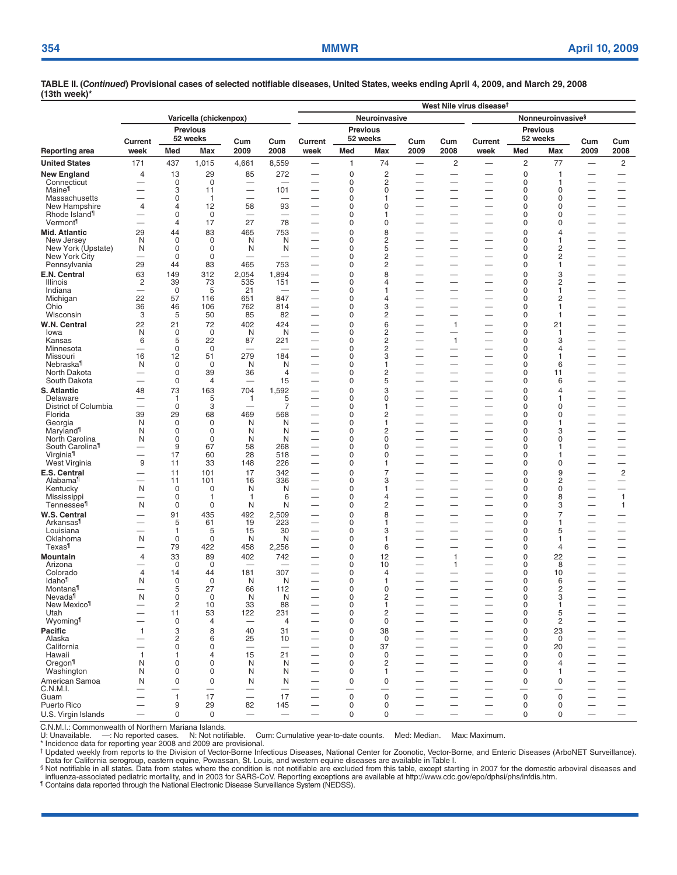|                                        |                          |                               |                      |                                 |                                | West Nile virus disease <sup>t</sup>                 |                            |                                  |                                                      |                                            |                                                      |                |                         |                          |                                                      |  |  |
|----------------------------------------|--------------------------|-------------------------------|----------------------|---------------------------------|--------------------------------|------------------------------------------------------|----------------------------|----------------------------------|------------------------------------------------------|--------------------------------------------|------------------------------------------------------|----------------|-------------------------|--------------------------|------------------------------------------------------|--|--|
|                                        | Varicella (chickenpox)   |                               |                      |                                 |                                |                                                      |                            | Neuroinvasive                    |                                                      |                                            | Nonneuroinvasive <sup>§</sup>                        |                |                         |                          |                                                      |  |  |
|                                        | <b>Previous</b>          |                               |                      |                                 |                                | <b>Previous</b>                                      |                            |                                  |                                                      |                                            | <b>Previous</b>                                      |                |                         |                          |                                                      |  |  |
|                                        | Current                  |                               | 52 weeks             | Cum                             | Cum                            | Current                                              | 52 weeks                   |                                  | Cum                                                  | Cum                                        | Current                                              | 52 weeks       |                         | Cum                      | Cum                                                  |  |  |
| Reporting area                         | week                     | Med                           | Max                  | 2009                            | 2008                           | week                                                 | Med                        | Max                              | 2009                                                 | 2008                                       | week                                                 | Med            | Max                     | 2009                     | 2008                                                 |  |  |
| <b>United States</b>                   | 171                      | 437                           | 1,015                | 4,661                           | 8,559                          | $\overline{\phantom{0}}$                             | $\mathbf{1}$               | 74                               | $\overline{\phantom{0}}$                             | $\overline{c}$<br>$\overline{\phantom{0}}$ | -                                                    | 2              | 77                      | $\overline{\phantom{0}}$ | $\overline{c}$                                       |  |  |
| <b>New England</b><br>Connecticut      | 4                        | 13<br>0                       | 29<br>$\mathbf 0$    | 85<br>$\overline{\phantom{0}}$  | 272                            | -                                                    | $\mathbf 0$<br>0           | $\overline{c}$<br>$\overline{c}$ | $\overline{\phantom{0}}$                             | —                                          | $\overline{\phantom{0}}$                             | 0<br>0         | 1<br>1                  |                          | $\overline{\phantom{0}}$                             |  |  |
| Maine <sup>11</sup>                    |                          | 3                             | 11                   |                                 | 101                            | —                                                    | $\mathbf 0$                | 0                                |                                                      | $\overline{\phantom{0}}$                   | $\overline{\phantom{0}}$                             | $\Omega$       | $\mathbf 0$             |                          | $\overline{\phantom{0}}$                             |  |  |
| Massachusetts<br>New Hampshire         | 4                        | $\mathbf 0$<br>$\overline{4}$ | $\overline{1}$<br>12 | 58                              | $\overline{\phantom{0}}$<br>93 | —<br>-                                               | $\mathbf 0$<br>$\mathbf 0$ | 1<br>0                           | -<br>-                                               | -<br>-                                     | -<br>÷                                               | 0<br>0         | 0<br>0                  |                          | $\overline{\phantom{0}}$<br>$\overline{\phantom{0}}$ |  |  |
| Rhode Island <sup>1</sup>              |                          | 0                             | $\mathbf 0$          | $\overline{\phantom{0}}$        |                                | $\overline{\phantom{0}}$                             | $\mathbf 0$                | 1                                | $\overline{\phantom{0}}$                             | -                                          | $\overline{\phantom{0}}$                             | 0              | 0                       |                          | $\overline{\phantom{0}}$                             |  |  |
| Vermont <sup>1</sup>                   | ▃                        | 4                             | 17                   | 27                              | 78                             | $\overline{\phantom{0}}$                             | 0                          | 0                                | ▃                                                    | $\overline{\phantom{0}}$                   | $\overline{\phantom{0}}$                             | 0              | 0                       | $\overline{\phantom{0}}$ | $\overline{\phantom{0}}$                             |  |  |
| Mid. Atlantic<br>New Jersey            | 29<br>N                  | 44<br>0                       | 83<br>0              | 465<br>N                        | 753<br>N                       | $\overline{\phantom{0}}$                             | $\mathbf 0$<br>0           | 8<br>2                           | $\overline{\phantom{0}}$                             | $\overline{\phantom{0}}$                   | $\overline{\phantom{0}}$                             | 0<br>0         | 4<br>1                  |                          | $\overline{\phantom{0}}$                             |  |  |
| New York (Upstate)                     | N                        | 0                             | $\mathbf 0$          | N                               | N                              |                                                      | $\mathbf 0$                | 5                                | $\overline{\phantom{0}}$                             | $\overline{\phantom{0}}$                   |                                                      | 0              | 2                       |                          | $\overline{\phantom{0}}$                             |  |  |
| New York City                          | $\overline{\phantom{0}}$ | $\Omega$                      | $\Omega$<br>83       | $\overline{\phantom{0}}$<br>465 | $\overline{\phantom{0}}$       | -                                                    | $\Omega$<br>$\mathbf 0$    | 2<br>$\overline{c}$              | -                                                    | —                                          | -                                                    | $\Omega$<br>0  | $\overline{\mathbf{c}}$ |                          | $\overline{\phantom{0}}$                             |  |  |
| Pennsylvania<br>E.N. Central           | 29<br>63                 | 44<br>149                     | 312                  | 2,054                           | 753<br>1,894                   | -<br>-                                               | $\mathbf 0$                | 8                                | -                                                    | -                                          | -<br>-                                               | 0              | 1<br>3                  |                          |                                                      |  |  |
| Illinois                               | $\overline{c}$           | 39                            | 73                   | 535                             | 151                            | —                                                    | 0                          | 4                                | —                                                    | $\overline{\phantom{0}}$                   | $\overline{\phantom{0}}$                             | 0              | 2                       |                          |                                                      |  |  |
| Indiana                                | —                        | $\mathbf 0$                   | 5                    | 21                              |                                | —                                                    | 0                          | 1                                | —                                                    |                                            |                                                      | 0              | 1                       |                          | -                                                    |  |  |
| Michigan<br>Ohio                       | 22<br>36                 | 57<br>46                      | 116<br>106           | 651<br>762                      | 847<br>814                     | $\overline{\phantom{0}}$<br>÷.                       | 0<br>0                     | 4<br>3                           | $\overline{\phantom{0}}$<br>$\overline{\phantom{0}}$ | —                                          | $\overline{\phantom{0}}$<br>$\overline{\phantom{0}}$ | 0<br>0         | 2<br>1                  |                          | $\overline{\phantom{0}}$<br>$\overline{\phantom{0}}$ |  |  |
| Wisconsin                              | 3                        | 5                             | 50                   | 85                              | 82                             | —                                                    | $\mathbf 0$                | $\overline{c}$                   | -                                                    | —                                          | —                                                    | 0              | 1                       | —                        | $\overline{\phantom{0}}$                             |  |  |
| W.N. Central                           | 22                       | 21                            | 72                   | 402                             | 424                            | $\overline{\phantom{0}}$                             | $\overline{0}$             | 6                                | -                                                    | $\mathbf{1}$                               | $\overline{\phantom{0}}$                             | $\Omega$       | 21                      |                          | -                                                    |  |  |
| lowa<br>Kansas                         | N<br>6                   | $\mathbf 0$<br>5              | $\mathbf 0$<br>22    | N<br>87                         | N<br>221                       | -<br>-                                               | $\mathbf 0$<br>0           | 2<br>2                           | -<br>-                                               | -<br>$\mathbf{1}$                          | -<br>—                                               | 0<br>0         | 1<br>3                  |                          |                                                      |  |  |
| Minnesota                              | $\overline{\phantom{0}}$ | $\mathbf 0$                   | $\mathbf 0$          | $\overline{\phantom{0}}$        | -                              | $\overline{\phantom{a}}$                             | 0                          | 2                                |                                                      | $\overline{\phantom{0}}$                   |                                                      | 0              | 4                       |                          |                                                      |  |  |
| Missouri                               | 16                       | 12                            | 51                   | 279                             | 184                            |                                                      | 0                          | 3                                |                                                      | $\overline{\phantom{0}}$                   | $\overline{\phantom{0}}$                             | 0              | 1                       |                          | $\overline{\phantom{0}}$                             |  |  |
| Nebraska <sup>11</sup><br>North Dakota | N<br>-                   | 0<br>$\mathbf 0$              | $\mathbf 0$<br>39    | N<br>36                         | N<br>4                         | $\overline{\phantom{0}}$<br>-                        | 0<br>$\mathbf 0$           | 1<br>2                           | $\overline{\phantom{0}}$<br>-                        | $\overline{\phantom{0}}$<br>—              | $\overline{\phantom{0}}$<br>-                        | 0<br>0         | 6<br>11                 |                          | $\overline{\phantom{0}}$<br>$\overline{\phantom{0}}$ |  |  |
| South Dakota                           |                          | $\mathbf 0$                   | 4                    |                                 | 15                             |                                                      | $\mathbf 0$                | 5                                | -                                                    | —                                          | $\overline{\phantom{0}}$                             | 0              | 6                       |                          | $\overline{\phantom{0}}$                             |  |  |
| S. Atlantic                            | 48                       | 73                            | 163                  | 704                             | 1,592                          | $\overline{\phantom{0}}$                             | $\overline{0}$             | 3                                |                                                      |                                            |                                                      | $\Omega$       | 4                       |                          | -                                                    |  |  |
| Delaware<br>District of Columbia       |                          | $\mathbf{1}$<br>$\mathbf 0$   | 5<br>3               | $\mathbf{1}$<br>-               | 5<br>7                         | -                                                    | 0<br>0                     | 0<br>1                           | -                                                    | —<br>$\overline{\phantom{0}}$              | $\overline{\phantom{0}}$                             | 0<br>0         | 1<br>0                  |                          | $\overline{\phantom{0}}$                             |  |  |
| Florida                                | 39                       | 29                            | 68                   | 469                             | 568                            | $\overline{\phantom{0}}$                             | 0                          | 2                                | $\overline{\phantom{0}}$                             | —                                          | $\overline{\phantom{0}}$                             | 0              | 0                       | $\overline{\phantom{0}}$ | $\overline{\phantom{0}}$                             |  |  |
| Georgia<br>Maryland <sup>1</sup>       | N<br>N                   | $\mathbf 0$<br>0              | 0<br>0               | N<br>N                          | N<br>N                         | $\overline{\phantom{0}}$<br>—                        | $\Omega$<br>0              | 1<br>2                           | —<br>—                                               | $\overline{\phantom{0}}$<br>-              | $\overline{\phantom{0}}$                             | 0<br>0         | 1<br>3                  |                          | -<br>$\overline{\phantom{0}}$                        |  |  |
| North Carolina                         | N                        | $\mathbf 0$                   | 0                    | N                               | N                              | -                                                    | $\mathbf 0$                | 0                                |                                                      | -                                          | -                                                    | $\Omega$       | 0                       |                          | -                                                    |  |  |
| South Carolina <sup>11</sup>           |                          | 9                             | 67                   | 58                              | 268                            | $\overline{\phantom{0}}$                             | $\mathbf 0$                | 0                                | -                                                    |                                            | —                                                    | 0              | 1                       |                          |                                                      |  |  |
| Virginia <sup>1</sup><br>West Virginia | 9                        | 17<br>11                      | 60<br>33             | 28<br>148                       | 518<br>226                     | $\overline{\phantom{0}}$                             | $\mathbf 0$<br>0           | 0<br>1                           |                                                      |                                            | $\overline{\phantom{0}}$<br>-                        | 0<br>0         | 1<br>0                  | $\overline{\phantom{0}}$ | $\overline{\phantom{0}}$                             |  |  |
| E.S. Central                           |                          | 11                            | 101                  | 17                              | 342                            | -                                                    | $\overline{0}$             | 7                                |                                                      |                                            |                                                      | 0              | 9                       |                          | $\sqrt{2}$                                           |  |  |
| Alabama <sup>¶</sup>                   | $\overline{\phantom{0}}$ | 11                            | 101                  | 16                              | 336                            | $\overline{\phantom{0}}$                             | 0                          | 3                                | —                                                    | $\overline{\phantom{0}}$                   |                                                      | 0              | 2                       | $\overline{\phantom{0}}$ | $\overline{\phantom{m}}$                             |  |  |
| Kentucky<br>Mississippi                | N                        | 0<br>0                        | 0<br>1               | N<br>$\mathbf{1}$               | N<br>6                         | -<br>$\overline{\phantom{a}}$                        | 0<br>0                     | 1<br>4                           | -                                                    | -<br>-                                     | -                                                    | 0<br>0         | 0<br>8                  |                          | -<br>$\mathbf{1}$                                    |  |  |
| Tennessee <sup>1</sup>                 | N                        | $\mathbf 0$                   | 0                    | N                               | N                              | $\overline{\phantom{0}}$                             | $\mathbf 0$                | 2                                |                                                      |                                            | $\overline{\phantom{0}}$                             | 0              | 3                       |                          | 1                                                    |  |  |
| W.S. Central                           |                          | 91                            | 435                  | 492                             | 2,509                          | $\overline{\phantom{0}}$                             | $\Omega$                   | 8                                | —                                                    | —                                          | $\overline{\phantom{0}}$                             | $\Omega$       | 7                       |                          | -                                                    |  |  |
| Arkansas <sup>1</sup><br>Louisiana     | -                        | 5<br>1                        | 61<br>5              | 19<br>15                        | 223<br>30                      | $\overline{\phantom{0}}$<br>$\overline{\phantom{0}}$ | 0<br>0                     | 1<br>3                           | $\overline{\phantom{0}}$<br>—                        | —<br>$\overline{\phantom{0}}$              | $\overline{\phantom{0}}$<br>$\overline{\phantom{0}}$ | 0<br>0         | 1<br>5                  |                          | $\overline{\phantom{0}}$<br>$\overline{\phantom{0}}$ |  |  |
| Oklahoma                               | N                        | $\mathbf 0$                   | $\mathbf 0$          | N                               | N                              | $\overline{\phantom{0}}$                             | 0                          | 1                                | —                                                    | —                                          |                                                      | 0              | 1                       | —                        |                                                      |  |  |
| Texas <sup>1</sup>                     |                          | 79                            | 422                  | 458                             | 2,256                          | —                                                    | 0                          | 6                                | -                                                    | -                                          |                                                      | 0              | 4                       |                          |                                                      |  |  |
| Mountain<br>Arizona                    | 4                        | 33<br>$\mathbf 0$             | 89<br>0              | 402                             | 742                            | —                                                    | $\overline{0}$<br>0        | 12<br>10                         | —                                                    | $\mathbf{1}$<br>$\mathbf{1}$               | —                                                    | 0<br>0         | 22<br>8                 |                          |                                                      |  |  |
| Colorado                               | 4                        | 14                            | 44                   | 181                             | 307                            |                                                      | $\mathbf 0$                | 4                                |                                                      |                                            |                                                      | 0              | 10                      |                          |                                                      |  |  |
| ldaho¶<br>Montana <sup>11</sup>        | N<br>—                   | 0<br>5                        | $\mathbf 0$<br>27    | N<br>66                         | N<br>112                       | $\overline{\phantom{a}}$<br>$\overline{\phantom{0}}$ | 0<br>0                     | 1<br>0                           | $\overline{\phantom{0}}$<br>$\overline{\phantom{0}}$ | —<br>$\overline{\phantom{0}}$              | $\overline{\phantom{0}}$<br>$\overline{\phantom{0}}$ | 0<br>0         | 6<br>2                  | $\overline{\phantom{0}}$ | $\overline{\phantom{0}}$                             |  |  |
| Nevada <sup>1</sup>                    | N                        | 0                             | 0                    | N                               | N                              |                                                      | 0                          | 2                                |                                                      |                                            |                                                      | 0              | 3                       |                          |                                                      |  |  |
| New Mexico <sup>11</sup>               |                          | $\mathbf 2$                   | 10                   | 33                              | 88                             |                                                      | $\mathbf 0$                | 1                                |                                                      |                                            |                                                      | 0              | 1                       |                          |                                                      |  |  |
| Utah<br>Wyoming <sup>1</sup>           |                          | 11<br>0                       | 53<br>4              | 122<br>$\overline{\phantom{0}}$ | 231<br>4                       | $\overline{\phantom{0}}$                             | 0<br>0                     | 2<br>$\mathbf 0$                 |                                                      | —                                          | -                                                    | 0<br>0         | 5<br>2                  |                          | $\equiv$                                             |  |  |
| Pacific                                | $\mathbf{1}$             | 3                             | 8                    | 40                              | 31                             |                                                      | 0                          | 38                               |                                                      |                                            |                                                      | $\overline{0}$ | 23                      |                          |                                                      |  |  |
| Alaska                                 |                          | 2                             | 6                    | 25                              | 10                             | $\overline{\phantom{0}}$                             | $\mathbf 0$                | $\mathbf 0$                      |                                                      |                                            |                                                      | 0              | 0                       |                          |                                                      |  |  |
| California<br>Hawaii                   | ▃<br>1                   | 0<br>1                        | 0<br>4               | 15                              | 21                             |                                                      | $\mathbf 0$<br>$\mathbf 0$ | 37<br>0                          |                                                      | $\overline{\phantom{0}}$<br>—              | $\equiv$                                             | 0<br>0         | 20<br>0                 |                          | $\overline{\phantom{0}}$                             |  |  |
| Oregon <sup>1</sup>                    | N                        | 0                             | 0                    | N                               | N                              |                                                      | 0                          | 2                                |                                                      |                                            |                                                      | 0              | 4                       |                          |                                                      |  |  |
| Washington                             | N                        | 0                             | 0                    | N                               | N                              |                                                      | 0                          | 1                                |                                                      |                                            |                                                      | 0              | 1                       |                          |                                                      |  |  |
| American Samoa<br>C.N.M.I.             | N                        | $\pmb{0}$                     | 0                    | N<br>—                          | N<br>—                         |                                                      | 0                          | $\pmb{0}$                        |                                                      | —                                          |                                                      | 0              | 0                       |                          | -                                                    |  |  |
| Guam                                   |                          | $\mathbf{1}$                  | 17                   | $\overline{\phantom{0}}$        | 17                             |                                                      | $\mathsf{O}$               | $\mathbf 0$                      |                                                      |                                            |                                                      | $\mathbf 0$    | $\mathbf 0$             |                          |                                                      |  |  |
| Puerto Rico                            | ▃                        | 9                             | 29                   | 82                              | 145                            |                                                      | 0                          | 0                                | $\overline{\phantom{0}}$                             | $\overline{\phantom{0}}$                   | $\overline{\phantom{0}}$                             | 0              | 0                       |                          | $\overline{\phantom{0}}$                             |  |  |
| U.S. Virgin Islands                    | —                        | 0                             | $\mathbf 0$          | $\overline{\phantom{0}}$        | $\overline{\phantom{m}}$       | $\overline{\phantom{0}}$                             | $\mathbf 0$                | 0                                |                                                      | —                                          | $\overline{\phantom{0}}$                             | $\mathbf 0$    | 0                       |                          | $\qquad \qquad -$                                    |  |  |

C.N.M.I.: Commonwealth of Northern Mariana Islands. U: Unavailable. —: No reported cases. N: Not notifiable. Cum: Cumulative year-to-date counts. Med: Median. Max: Maximum.

\* Incidence data for reporting year 2008 and 2009 are provisional.

† Updated weekly from reports to the Division of Vector-Borne Infectious Diseases, National Center for Zoonotic, Vector-Borne, and Enteric Diseases (ArboNET Surveillance). Data for California serogroup, eastern equine, Powassan, St. Louis, and western equine diseases are available in Table I.

§ Not notifiable in all states. Data from states where the condition is not notifiable are excluded from this table, except starting in 2007 for the domestic arboviral diseases and<br>\_influenza-associated pediatric mortality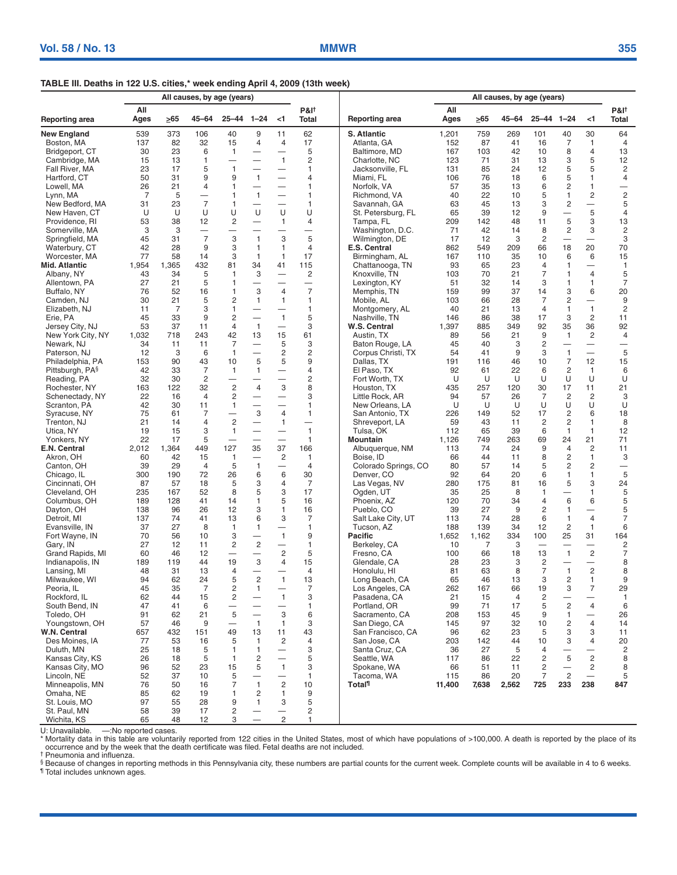### **TABLE III. Deaths in 122 U.S. cities,\* week ending April 4, 2009 (13th week)**

|                                     | All causes, by age (years) |                |                          |                          |                                          |                                     |                                  | All causes, by age (years)        |             |            |          |                         |                                  |                                            |                                |  |
|-------------------------------------|----------------------------|----------------|--------------------------|--------------------------|------------------------------------------|-------------------------------------|----------------------------------|-----------------------------------|-------------|------------|----------|-------------------------|----------------------------------|--------------------------------------------|--------------------------------|--|
| <b>Reporting area</b>               | All<br>Ages                | $\geq 65$      | 45-64                    | $25 - 44$ 1-24           |                                          | $\leq$ 1                            | <b>P&amp;I</b> t<br><b>Total</b> | Reporting area                    | All<br>Ages | $\geq 65$  | 45–64    | $25 - 44$ 1-24          |                                  | $<$ 1                                      | <b>P&amp;I</b> †<br>Total      |  |
| <b>New England</b>                  | 539                        | 373            | 106                      | 40                       | 9                                        | 11                                  | 62                               | S. Atlantic                       | 1,201       | 759        | 269      | 101                     | 40                               | 30                                         | 64                             |  |
| Boston, MA                          | 137                        | 82             | 32                       | 15                       | 4                                        | $\overline{4}$                      | 17                               | Atlanta, GA                       | 152         | 87         | 41       | 16                      | $\overline{7}$                   | $\mathbf{1}$                               | 4                              |  |
| Bridgeport, CT                      | 30                         | 23             | 6                        | $\mathbf{1}$             | $\overline{\phantom{0}}$                 |                                     | 5                                | Baltimore, MD                     | 167         | 103        | 42       | 10                      | 8                                | $\overline{4}$                             | 13                             |  |
| Cambridge, MA                       | 15                         | 13             | $\mathbf{1}$<br>5        | $\mathbf{1}$             |                                          | $\mathbf{1}$                        | $\overline{c}$<br>$\mathbf{1}$   | Charlotte, NC                     | 123         | 71         | 31       | 13                      | 3                                | 5                                          | 12                             |  |
| Fall River, MA<br>Hartford, CT      | 23<br>50                   | 17<br>31       | 9                        | 9                        | $\mathbf{1}$                             |                                     | 4                                | Jacksonville, FL<br>Miami, FL     | 131<br>106  | 85<br>76   | 24<br>18 | 12<br>6                 | 5<br>5                           | 5<br>1                                     | $\overline{c}$<br>4            |  |
| Lowell, MA                          | 26                         | 21             | 4                        | 1                        |                                          |                                     | 1                                | Norfolk, VA                       | 57          | 35         | 13       | 6                       | $\overline{c}$                   | 1                                          | $\qquad \qquad -$              |  |
| Lynn, MA                            | 7                          | 5              |                          | 1                        | $\mathbf{1}$                             |                                     | 1                                | Richmond, VA                      | 40          | 22         | 10       | 5                       | $\mathbf{1}$                     | 2                                          | $\overline{c}$                 |  |
| New Bedford, MA                     | 31                         | 23             | $\overline{7}$           | $\mathbf{1}$             |                                          | $\overline{\phantom{0}}$            | 1                                | Savannah, GA                      | 63          | 45         | 13       | 3                       | $\overline{c}$                   | $\overline{\phantom{0}}$                   | 5                              |  |
| New Haven, CT                       | U                          | U              | U                        | U                        | U                                        | U                                   | U                                | St. Petersburg, FL                | 65          | 39         | 12       | 9                       | $\overline{\phantom{0}}$         | 5                                          | 4                              |  |
| Providence, RI                      | 53                         | 38             | 12                       | $\overline{c}$           |                                          | $\mathbf{1}$                        | 4                                | Tampa, FL                         | 209         | 142        | 48       | 11                      | 5                                | 3                                          | 13                             |  |
| Somerville, MA                      | 3                          | 3              | $\overline{\phantom{0}}$ |                          |                                          |                                     | $\overline{\phantom{0}}$         | Washington, D.C.                  | 71          | 42         | 14       | 8                       | $\overline{c}$                   | 3                                          | $\overline{c}$                 |  |
| Springfield, MA                     | 45                         | 31             | $\overline{7}$           | 3                        | $\mathbf{1}$                             | 3                                   | 5                                | Wilmington, DE                    | 17          | 12         | 3        | $\overline{c}$          | $\overline{\phantom{0}}$         | $\overbrace{\qquad \qquad }^{}$            | 3                              |  |
| Waterbury, CT                       | 42                         | 28             | 9                        | 3                        | $\mathbf{1}$                             | $\mathbf{1}$                        | $\overline{4}$                   | E.S. Central                      | 862         | 549        | 209      | 66                      | 18                               | 20                                         | 70                             |  |
| Worcester, MA                       | 77                         | 58             | 14                       | 3                        | $\mathbf{1}$                             | $\overline{1}$                      | 17                               | Birmingham, AL                    | 167         | 110        | 35       | 10                      | 6                                | 6                                          | 15                             |  |
| Mid. Atlantic<br>Albany, NY         | 1,954<br>43                | 1,365<br>34    | 432<br>5                 | 81<br>$\mathbf{1}$       | 34<br>3                                  | 41                                  | 115<br>$\overline{c}$            | Chattanooga, TN<br>Knoxville, TN  | 93<br>103   | 65<br>70   | 23<br>21 | 4<br>$\overline{7}$     | $\mathbf{1}$<br>$\mathbf{1}$     | $\overline{\phantom{m}}$<br>$\overline{4}$ | $\mathbf{1}$<br>5              |  |
| Allentown, PA                       | 27                         | 21             | 5                        | $\mathbf{1}$             |                                          | —                                   | $\qquad \qquad -$                | Lexington, KY                     | 51          | 32         | 14       | 3                       | 1                                | $\mathbf{1}$                               | $\overline{7}$                 |  |
| Buffalo, NY                         | 76                         | 52             | 16                       | $\mathbf{1}$             | 3                                        | $\overline{4}$                      | $\overline{7}$                   | Memphis, TN                       | 159         | 99         | 37       | 14                      | 3                                | 6                                          | 20                             |  |
| Camden, NJ                          | 30                         | 21             | 5                        | $\overline{2}$           | $\mathbf{1}$                             | $\mathbf{1}$                        | 1                                | Mobile, AL                        | 103         | 66         | 28       | $\overline{7}$          | $\overline{c}$                   | $\overline{\phantom{0}}$                   | 9                              |  |
| Elizabeth, NJ                       | 11                         | $\overline{7}$ | 3                        | $\mathbf{1}$             |                                          |                                     | $\mathbf{1}$                     | Montgomery, AL                    | 40          | 21         | 13       | $\overline{4}$          | $\mathbf{1}$                     | $\mathbf{1}$                               | $\overline{c}$                 |  |
| Erie, PA                            | 45                         | 33             | 9                        | $\overline{c}$           | $\overline{\phantom{0}}$                 | $\mathbf{1}$                        | 5                                | Nashville, TN                     | 146         | 86         | 38       | 17                      | 3                                | 2                                          | 11                             |  |
| Jersey City, NJ                     | 53                         | 37             | 11                       | $\overline{4}$           | $\mathbf{1}$                             |                                     | 3                                | W.S. Central                      | 1,397       | 885        | 349      | 92                      | 35                               | 36                                         | 92                             |  |
| New York City, NY                   | 1,032                      | 718            | 243                      | 42                       | 13                                       | 15                                  | 61                               | Austin, TX                        | 89          | 56         | 21       | 9                       | $\mathbf{1}$                     | 2                                          | $\overline{4}$                 |  |
| Newark, NJ                          | 34                         | 11             | 11                       | 7                        | $\overline{\phantom{0}}$                 | 5                                   | 3                                | Baton Rouge, LA                   | 45          | 40         | 3        | $\overline{\mathbf{c}}$ |                                  |                                            | $\overline{\phantom{0}}$       |  |
| Paterson, NJ                        | 12                         | 3              | 6                        | $\mathbf{1}$             | $\overline{\phantom{0}}$                 | $\overline{c}$                      | 2                                | Corpus Christi. TX                | 54          | 41         | 9        | 3                       | $\mathbf{1}$                     | $\overline{\phantom{0}}$                   | 5                              |  |
| Philadelphia, PA<br>Pittsburgh, PA§ | 153<br>42                  | 90<br>33       | 43<br>$\overline{7}$     | 10<br>$\mathbf{1}$       | 5<br>$\mathbf{1}$                        | 5<br>$\qquad \qquad -$              | 9<br>4                           | Dallas, TX<br>El Paso, TX         | 191<br>92   | 116<br>61  | 46<br>22 | 10<br>6                 | $\overline{7}$<br>$\overline{c}$ | 12<br>1                                    | 15<br>6                        |  |
| Reading, PA                         | 32                         | 30             | 2                        |                          |                                          | $\overline{\phantom{0}}$            | $\overline{2}$                   | Fort Worth, TX                    | U           | U          | U        | U                       | U                                | U                                          | U                              |  |
| Rochester, NY                       | 163                        | 122            | 32                       | $\sqrt{2}$               | $\overline{4}$                           | 3                                   | 8                                | Houston, TX                       | 435         | 257        | 120      | 30                      | 17                               | 11                                         | 21                             |  |
| Schenectady, NY                     | 22                         | 16             | 4                        | $\overline{c}$           |                                          | —                                   | 3                                | Little Rock, AR                   | 94          | 57         | 26       | $\overline{7}$          | $\overline{c}$                   | 2                                          | 3                              |  |
| Scranton, PA                        | 42                         | 30             | 11                       | $\mathbf{1}$             |                                          | $\overline{\phantom{0}}$            | 1                                | New Orleans, LA                   | U           | U          | U        | U                       | U                                | U                                          | U                              |  |
| Syracuse, NY                        | 75                         | 61             | $\overline{7}$           | $\overline{\phantom{0}}$ | 3                                        | $\overline{4}$                      | $\mathbf{1}$                     | San Antonio, TX                   | 226         | 149        | 52       | 17                      | $\overline{c}$                   | 6                                          | 18                             |  |
| Trenton, NJ                         | 21                         | 14             | $\overline{4}$           | $\overline{c}$           | $\overline{\phantom{0}}$                 | $\mathbf{1}$                        | $\overline{\phantom{0}}$         | Shreveport, LA                    | 59          | 43         | 11       | 2                       | $\overline{c}$                   | $\mathbf{1}$                               | 8                              |  |
| Utica, NY                           | 19                         | 15             | 3                        | $\mathbf{1}$             | $\overline{\phantom{0}}$                 | $\qquad \qquad -$                   | $\mathbf{1}$                     | Tulsa, OK                         | 112         | 65         | 39       | 6                       | $\mathbf{1}$                     | $\mathbf{1}$                               | 12                             |  |
| Yonkers, NY                         | 22                         | 17             | 5                        |                          |                                          |                                     | 1                                | Mountain                          | 1,126       | 749        | 263      | 69                      | 24                               | 21                                         | 71                             |  |
| E.N. Central                        | 2,012                      | 1,364          | 449                      | 127                      | 35                                       | 37                                  | 166                              | Albuquerque, NM                   | 113         | 74         | 24       | 9                       | $\overline{4}$<br>$\overline{c}$ | $\overline{c}$<br>$\mathbf{1}$             | 11                             |  |
| Akron, OH<br>Canton, OH             | 60<br>39                   | 42<br>29       | 15<br>$\overline{4}$     | $\mathbf{1}$<br>5        | $\overline{\phantom{0}}$<br>$\mathbf{1}$ | $\overline{2}$<br>$\qquad \qquad -$ | $\mathbf{1}$<br>$\overline{4}$   | Boise, ID<br>Colorado Springs, CO | 66<br>80    | 44<br>57   | 11<br>14 | 8<br>5                  | $\overline{c}$                   | 2                                          | 3                              |  |
| Chicago, IL                         | 300                        | 190            | 72                       | 26                       | 6                                        | 6                                   | 30                               | Denver, CO                        | 92          | 64         | 20       | 6                       | $\mathbf{1}$                     | 1                                          | 5                              |  |
| Cincinnati, OH                      | 87                         | 57             | 18                       | 5                        | 3                                        | $\overline{4}$                      | 7                                | Las Vegas, NV                     | 280         | 175        | 81       | 16                      | 5                                | 3                                          | 24                             |  |
| Cleveland, OH                       | 235                        | 167            | 52                       | 8                        | 5                                        | 3                                   | 17                               | Ogden, UT                         | 35          | 25         | 8        | $\mathbf{1}$            | —                                | $\mathbf{1}$                               | 5                              |  |
| Columbus, OH                        | 189                        | 128            | 41                       | 14                       | 1                                        | 5                                   | 16                               | Phoenix, AZ                       | 120         | 70         | 34       | $\overline{4}$          | 6                                | 6                                          | 5                              |  |
| Dayton, OH                          | 138                        | 96             | 26                       | 12                       | 3                                        | $\mathbf{1}$                        | 16                               | Pueblo, CO                        | 39          | 27         | 9        | $\overline{c}$          | $\mathbf{1}$                     | $\overline{\phantom{0}}$                   | 5                              |  |
| Detroit, MI                         | 137                        | 74             | 41                       | 13                       | 6                                        | 3                                   | $\overline{7}$                   | Salt Lake City, UT                | 113         | 74         | 28       | 6                       | $\mathbf{1}$                     | $\overline{4}$                             | $\overline{7}$                 |  |
| Evansville, IN                      | 37                         | 27             | 8                        | $\mathbf{1}$             | 1                                        | $\qquad \qquad -$<br>$\mathbf{1}$   | $\mathbf{1}$                     | Tucson, AZ<br><b>Pacific</b>      | 188         | 139        | 34       | 12                      | $\overline{c}$                   | $\mathbf{1}$                               | 6                              |  |
| Fort Wayne, IN<br>Gary, IN          | 70<br>27                   | 56<br>12       | 10<br>11                 | 3<br>$\overline{c}$      | $\overline{c}$                           |                                     | 9<br>$\mathbf{1}$                | Berkeley, CA                      | 1,652<br>10 | 1,162<br>7 | 334<br>3 | 100                     | 25                               | 31<br>$\qquad \qquad -$                    | 164<br>$\overline{\mathbf{c}}$ |  |
| Grand Rapids, MI                    | 60                         | 46             | 12                       | —                        |                                          | 2                                   | 5                                | Fresno, CA                        | 100         | 66         | 18       | 13                      | $\mathbf{1}$                     | 2                                          | $\overline{7}$                 |  |
| Indianapolis, IN                    | 189                        | 119            | 44                       | 19                       | 3                                        | $\overline{4}$                      | 15                               | Glendale, CA                      | 28          | 23         | 3        | 2                       |                                  | $\qquad \qquad -$                          | 8                              |  |
| Lansing, MI                         | 48                         | 31             | 13                       | $\overline{4}$           |                                          |                                     | 4                                | Honolulu, HI                      | 81          | 63         | 8        | $\overline{7}$          | $\mathbf{1}$                     | $\overline{2}$                             | 8                              |  |
| Milwaukee, WI                       | 94                         | 62             | 24                       | 5                        | $\overline{2}$                           | $\mathbf{1}$                        | 13                               | Long Beach, CA                    | 65          | 46         | 13       | 3                       | $\overline{c}$                   | $\mathbf{1}$                               | 9                              |  |
| Peoria, IL                          | 45                         | 35             | 7                        | $^{2}$                   | 1                                        |                                     | 7                                | Los Angeles, CA                   | 262         | 167        | 66       | 19                      | З                                | 7                                          | 29                             |  |
| Rockford, IL                        | 62                         | 44             | 15                       | $\overline{\mathbf{c}}$  |                                          | $\mathbf{1}$                        | 3                                | Pasadena, CA                      | 21          | 15         | 4        | 2                       | $\overline{\phantom{0}}$         | $\qquad \qquad$                            | $\mathbf{1}$                   |  |
| South Bend, IN                      | 47                         | 41             | 6                        | $\overline{\phantom{0}}$ |                                          |                                     | $\mathbf{1}$                     | Portland, OR                      | 99          | 71         | 17       | 5                       | $\overline{c}$                   | $\overline{4}$                             | 6                              |  |
| Toledo, OH                          | 91                         | 62             | 21                       | 5                        |                                          | $\ensuremath{\mathsf{3}}$           | 6                                | Sacramento, CA                    | 208         | 153        | 45       | 9                       | 1                                | $\overline{\phantom{0}}$                   | 26                             |  |
| Youngstown, OH                      | 57                         | 46             | 9                        |                          | $\mathbf{1}$                             | $\mathbf{1}$                        | 3                                | San Diego, CA                     | 145         | 97         | 32       | 10                      | $\overline{\mathbf{c}}$          | $\overline{4}$                             | 14                             |  |
| W.N. Central<br>Des Moines, IA      | 657<br>77                  | 432<br>53      | 151<br>16                | 49<br>5                  | 13<br>$\mathbf{1}$                       | 11<br>$\overline{c}$                | 43<br>$\overline{4}$             | San Francisco, CA<br>San Jose, CA | 96<br>203   | 62<br>142  | 23<br>44 | 5<br>10                 | 3<br>3                           | 3<br>4                                     | 11<br>20                       |  |
| Duluth, MN                          | 25                         | 18             | 5                        | $\mathbf{1}$             | 1                                        | $\qquad \qquad -$                   | 3                                | Santa Cruz, CA                    | 36          | 27         | 5        | $\overline{4}$          |                                  | $\overline{\phantom{0}}$                   | $\overline{c}$                 |  |
| Kansas City, KS                     | 26                         | 18             | 5                        | $\mathbf{1}$             | 2                                        | $\overline{\phantom{0}}$            | 5                                | Seattle, WA                       | 117         | 86         | 22       | 2                       | 5                                | 2                                          | 8                              |  |
| Kansas City, MO                     | 96                         | 52             | 23                       | 15                       | 5                                        | $\mathbf{1}$                        | 3                                | Spokane, WA                       | 66          | 51         | 11       | 2                       |                                  | 2                                          | 8                              |  |
| Lincoln, NE                         | 52                         | 37             | 10                       | 5                        |                                          |                                     | 1                                | Tacoma, WA                        | 115         | 86         | 20       | 7                       | $\overline{c}$                   | $\overline{\phantom{0}}$                   | 5                              |  |
| Minneapolis, MN                     | 76                         | 50             | 16                       | $\overline{7}$           | $\mathbf{1}$                             | $\overline{c}$                      | 10                               | <b>Total</b> <sup>1</sup>         | 11,400      | 7,638      | 2,562    | 725                     | 233                              | 238                                        | 847                            |  |
| Omaha, NE                           | 85                         | 62             | 19                       | 1                        | $\overline{c}$                           | 1                                   | 9                                |                                   |             |            |          |                         |                                  |                                            |                                |  |
| St. Louis, MO                       | 97                         | 55             | 28                       | 9                        | 1                                        | 3                                   | 5                                |                                   |             |            |          |                         |                                  |                                            |                                |  |
| St. Paul, MN                        | 58                         | 39             | 17                       | $\overline{\mathbf{c}}$  |                                          | $\overline{\phantom{0}}$            | 2                                |                                   |             |            |          |                         |                                  |                                            |                                |  |
| Wichita, KS                         | 65                         | 48             | 12                       | 3                        |                                          | $\sqrt{2}$                          | 1                                |                                   |             |            |          |                         |                                  |                                            |                                |  |

U: Unavailable. —:No reported cases.<br>\* Mortality data in this table are voluntarily reported from 122 cities in the United States, most of which have populations of >100,000. A death is reported by the place of its<br>· o

§ Because of changes in reporting methods in this Pennsylvania city, these numbers are partial counts for the current week. Complete counts will be available in 4 to 6 weeks. ¶ Total includes unknown ages.